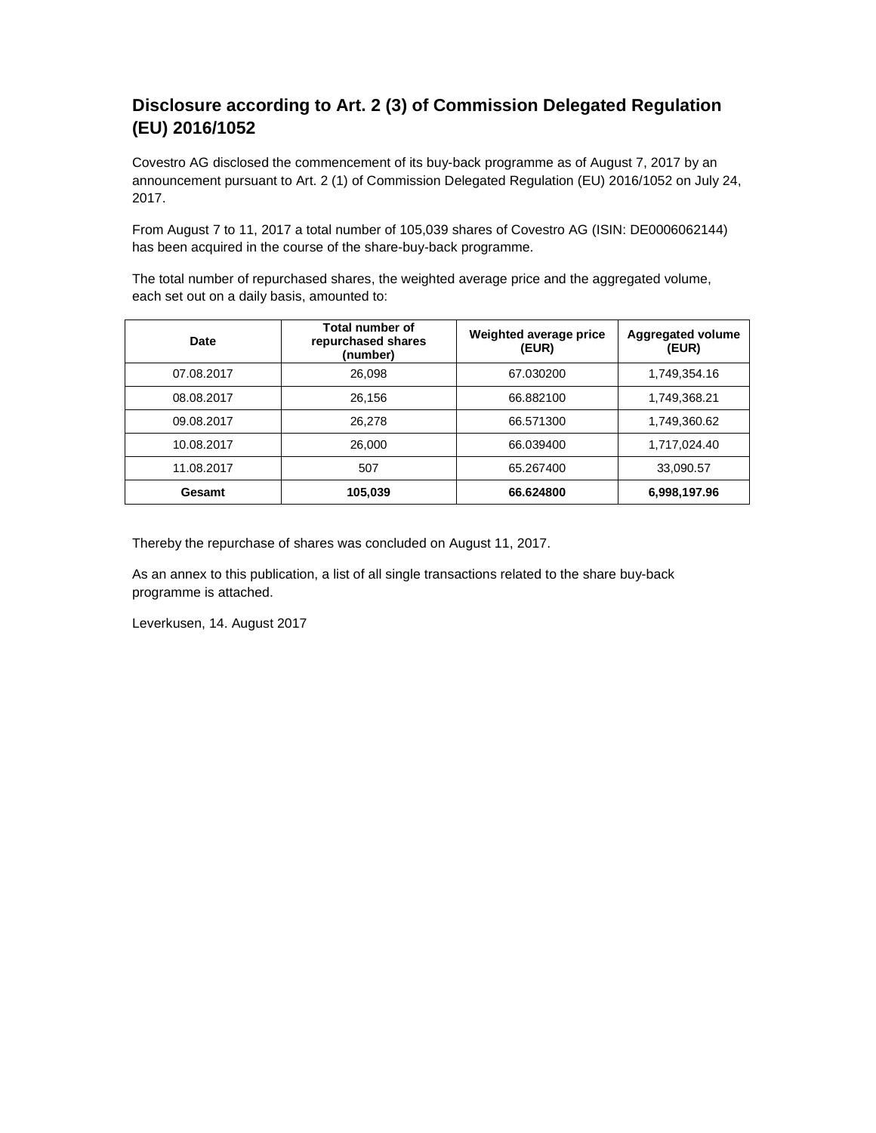## **Disclosure according to Art. 2 (3) of Commission Delegated Regulation (EU) 2016/1052**

Covestro AG disclosed the commencement of its buy-back programme as of August 7, 2017 by an announcement pursuant to Art. 2 (1) of Commission Delegated Regulation (EU) 2016/1052 on July 24, 2017.

From August 7 to 11, 2017 a total number of 105,039 shares of Covestro AG (ISIN: DE0006062144) has been acquired in the course of the share-buy-back programme.

The total number of repurchased shares, the weighted average price and the aggregated volume, each set out on a daily basis, amounted to:

| Date       | Total number of<br>repurchased shares<br>(number) | Weighted average price<br>(EUR) | Aggregated volume<br>(EUR) |
|------------|---------------------------------------------------|---------------------------------|----------------------------|
| 07.08.2017 | 26,098                                            | 67.030200                       | 1,749,354.16               |
| 08.08.2017 | 26,156                                            | 66.882100                       | 1,749,368.21               |
| 09.08.2017 | 26.278                                            | 66.571300                       | 1,749,360.62               |
| 10.08.2017 | 26,000                                            | 66.039400                       | 1,717,024.40               |
| 11.08.2017 | 507                                               | 65.267400                       | 33,090.57                  |
| Gesamt     | 105,039                                           | 66.624800                       | 6,998,197.96               |

Thereby the repurchase of shares was concluded on August 11, 2017.

As an annex to this publication, a list of all single transactions related to the share buy-back programme is attached.

Leverkusen, 14. August 2017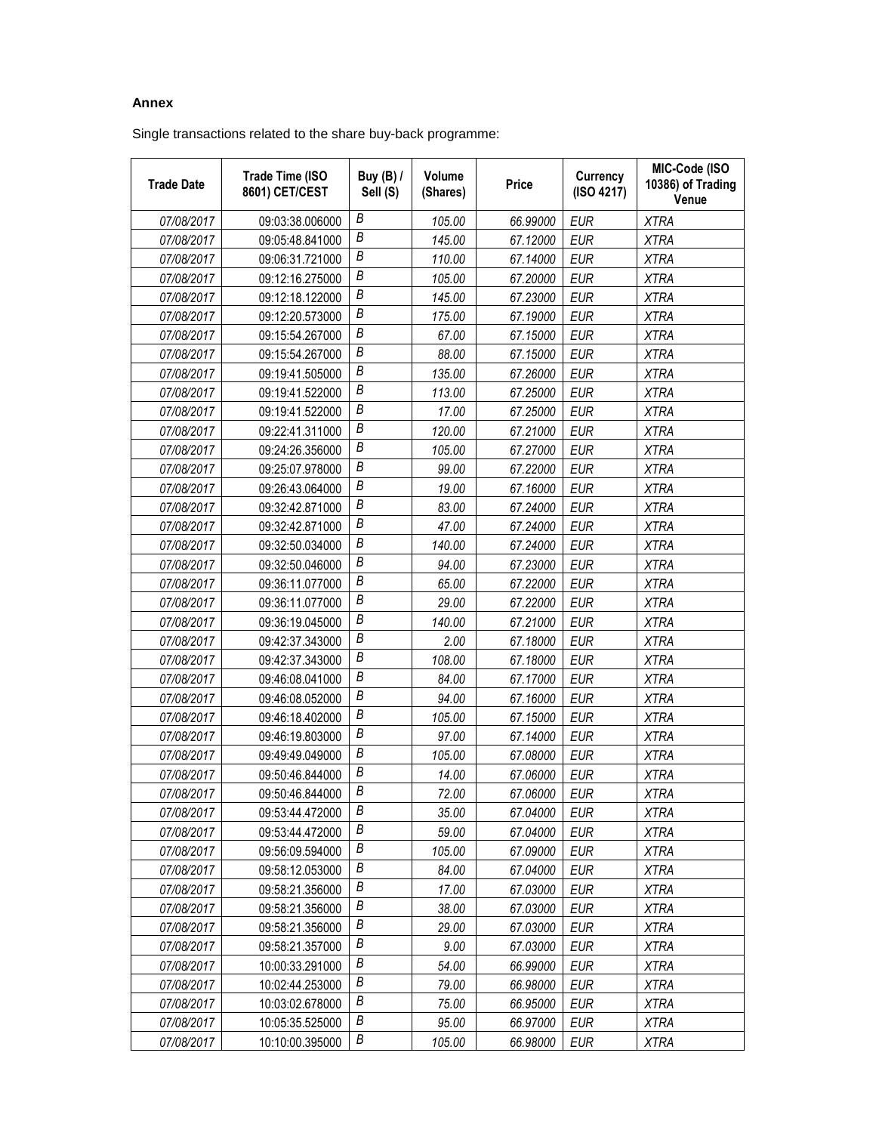## **Annex**

Single transactions related to the share buy-back programme:

| <b>Trade Date</b> | <b>Trade Time (ISO</b><br>8601) CET/CEST | <b>Buy (B) /</b><br>Sell (S) | Volume<br>(Shares) | Price    | Currency<br>(ISO 4217) | MIC-Code (ISO<br>10386) of Trading<br>Venue |
|-------------------|------------------------------------------|------------------------------|--------------------|----------|------------------------|---------------------------------------------|
| 07/08/2017        | 09:03:38.006000                          | В                            | 105.00             | 66.99000 | <b>EUR</b>             | <b>XTRA</b>                                 |
| 07/08/2017        | 09:05:48.841000                          | Β                            | 145.00             | 67.12000 | <b>EUR</b>             | <b>XTRA</b>                                 |
| 07/08/2017        | 09:06:31.721000                          | В                            | 110.00             | 67.14000 | <b>EUR</b>             | <b>XTRA</b>                                 |
| 07/08/2017        | 09:12:16.275000                          | В                            | 105.00             | 67.20000 | <b>EUR</b>             | <b>XTRA</b>                                 |
| 07/08/2017        | 09:12:18.122000                          | В                            | 145.00             | 67.23000 | <b>EUR</b>             | <b>XTRA</b>                                 |
| 07/08/2017        | 09:12:20.573000                          | B                            | 175.00             | 67.19000 | <b>EUR</b>             | <b>XTRA</b>                                 |
| 07/08/2017        | 09:15:54.267000                          | В                            | 67.00              | 67.15000 | <b>EUR</b>             | <b>XTRA</b>                                 |
| 07/08/2017        | 09:15:54.267000                          | B                            | 88.00              | 67.15000 | <b>EUR</b>             | <b>XTRA</b>                                 |
| 07/08/2017        | 09:19:41.505000                          | В                            | 135.00             | 67.26000 | <b>EUR</b>             | <b>XTRA</b>                                 |
| 07/08/2017        | 09:19:41.522000                          | В                            | 113.00             | 67.25000 | <b>EUR</b>             | <b>XTRA</b>                                 |
| 07/08/2017        | 09:19:41.522000                          | Β                            | 17.00              | 67.25000 | <b>EUR</b>             | <b>XTRA</b>                                 |
| 07/08/2017        | 09:22:41.311000                          | $\boldsymbol{B}$             | 120.00             | 67.21000 | <b>EUR</b>             | <b>XTRA</b>                                 |
| 07/08/2017        | 09:24:26.356000                          | В                            | 105.00             | 67.27000 | <b>EUR</b>             | <b>XTRA</b>                                 |
| 07/08/2017        | 09:25:07.978000                          | Β                            | 99.00              | 67.22000 | <b>EUR</b>             | <b>XTRA</b>                                 |
| 07/08/2017        | 09:26:43.064000                          | Β                            | 19.00              | 67.16000 | <b>EUR</b>             | <b>XTRA</b>                                 |
| 07/08/2017        | 09:32:42.871000                          | Β                            | 83.00              | 67.24000 | <b>EUR</b>             | <b>XTRA</b>                                 |
| 07/08/2017        | 09:32:42.871000                          | B                            | 47.00              | 67.24000 | <b>EUR</b>             | <b>XTRA</b>                                 |
| 07/08/2017        | 09:32:50.034000                          | В                            | 140.00             | 67.24000 | <b>EUR</b>             | <b>XTRA</b>                                 |
| 07/08/2017        | 09:32:50.046000                          | Β                            | 94.00              | 67.23000 | <b>EUR</b>             | <b>XTRA</b>                                 |
| 07/08/2017        | 09:36:11.077000                          | Β                            | 65.00              | 67.22000 | <b>EUR</b>             | <b>XTRA</b>                                 |
| 07/08/2017        | 09:36:11.077000                          | B                            | 29.00              | 67.22000 | <b>EUR</b>             | <b>XTRA</b>                                 |
| 07/08/2017        | 09:36:19.045000                          | В                            | 140.00             | 67.21000 | <b>EUR</b>             | <b>XTRA</b>                                 |
| 07/08/2017        | 09:42:37.343000                          | В                            | 2.00               | 67.18000 | <b>EUR</b>             | <b>XTRA</b>                                 |
| 07/08/2017        | 09:42:37.343000                          | Β                            | 108.00             | 67.18000 | <b>EUR</b>             | <b>XTRA</b>                                 |
| 07/08/2017        | 09:46:08.041000                          | В                            | 84.00              | 67.17000 | <b>EUR</b>             | <b>XTRA</b>                                 |
| 07/08/2017        | 09:46:08.052000                          | B                            | 94.00              | 67.16000 | <b>EUR</b>             | <b>XTRA</b>                                 |
| 07/08/2017        | 09:46:18.402000                          | В                            | 105.00             | 67.15000 | <b>EUR</b>             | <b>XTRA</b>                                 |
| 07/08/2017        | 09:46:19.803000                          | В                            | 97.00              | 67.14000 | <b>EUR</b>             | <b>XTRA</b>                                 |
| 07/08/2017        | 09:49:49.049000                          | Β                            | 105.00             | 67.08000 | <b>EUR</b>             | <b>XTRA</b>                                 |
| 07/08/2017        | 09:50:46.844000                          | $\boldsymbol{B}$             | 14.00              | 67.06000 | <b>EUR</b>             | <b>XTRA</b>                                 |
| 07/08/2017        | 09:50:46.844000                          | B                            | 72.00              | 67.06000 | <b>EUR</b>             | <b>XTRA</b>                                 |
| 07/08/2017        | 09:53:44.472000                          | Β                            | 35.00              | 67.04000 | EUR                    | <b>XTRA</b>                                 |
| 07/08/2017        | 09:53:44.472000                          | В                            | 59.00              | 67.04000 | <b>EUR</b>             | <b>XTRA</b>                                 |
| 07/08/2017        | 09:56:09.594000                          | В                            | 105.00             | 67.09000 | EUR                    | <b>XTRA</b>                                 |
| 07/08/2017        | 09:58:12.053000                          | Β                            | 84.00              | 67.04000 | <b>EUR</b>             | <b>XTRA</b>                                 |
| 07/08/2017        | 09:58:21.356000                          | Β                            | 17.00              | 67.03000 | EUR                    | <b>XTRA</b>                                 |
| 07/08/2017        | 09:58:21.356000                          | B                            | 38.00              | 67.03000 | <b>EUR</b>             | <b>XTRA</b>                                 |
| 07/08/2017        | 09:58:21.356000                          | Β                            | 29.00              | 67.03000 | <b>EUR</b>             | <b>XTRA</b>                                 |
| 07/08/2017        | 09:58:21.357000                          | B                            | 9.00               | 67.03000 | EUR                    | <b>XTRA</b>                                 |
| 07/08/2017        | 10:00:33.291000                          | Β                            | 54.00              | 66.99000 | <b>EUR</b>             | XTRA                                        |
| 07/08/2017        | 10:02:44.253000                          | B                            | 79.00              | 66.98000 | EUR                    | <b>XTRA</b>                                 |
| 07/08/2017        | 10:03:02.678000                          | Β                            | 75.00              | 66.95000 | EUR                    | <b>XTRA</b>                                 |
| 07/08/2017        | 10:05:35.525000                          | В                            | 95.00              | 66.97000 | <b>EUR</b>             | <b>XTRA</b>                                 |
| 07/08/2017        | 10:10:00.395000                          | В                            | 105.00             | 66.98000 | <b>EUR</b>             | <b>XTRA</b>                                 |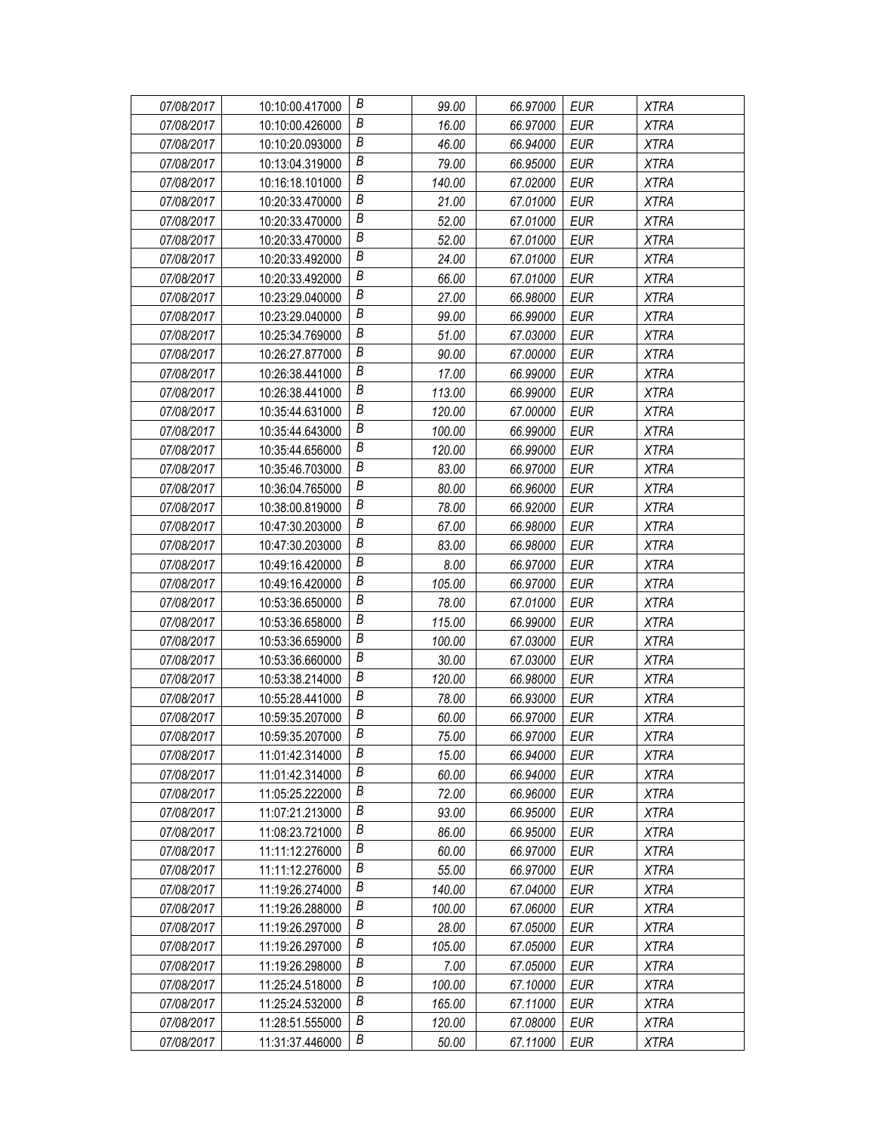| 07/08/2017 | 10:10:00.417000 | В                | 99.00  | 66.97000 | EUR        | <b>XTRA</b> |
|------------|-----------------|------------------|--------|----------|------------|-------------|
| 07/08/2017 | 10:10:00.426000 | Β                | 16.00  | 66.97000 | EUR        | <b>XTRA</b> |
| 07/08/2017 | 10:10:20.093000 | Β                | 46.00  | 66.94000 | <b>EUR</b> | <b>XTRA</b> |
| 07/08/2017 | 10:13:04.319000 | B                | 79.00  | 66.95000 | <b>EUR</b> | <b>XTRA</b> |
| 07/08/2017 | 10:16:18.101000 | В                | 140.00 | 67.02000 | <b>EUR</b> | <b>XTRA</b> |
| 07/08/2017 | 10:20:33.470000 | Β                | 21.00  | 67.01000 | <b>EUR</b> | <b>XTRA</b> |
| 07/08/2017 | 10:20:33.470000 | В                | 52.00  | 67.01000 | <b>EUR</b> | <b>XTRA</b> |
| 07/08/2017 | 10:20:33.470000 | Β                | 52.00  | 67.01000 | <b>EUR</b> | <b>XTRA</b> |
| 07/08/2017 | 10:20:33.492000 | $\boldsymbol{B}$ | 24.00  | 67.01000 | <b>EUR</b> | <b>XTRA</b> |
| 07/08/2017 | 10:20:33.492000 | В                | 66.00  | 67.01000 | <b>EUR</b> | <b>XTRA</b> |
| 07/08/2017 | 10:23:29.040000 | В                | 27.00  | 66.98000 | <b>EUR</b> | <b>XTRA</b> |
| 07/08/2017 | 10:23:29.040000 | В                | 99.00  | 66.99000 | <b>EUR</b> | <b>XTRA</b> |
| 07/08/2017 | 10:25:34.769000 | B                | 51.00  | 67.03000 | <b>EUR</b> | <b>XTRA</b> |
| 07/08/2017 | 10:26:27.877000 | В                | 90.00  | 67.00000 | <b>EUR</b> | <b>XTRA</b> |
| 07/08/2017 | 10:26:38.441000 | Β                | 17.00  | 66.99000 | <b>EUR</b> | <b>XTRA</b> |
| 07/08/2017 | 10:26:38.441000 | В                | 113.00 | 66.99000 | <b>EUR</b> | <b>XTRA</b> |
| 07/08/2017 | 10:35:44.631000 | Β                | 120.00 | 67.00000 | <b>EUR</b> | <b>XTRA</b> |
| 07/08/2017 | 10:35:44.643000 | $\boldsymbol{B}$ | 100.00 | 66.99000 | <b>EUR</b> | <b>XTRA</b> |
| 07/08/2017 | 10:35:44.656000 | В                | 120.00 | 66.99000 | <b>EUR</b> | <b>XTRA</b> |
| 07/08/2017 | 10:35:46.703000 | В                | 83.00  | 66.97000 | EUR        | <b>XTRA</b> |
| 07/08/2017 | 10:36:04.765000 | Β                | 80.00  | 66.96000 | <b>EUR</b> | <b>XTRA</b> |
| 07/08/2017 | 10:38:00.819000 | B                | 78.00  | 66.92000 | <b>EUR</b> | <b>XTRA</b> |
| 07/08/2017 | 10:47:30.203000 | В                | 67.00  | 66.98000 | <b>EUR</b> | <b>XTRA</b> |
| 07/08/2017 | 10:47:30.203000 | В                | 83.00  | 66.98000 | <b>EUR</b> | <b>XTRA</b> |
| 07/08/2017 | 10:49:16.420000 | Β                | 8.00   | 66.97000 | <b>EUR</b> | <b>XTRA</b> |
| 07/08/2017 | 10:49:16.420000 | В                | 105.00 | 66.97000 | <b>EUR</b> | <b>XTRA</b> |
| 07/08/2017 | 10:53:36.650000 | B                | 78.00  | 67.01000 | <b>EUR</b> | <b>XTRA</b> |
| 07/08/2017 | 10:53:36.658000 | B                | 115.00 | 66.99000 | EUR        | <b>XTRA</b> |
| 07/08/2017 | 10:53:36.659000 | B                | 100.00 | 67.03000 | <b>EUR</b> | <b>XTRA</b> |
| 07/08/2017 | 10:53:36.660000 | Β                | 30.00  | 67.03000 | <b>EUR</b> | <b>XTRA</b> |
| 07/08/2017 | 10:53:38.214000 | B                | 120.00 | 66.98000 | <b>EUR</b> | <b>XTRA</b> |
| 07/08/2017 | 10:55:28.441000 | B                | 78.00  | 66.93000 | <b>EUR</b> | <b>XTRA</b> |
| 07/08/2017 | 10:59:35.207000 | В                | 60.00  | 66.97000 | <b>EUR</b> | <b>XTRA</b> |
| 07/08/2017 | 10:59:35.207000 | B                | 75.00  | 66.97000 | <b>EUR</b> | <b>XTRA</b> |
| 07/08/2017 | 11:01:42.314000 | В                | 15.00  | 66.94000 | EUR        | <b>XTRA</b> |
| 07/08/2017 | 11:01:42.314000 | В                | 60.00  | 66.94000 | <b>EUR</b> | <b>XTRA</b> |
| 07/08/2017 | 11:05:25.222000 | Β                | 72.00  | 66.96000 | EUR        | <b>XTRA</b> |
| 07/08/2017 | 11:07:21.213000 | В                | 93.00  | 66.95000 | EUR        | <b>XTRA</b> |
| 07/08/2017 | 11:08:23.721000 | В                | 86.00  | 66.95000 | <b>EUR</b> | <b>XTRA</b> |
| 07/08/2017 | 11:11:12.276000 | В                | 60.00  | 66.97000 | EUR        | <b>XTRA</b> |
| 07/08/2017 | 11:11:12.276000 | B                | 55.00  | 66.97000 | <b>EUR</b> | XTRA        |
| 07/08/2017 | 11:19:26.274000 | В                | 140.00 | 67.04000 | EUR        | <b>XTRA</b> |
| 07/08/2017 | 11:19:26.288000 | Β                | 100.00 | 67.06000 | <b>EUR</b> | <b>XTRA</b> |
| 07/08/2017 | 11:19:26.297000 | В                | 28.00  | 67.05000 | <b>EUR</b> | <b>XTRA</b> |
| 07/08/2017 | 11:19:26.297000 | B                | 105.00 | 67.05000 | <b>EUR</b> | <b>XTRA</b> |
| 07/08/2017 | 11:19:26.298000 | Β                | 7.00   | 67.05000 | EUR        | <b>XTRA</b> |
| 07/08/2017 | 11:25:24.518000 | Β                | 100.00 | 67.10000 | EUR        | <b>XTRA</b> |
| 07/08/2017 | 11:25:24.532000 | Β                | 165.00 | 67.11000 | <b>EUR</b> | <b>XTRA</b> |
| 07/08/2017 | 11:28:51.555000 | В                | 120.00 | 67.08000 | <b>EUR</b> | <b>XTRA</b> |
| 07/08/2017 | 11:31:37.446000 | Β                | 50.00  | 67.11000 | <b>EUR</b> | <b>XTRA</b> |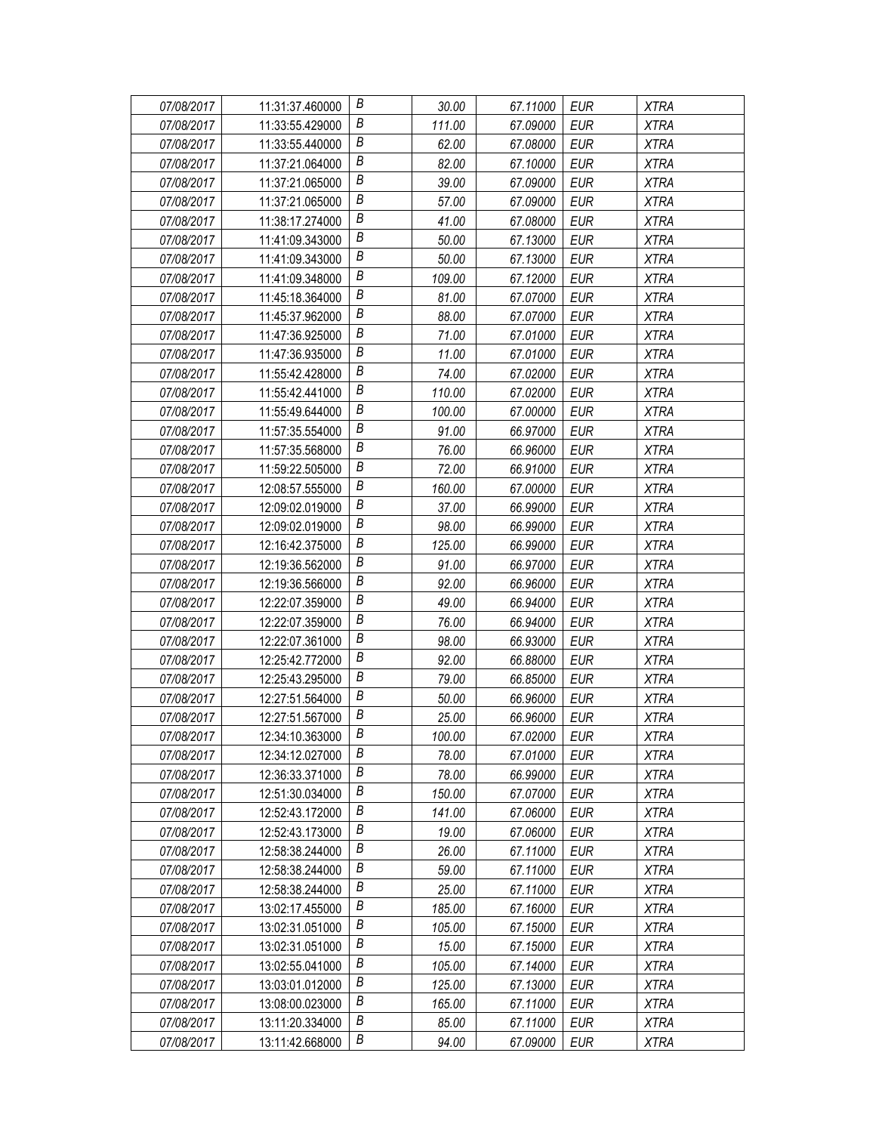| 07/08/2017 | 11:31:37.460000 | В                | 30.00  | 67.11000 | EUR        | <b>XTRA</b> |
|------------|-----------------|------------------|--------|----------|------------|-------------|
| 07/08/2017 | 11:33:55.429000 | В                | 111.00 | 67.09000 | EUR        | <b>XTRA</b> |
| 07/08/2017 | 11:33:55.440000 | Β                | 62.00  | 67.08000 | <b>EUR</b> | <b>XTRA</b> |
| 07/08/2017 | 11:37:21.064000 | $\boldsymbol{B}$ | 82.00  | 67.10000 | EUR        | <b>XTRA</b> |
| 07/08/2017 | 11:37:21.065000 | B                | 39.00  | 67.09000 | <b>EUR</b> | <b>XTRA</b> |
| 07/08/2017 | 11:37:21.065000 | B                | 57.00  | 67.09000 | <b>EUR</b> | <b>XTRA</b> |
| 07/08/2017 | 11:38:17.274000 | B                | 41.00  | 67.08000 | <b>EUR</b> | <b>XTRA</b> |
| 07/08/2017 | 11:41:09.343000 | $\boldsymbol{B}$ | 50.00  | 67.13000 | <b>EUR</b> | <b>XTRA</b> |
| 07/08/2017 | 11:41:09.343000 | $\boldsymbol{B}$ | 50.00  | 67.13000 | <b>EUR</b> | <b>XTRA</b> |
| 07/08/2017 | 11:41:09.348000 | B                | 109.00 | 67.12000 | <b>EUR</b> | <b>XTRA</b> |
| 07/08/2017 | 11:45:18.364000 | B                | 81.00  | 67.07000 | <b>EUR</b> | <b>XTRA</b> |
| 07/08/2017 | 11:45:37.962000 | В                | 88.00  | 67.07000 | <b>EUR</b> | <b>XTRA</b> |
| 07/08/2017 | 11:47:36.925000 | $\boldsymbol{B}$ | 71.00  | 67.01000 | <b>EUR</b> | <b>XTRA</b> |
| 07/08/2017 | 11:47:36.935000 | B                | 11.00  | 67.01000 | <b>EUR</b> | <b>XTRA</b> |
| 07/08/2017 | 11:55:42.428000 | B                | 74.00  | 67.02000 | <b>EUR</b> | <b>XTRA</b> |
| 07/08/2017 | 11:55:42.441000 | B                | 110.00 | 67.02000 | <b>EUR</b> | <b>XTRA</b> |
| 07/08/2017 | 11:55:49.644000 | В                | 100.00 | 67.00000 | <b>EUR</b> | <b>XTRA</b> |
| 07/08/2017 | 11:57:35.554000 | B                | 91.00  | 66.97000 | <b>EUR</b> | <b>XTRA</b> |
| 07/08/2017 | 11:57:35.568000 | B                | 76.00  | 66.96000 | <b>EUR</b> | <b>XTRA</b> |
| 07/08/2017 | 11:59:22.505000 | Β                | 72.00  | 66.91000 | EUR        | <b>XTRA</b> |
| 07/08/2017 | 12:08:57.555000 | Β                | 160.00 | 67.00000 | <b>EUR</b> | <b>XTRA</b> |
| 07/08/2017 | 12:09:02.019000 | $\boldsymbol{B}$ | 37.00  | 66.99000 | <b>EUR</b> | <b>XTRA</b> |
| 07/08/2017 | 12:09:02.019000 | B                | 98.00  | 66.99000 | <b>EUR</b> | <b>XTRA</b> |
| 07/08/2017 | 12:16:42.375000 | B                | 125.00 | 66.99000 | EUR        | <b>XTRA</b> |
| 07/08/2017 | 12:19:36.562000 | Β                | 91.00  | 66.97000 | <b>EUR</b> | <b>XTRA</b> |
| 07/08/2017 | 12:19:36.566000 | В                | 92.00  | 66.96000 | <b>EUR</b> | <b>XTRA</b> |
| 07/08/2017 | 12:22:07.359000 | $\boldsymbol{B}$ | 49.00  | 66.94000 | <b>EUR</b> | <b>XTRA</b> |
| 07/08/2017 | 12:22:07.359000 | B                | 76.00  | 66.94000 | EUR        | <b>XTRA</b> |
| 07/08/2017 | 12:22:07.361000 | B                | 98.00  | 66.93000 | <b>EUR</b> | <b>XTRA</b> |
| 07/08/2017 | 12:25:42.772000 | В                | 92.00  | 66.88000 | <b>EUR</b> | <b>XTRA</b> |
| 07/08/2017 | 12:25:43.295000 | B                | 79.00  | 66.85000 | <b>EUR</b> | <b>XTRA</b> |
| 07/08/2017 | 12:27:51.564000 | B                | 50.00  | 66.96000 | EUR        | <b>XTRA</b> |
| 07/08/2017 | 12:27:51.567000 | $\boldsymbol{B}$ | 25.00  | 66.96000 | EUR        | <b>XTRA</b> |
| 07/08/2017 | 12:34:10.363000 | B                | 100.00 | 67.02000 | <b>EUR</b> | <b>XTRA</b> |
| 07/08/2017 | 12:34:12.027000 | B                | 78.00  | 67.01000 | EUR        | <b>XTRA</b> |
| 07/08/2017 | 12:36:33.371000 | B                | 78.00  | 66.99000 | <b>EUR</b> | <b>XTRA</b> |
| 07/08/2017 | 12:51:30.034000 | Β                | 150.00 | 67.07000 | EUR        | <b>XTRA</b> |
| 07/08/2017 | 12:52:43.172000 | В                | 141.00 | 67.06000 | EUR        | <b>XTRA</b> |
| 07/08/2017 | 12:52:43.173000 | Β                | 19.00  | 67.06000 | <b>EUR</b> | <b>XTRA</b> |
| 07/08/2017 | 12:58:38.244000 | В                | 26.00  | 67.11000 | EUR        | XTRA        |
| 07/08/2017 | 12:58:38.244000 | B                | 59.00  | 67.11000 | <b>EUR</b> | XTRA        |
| 07/08/2017 | 12:58:38.244000 | B                | 25.00  | 67.11000 | <b>EUR</b> | <b>XTRA</b> |
| 07/08/2017 | 13:02:17.455000 | Β                | 185.00 | 67.16000 | <b>EUR</b> | <b>XTRA</b> |
| 07/08/2017 | 13:02:31.051000 | B                | 105.00 | 67.15000 | <b>EUR</b> | XTRA        |
| 07/08/2017 | 13:02:31.051000 | B                | 15.00  | 67.15000 | <b>EUR</b> | <b>XTRA</b> |
| 07/08/2017 | 13:02:55.041000 | Β                | 105.00 | 67.14000 | EUR        | <b>XTRA</b> |
| 07/08/2017 | 13:03:01.012000 | B                | 125.00 | 67.13000 | EUR        | <b>XTRA</b> |
| 07/08/2017 | 13:08:00.023000 | B                | 165.00 | 67.11000 | <b>EUR</b> | <b>XTRA</b> |
| 07/08/2017 | 13:11:20.334000 | B                | 85.00  | 67.11000 | EUR        | <b>XTRA</b> |
| 07/08/2017 | 13:11:42.668000 | В                | 94.00  | 67.09000 | EUR        | <b>XTRA</b> |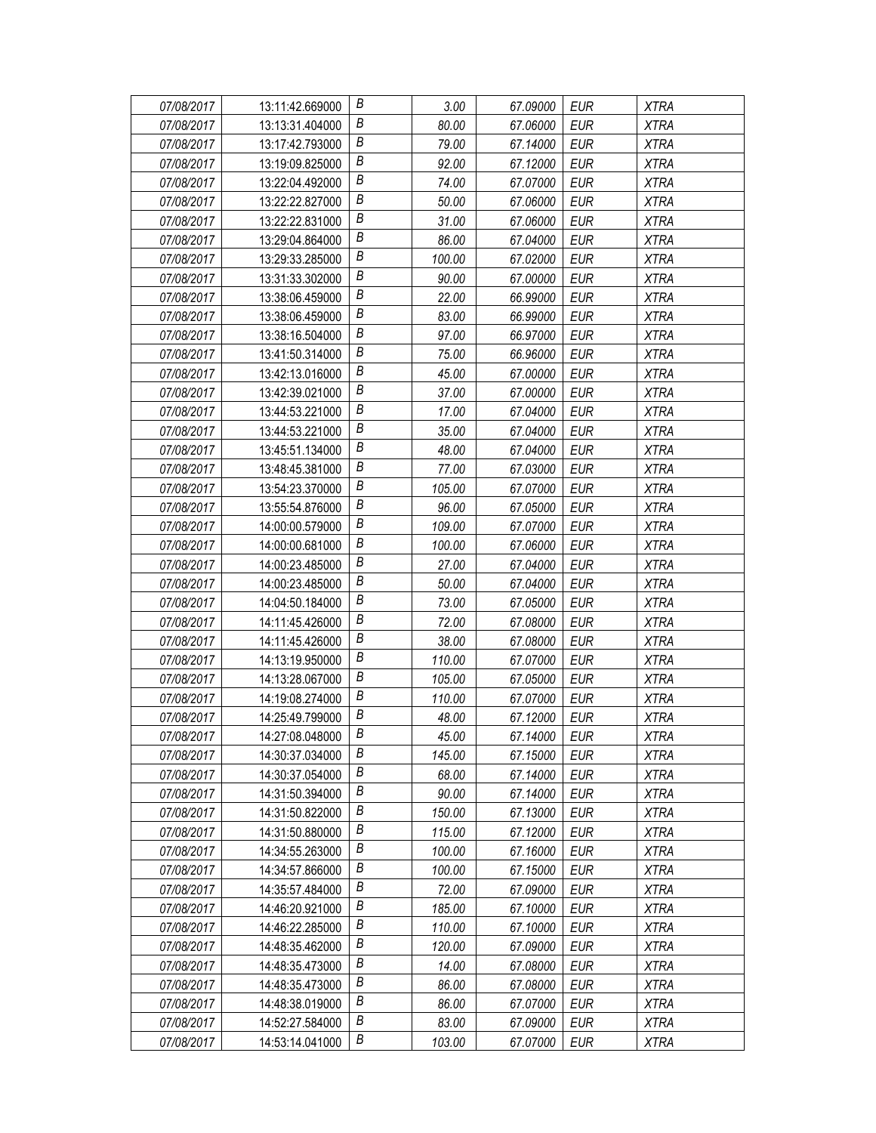| 07/08/2017 | 13:11:42.669000 | В                | 3.00   | 67.09000 | EUR        | <b>XTRA</b> |
|------------|-----------------|------------------|--------|----------|------------|-------------|
| 07/08/2017 | 13:13:31.404000 | В                | 80.00  | 67.06000 | EUR        | <b>XTRA</b> |
| 07/08/2017 | 13:17:42.793000 | Β                | 79.00  | 67.14000 | <b>EUR</b> | <b>XTRA</b> |
| 07/08/2017 | 13:19:09.825000 | $\boldsymbol{B}$ | 92.00  | 67.12000 | <b>EUR</b> | <b>XTRA</b> |
| 07/08/2017 | 13:22:04.492000 | В                | 74.00  | 67.07000 | <b>EUR</b> | <b>XTRA</b> |
| 07/08/2017 | 13:22:22.827000 | Β                | 50.00  | 67.06000 | <b>EUR</b> | <b>XTRA</b> |
| 07/08/2017 | 13:22:22.831000 | В                | 31.00  | 67.06000 | <b>EUR</b> | <b>XTRA</b> |
| 07/08/2017 | 13:29:04.864000 | В                | 86.00  | 67.04000 | <b>EUR</b> | <b>XTRA</b> |
| 07/08/2017 | 13:29:33.285000 | В                | 100.00 | 67.02000 | <b>EUR</b> | <b>XTRA</b> |
| 07/08/2017 | 13:31:33.302000 | В                | 90.00  | 67.00000 | <b>EUR</b> | <b>XTRA</b> |
| 07/08/2017 | 13:38:06.459000 | В                | 22.00  | 66.99000 | <b>EUR</b> | <b>XTRA</b> |
| 07/08/2017 | 13:38:06.459000 | В                | 83.00  | 66.99000 | <b>EUR</b> | <b>XTRA</b> |
| 07/08/2017 | 13:38:16.504000 | $\boldsymbol{B}$ | 97.00  | 66.97000 | <b>EUR</b> | <b>XTRA</b> |
| 07/08/2017 | 13:41:50.314000 | В                | 75.00  | 66.96000 | <b>EUR</b> | <b>XTRA</b> |
| 07/08/2017 | 13:42:13.016000 | Β                | 45.00  | 67.00000 | <b>EUR</b> | <b>XTRA</b> |
| 07/08/2017 | 13:42:39.021000 | В                | 37.00  | 67.00000 | <b>EUR</b> | <b>XTRA</b> |
| 07/08/2017 | 13:44:53.221000 | В                | 17.00  | 67.04000 | <b>EUR</b> | <b>XTRA</b> |
| 07/08/2017 | 13:44:53.221000 | B                | 35.00  | 67.04000 | <b>EUR</b> | <b>XTRA</b> |
| 07/08/2017 | 13:45:51.134000 | B                | 48.00  | 67.04000 | <b>EUR</b> | <b>XTRA</b> |
| 07/08/2017 | 13:48:45.381000 | В                | 77.00  | 67.03000 | EUR        | <b>XTRA</b> |
| 07/08/2017 | 13:54:23.370000 | Β                | 105.00 | 67.07000 | <b>EUR</b> | <b>XTRA</b> |
| 07/08/2017 | 13:55:54.876000 | $\boldsymbol{B}$ | 96.00  | 67.05000 | <b>EUR</b> | <b>XTRA</b> |
| 07/08/2017 | 14:00:00.579000 | В                | 109.00 | 67.07000 | <b>EUR</b> | <b>XTRA</b> |
| 07/08/2017 | 14:00:00.681000 | В                | 100.00 | 67.06000 | <b>EUR</b> | <b>XTRA</b> |
| 07/08/2017 | 14:00:23.485000 | Β                | 27.00  | 67.04000 | <b>EUR</b> | <b>XTRA</b> |
| 07/08/2017 | 14:00:23.485000 | В                | 50.00  | 67.04000 | <b>EUR</b> | <b>XTRA</b> |
| 07/08/2017 | 14:04:50.184000 | B                | 73.00  | 67.05000 | <b>EUR</b> | <b>XTRA</b> |
| 07/08/2017 | 14:11:45.426000 | В                | 72.00  | 67.08000 | EUR        | <b>XTRA</b> |
| 07/08/2017 | 14:11:45.426000 | B                | 38.00  | 67.08000 | <b>EUR</b> | <b>XTRA</b> |
| 07/08/2017 | 14:13:19.950000 | Β                | 110.00 | 67.07000 | <b>EUR</b> | <b>XTRA</b> |
| 07/08/2017 | 14:13:28.067000 | $\boldsymbol{B}$ | 105.00 | 67.05000 | <b>EUR</b> | <b>XTRA</b> |
| 07/08/2017 | 14:19:08.274000 | $\boldsymbol{B}$ | 110.00 | 67.07000 | <b>EUR</b> | <b>XTRA</b> |
| 07/08/2017 | 14:25:49.799000 | В                | 48.00  | 67.12000 | <b>EUR</b> | <b>XTRA</b> |
| 07/08/2017 | 14:27:08.048000 | B                | 45.00  | 67.14000 | <b>EUR</b> | <b>XTRA</b> |
| 07/08/2017 | 14:30:37.034000 | В                | 145.00 | 67.15000 | EUR        | <b>XTRA</b> |
| 07/08/2017 | 14:30:37.054000 | Β                | 68.00  | 67.14000 | <b>EUR</b> | <b>XTRA</b> |
| 07/08/2017 | 14:31:50.394000 | Β                | 90.00  | 67.14000 | EUR        | <b>XTRA</b> |
| 07/08/2017 | 14:31:50.822000 | В                | 150.00 | 67.13000 | EUR        | <b>XTRA</b> |
| 07/08/2017 | 14:31:50.880000 | В                | 115.00 | 67.12000 | <b>EUR</b> | <b>XTRA</b> |
| 07/08/2017 | 14:34:55.263000 | В                | 100.00 | 67.16000 | EUR        | <b>XTRA</b> |
| 07/08/2017 | 14:34:57.866000 | B                | 100.00 | 67.15000 | <b>EUR</b> | XTRA        |
| 07/08/2017 | 14:35:57.484000 | В                | 72.00  | 67.09000 | <b>EUR</b> | <b>XTRA</b> |
| 07/08/2017 | 14:46:20.921000 | Β                | 185.00 | 67.10000 | <b>EUR</b> | <b>XTRA</b> |
| 07/08/2017 | 14:46:22.285000 | В                | 110.00 | 67.10000 | <b>EUR</b> | <b>XTRA</b> |
| 07/08/2017 | 14:48:35.462000 | B                | 120.00 | 67.09000 | <b>EUR</b> | <b>XTRA</b> |
| 07/08/2017 | 14:48:35.473000 | Β                | 14.00  | 67.08000 | EUR        | <b>XTRA</b> |
| 07/08/2017 | 14:48:35.473000 | Β                | 86.00  | 67.08000 | EUR        | <b>XTRA</b> |
| 07/08/2017 | 14:48:38.019000 | В                | 86.00  | 67.07000 | <b>EUR</b> | <b>XTRA</b> |
| 07/08/2017 | 14:52:27.584000 | В                | 83.00  | 67.09000 | <b>EUR</b> | <b>XTRA</b> |
| 07/08/2017 | 14:53:14.041000 | Β                | 103.00 | 67.07000 | <b>EUR</b> | <b>XTRA</b> |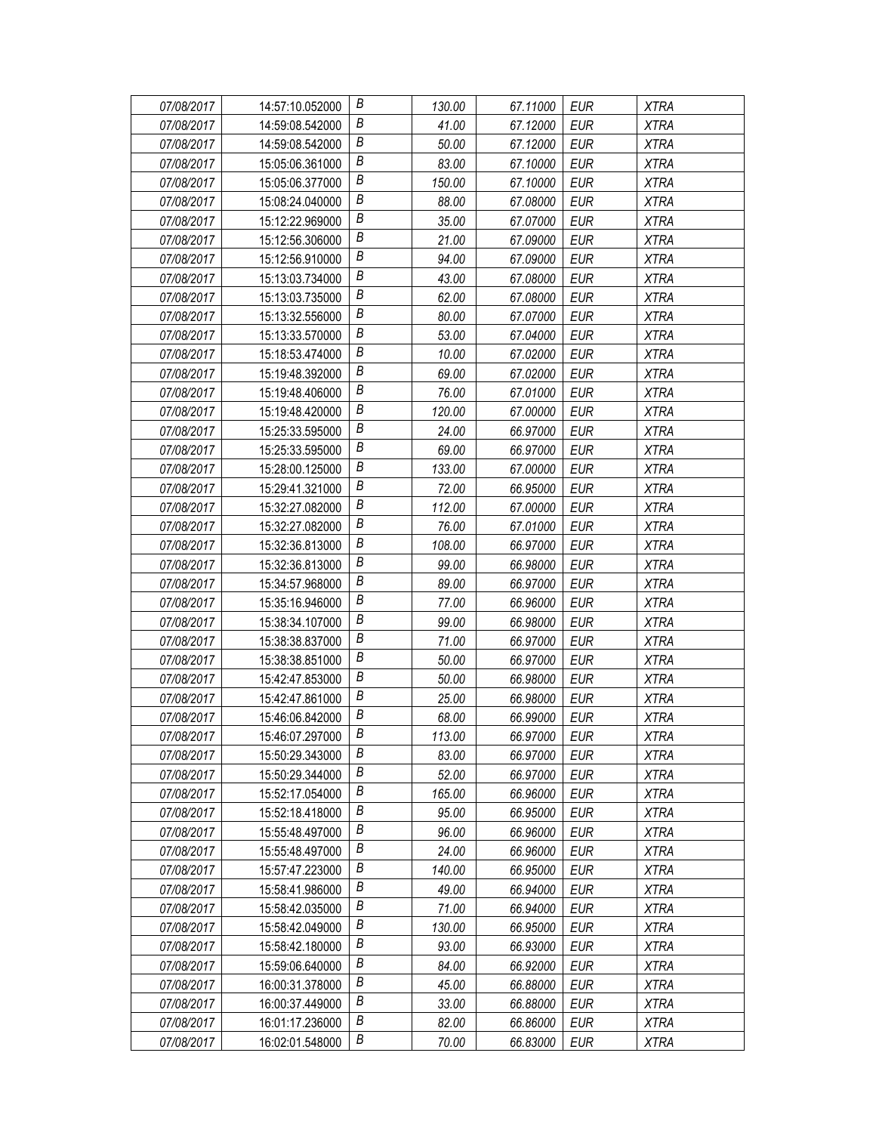| 07/08/2017 | 14:57:10.052000 | В                | 130.00 | 67.11000 | EUR        | <b>XTRA</b> |
|------------|-----------------|------------------|--------|----------|------------|-------------|
| 07/08/2017 | 14:59:08.542000 | В                | 41.00  | 67.12000 | EUR        | <b>XTRA</b> |
| 07/08/2017 | 14:59:08.542000 | Β                | 50.00  | 67.12000 | <b>EUR</b> | <b>XTRA</b> |
| 07/08/2017 | 15:05:06.361000 | $\boldsymbol{B}$ | 83.00  | 67.10000 | <b>EUR</b> | <b>XTRA</b> |
| 07/08/2017 | 15:05:06.377000 | В                | 150.00 | 67.10000 | <b>EUR</b> | <b>XTRA</b> |
| 07/08/2017 | 15:08:24.040000 | Β                | 88.00  | 67.08000 | <b>EUR</b> | <b>XTRA</b> |
| 07/08/2017 | 15:12:22.969000 | В                | 35.00  | 67.07000 | <b>EUR</b> | <b>XTRA</b> |
| 07/08/2017 | 15:12:56.306000 | В                | 21.00  | 67.09000 | <b>EUR</b> | <b>XTRA</b> |
| 07/08/2017 | 15:12:56.910000 | B                | 94.00  | 67.09000 | <b>EUR</b> | <b>XTRA</b> |
| 07/08/2017 | 15:13:03.734000 | B                | 43.00  | 67.08000 | <b>EUR</b> | <b>XTRA</b> |
| 07/08/2017 | 15:13:03.735000 | В                | 62.00  | 67.08000 | <b>EUR</b> | <b>XTRA</b> |
| 07/08/2017 | 15:13:32.556000 | В                | 80.00  | 67.07000 | <b>EUR</b> | <b>XTRA</b> |
| 07/08/2017 | 15:13:33.570000 | B                | 53.00  | 67.04000 | <b>EUR</b> | <b>XTRA</b> |
| 07/08/2017 | 15:18:53.474000 | В                | 10.00  | 67.02000 | <b>EUR</b> | <b>XTRA</b> |
| 07/08/2017 | 15:19:48.392000 | Β                | 69.00  | 67.02000 | <b>EUR</b> | <b>XTRA</b> |
| 07/08/2017 | 15:19:48.406000 | В                | 76.00  | 67.01000 | <b>EUR</b> | <b>XTRA</b> |
| 07/08/2017 | 15:19:48.420000 | В                | 120.00 | 67.00000 | <b>EUR</b> | <b>XTRA</b> |
| 07/08/2017 | 15:25:33.595000 | В                | 24.00  | 66.97000 | <b>EUR</b> | <b>XTRA</b> |
| 07/08/2017 | 15:25:33.595000 | B                | 69.00  | 66.97000 | <b>EUR</b> | <b>XTRA</b> |
| 07/08/2017 | 15:28:00.125000 | Β                | 133.00 | 67.00000 | EUR        | <b>XTRA</b> |
| 07/08/2017 | 15:29:41.321000 | Β                | 72.00  | 66.95000 | <b>EUR</b> | <b>XTRA</b> |
| 07/08/2017 | 15:32:27.082000 | $\boldsymbol{B}$ | 112.00 | 67.00000 | <b>EUR</b> | <b>XTRA</b> |
| 07/08/2017 | 15:32:27.082000 | В                | 76.00  | 67.01000 | <b>EUR</b> | <b>XTRA</b> |
| 07/08/2017 | 15:32:36.813000 | Β                | 108.00 | 66.97000 | <b>EUR</b> | <b>XTRA</b> |
| 07/08/2017 | 15:32:36.813000 | Β                | 99.00  | 66.98000 | <b>EUR</b> | <b>XTRA</b> |
| 07/08/2017 | 15:34:57.968000 | В                | 89.00  | 66.97000 | <b>EUR</b> | <b>XTRA</b> |
| 07/08/2017 | 15:35:16.946000 | B                | 77.00  | 66.96000 | <b>EUR</b> | <b>XTRA</b> |
| 07/08/2017 | 15:38:34.107000 | В                | 99.00  | 66.98000 | EUR        | <b>XTRA</b> |
| 07/08/2017 | 15:38:38.837000 | B                | 71.00  | 66.97000 | <b>EUR</b> | <b>XTRA</b> |
| 07/08/2017 | 15:38:38.851000 | Β                | 50.00  | 66.97000 | <b>EUR</b> | <b>XTRA</b> |
| 07/08/2017 | 15:42:47.853000 | B                | 50.00  | 66.98000 | <b>EUR</b> | <b>XTRA</b> |
| 07/08/2017 | 15:42:47.861000 | $\boldsymbol{B}$ | 25.00  | 66.98000 | EUR        | <b>XTRA</b> |
| 07/08/2017 | 15:46:06.842000 | В                | 68.00  | 66.99000 | <b>EUR</b> | <b>XTRA</b> |
| 07/08/2017 | 15:46:07.297000 | B                | 113.00 | 66.97000 | <b>EUR</b> | <b>XTRA</b> |
| 07/08/2017 | 15:50:29.343000 | В                | 83.00  | 66.97000 | EUR        | <b>XTRA</b> |
| 07/08/2017 | 15:50:29.344000 | Β                | 52.00  | 66.97000 | <b>EUR</b> | <b>XTRA</b> |
| 07/08/2017 | 15:52:17.054000 | Β                | 165.00 | 66.96000 | EUR        | XTRA        |
| 07/08/2017 | 15:52:18.418000 | В                | 95.00  | 66.95000 | EUR        | <b>XTRA</b> |
| 07/08/2017 | 15:55:48.497000 | Β                | 96.00  | 66.96000 | <b>EUR</b> | <b>XTRA</b> |
| 07/08/2017 | 15:55:48.497000 | В                | 24.00  | 66.96000 | EUR        | <b>XTRA</b> |
| 07/08/2017 | 15:57:47.223000 | B                | 140.00 | 66.95000 | <b>EUR</b> | XTRA        |
| 07/08/2017 | 15:58:41.986000 | В                | 49.00  | 66.94000 | <b>EUR</b> | <b>XTRA</b> |
| 07/08/2017 | 15:58:42.035000 | Β                | 71.00  | 66.94000 | <b>EUR</b> | <b>XTRA</b> |
| 07/08/2017 | 15:58:42.049000 | Β                | 130.00 | 66.95000 | <b>EUR</b> | <b>XTRA</b> |
| 07/08/2017 | 15:58:42.180000 | B                | 93.00  | 66.93000 | <b>EUR</b> | <b>XTRA</b> |
| 07/08/2017 | 15:59:06.640000 | Β                | 84.00  | 66.92000 | EUR        | <b>XTRA</b> |
| 07/08/2017 | 16:00:31.378000 | Β                | 45.00  | 66.88000 | EUR        | <b>XTRA</b> |
| 07/08/2017 | 16:00:37.449000 | В                | 33.00  | 66.88000 | <b>EUR</b> | <b>XTRA</b> |
| 07/08/2017 | 16:01:17.236000 | В                | 82.00  | 66.86000 | EUR        | <b>XTRA</b> |
| 07/08/2017 | 16:02:01.548000 | В                | 70.00  | 66.83000 | <b>EUR</b> | <b>XTRA</b> |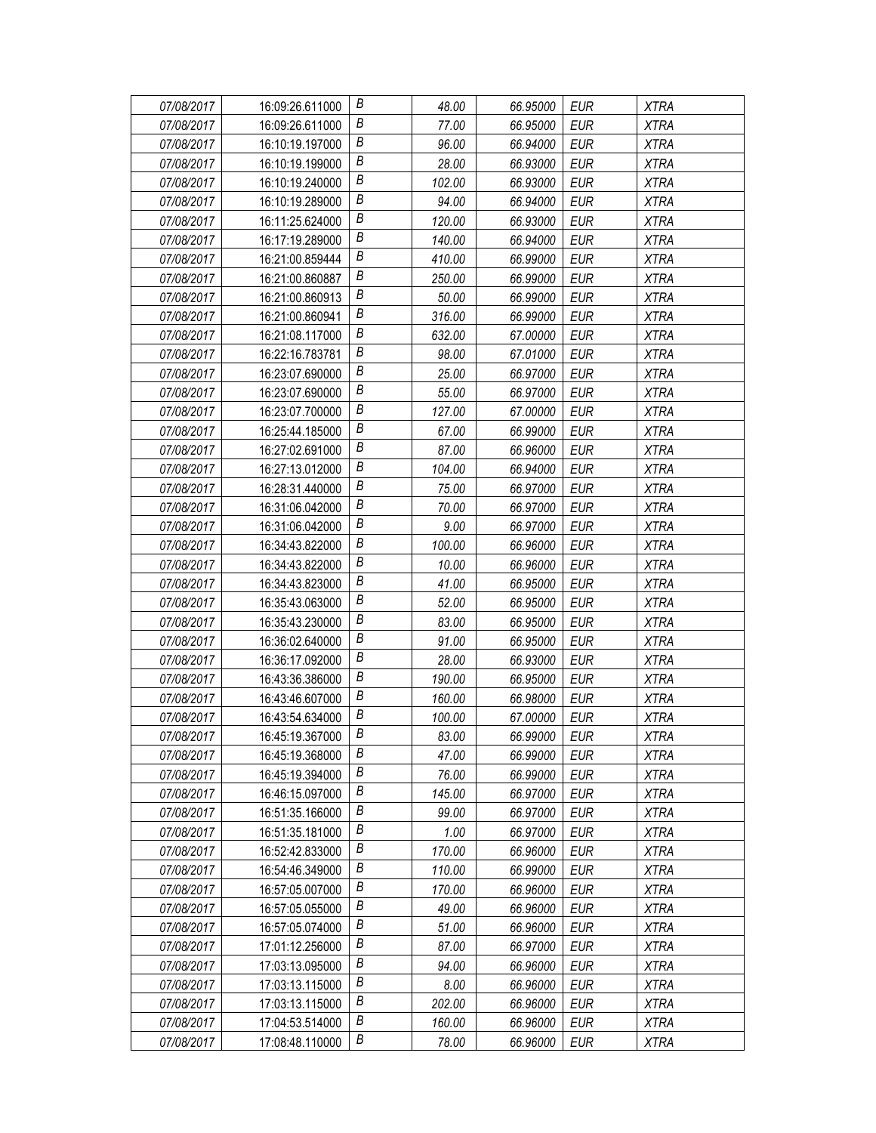| 07/08/2017 | 16:09:26.611000 | В                | 48.00  | 66.95000 | <b>EUR</b> | <b>XTRA</b> |
|------------|-----------------|------------------|--------|----------|------------|-------------|
| 07/08/2017 | 16:09:26.611000 | В                | 77.00  | 66.95000 | <b>EUR</b> | <b>XTRA</b> |
| 07/08/2017 | 16:10:19.197000 | В                | 96.00  | 66.94000 | <b>EUR</b> | <b>XTRA</b> |
| 07/08/2017 | 16:10:19.199000 | $\boldsymbol{B}$ | 28.00  | 66.93000 | EUR        | <b>XTRA</b> |
| 07/08/2017 | 16:10:19.240000 | B                | 102.00 | 66.93000 | <b>EUR</b> | <b>XTRA</b> |
| 07/08/2017 | 16:10:19.289000 | B                | 94.00  | 66.94000 | <b>EUR</b> | <b>XTRA</b> |
| 07/08/2017 | 16:11:25.624000 | Β                | 120.00 | 66.93000 | <b>EUR</b> | <b>XTRA</b> |
| 07/08/2017 | 16:17:19.289000 | $\boldsymbol{B}$ | 140.00 | 66.94000 | <b>EUR</b> | <b>XTRA</b> |
| 07/08/2017 | 16:21:00.859444 | B                | 410.00 | 66.99000 | <b>EUR</b> | <b>XTRA</b> |
| 07/08/2017 | 16:21:00.860887 | $\boldsymbol{B}$ | 250.00 | 66.99000 | EUR        | <b>XTRA</b> |
| 07/08/2017 | 16:21:00.860913 | B                | 50.00  | 66.99000 | <b>EUR</b> | <b>XTRA</b> |
| 07/08/2017 | 16:21:00.860941 | В                | 316.00 | 66.99000 | <b>EUR</b> | <b>XTRA</b> |
| 07/08/2017 | 16:21:08.117000 | B                | 632.00 | 67.00000 | <b>EUR</b> | <b>XTRA</b> |
| 07/08/2017 | 16:22:16.783781 | B                | 98.00  | 67.01000 | <b>EUR</b> | <b>XTRA</b> |
| 07/08/2017 | 16:23:07.690000 | $\boldsymbol{B}$ | 25.00  | 66.97000 | EUR        | <b>XTRA</b> |
| 07/08/2017 | 16:23:07.690000 | Β                | 55.00  | 66.97000 | <b>EUR</b> | <b>XTRA</b> |
| 07/08/2017 | 16:23:07.700000 | $\boldsymbol{B}$ | 127.00 | 67.00000 | <b>EUR</b> | <b>XTRA</b> |
| 07/08/2017 | 16:25:44.185000 | B                | 67.00  | 66.99000 | <b>EUR</b> | <b>XTRA</b> |
| 07/08/2017 | 16:27:02.691000 | B                | 87.00  | 66.96000 | EUR        | <b>XTRA</b> |
| 07/08/2017 | 16:27:13.012000 | B                | 104.00 | 66.94000 | <b>EUR</b> | <b>XTRA</b> |
| 07/08/2017 | 16:28:31.440000 | В                | 75.00  | 66.97000 | <b>EUR</b> | <b>XTRA</b> |
| 07/08/2017 | 16:31:06.042000 | $\boldsymbol{B}$ | 70.00  | 66.97000 | <b>EUR</b> | <b>XTRA</b> |
| 07/08/2017 | 16:31:06.042000 | B                | 9.00   | 66.97000 | <b>EUR</b> | <b>XTRA</b> |
| 07/08/2017 | 16:34:43.822000 | В                | 100.00 | 66.96000 | EUR        | <b>XTRA</b> |
| 07/08/2017 | 16:34:43.822000 | B                | 10.00  | 66.96000 | <b>EUR</b> | <b>XTRA</b> |
| 07/08/2017 | 16:34:43.823000 | B                | 41.00  | 66.95000 | EUR        | <b>XTRA</b> |
| 07/08/2017 | 16:35:43.063000 | B                | 52.00  | 66.95000 | <b>EUR</b> | <b>XTRA</b> |
| 07/08/2017 | 16:35:43.230000 | В                | 83.00  | 66.95000 | <b>EUR</b> | <b>XTRA</b> |
| 07/08/2017 | 16:36:02.640000 | B                | 91.00  | 66.95000 | <b>EUR</b> | <b>XTRA</b> |
| 07/08/2017 | 16:36:17.092000 | В                | 28.00  | 66.93000 | <b>EUR</b> | <b>XTRA</b> |
| 07/08/2017 | 16:43:36.386000 | $\boldsymbol{B}$ | 190.00 | 66.95000 | <b>EUR</b> | <b>XTRA</b> |
| 07/08/2017 | 16:43:46.607000 | B                | 160.00 | 66.98000 | EUR        | <b>XTRA</b> |
| 07/08/2017 | 16:43:54.634000 | B                | 100.00 | 67.00000 | <b>EUR</b> | <b>XTRA</b> |
| 07/08/2017 | 16:45:19.367000 | В                | 83.00  | 66.99000 | <b>EUR</b> | <b>XTRA</b> |
| 07/08/2017 | 16:45:19.368000 | B                | 47.00  | 66.99000 | EUR        | <b>XTRA</b> |
| 07/08/2017 | 16:45:19.394000 | В                | 76.00  | 66.99000 | <b>EUR</b> | <b>XTRA</b> |
| 07/08/2017 | 16:46:15.097000 | B                | 145.00 | 66.97000 | EUR        | <b>XTRA</b> |
| 07/08/2017 | 16:51:35.166000 | В                | 99.00  | 66.97000 | EUR        | <b>XTRA</b> |
| 07/08/2017 | 16:51:35.181000 | В                | 1.00   | 66.97000 | <b>EUR</b> | <b>XTRA</b> |
| 07/08/2017 | 16:52:42.833000 | B                | 170.00 | 66.96000 | EUR        | <b>XTRA</b> |
| 07/08/2017 | 16:54:46.349000 | B                | 110.00 | 66.99000 | <b>EUR</b> | <b>XTRA</b> |
| 07/08/2017 | 16:57:05.007000 | B                | 170.00 | 66.96000 | EUR        | <b>XTRA</b> |
| 07/08/2017 | 16:57:05.055000 | В                | 49.00  | 66.96000 | <b>EUR</b> | <b>XTRA</b> |
| 07/08/2017 | 16:57:05.074000 | B                | 51.00  | 66.96000 | <b>EUR</b> | XTRA        |
| 07/08/2017 | 17:01:12.256000 | В                | 87.00  | 66.97000 | EUR        | <b>XTRA</b> |
| 07/08/2017 | 17:03:13.095000 | B                | 94.00  | 66.96000 | EUR        | <b>XTRA</b> |
| 07/08/2017 | 17:03:13.115000 | В                | 8.00   | 66.96000 | <b>EUR</b> | <b>XTRA</b> |
| 07/08/2017 | 17:03:13.115000 | В                | 202.00 | 66.96000 | EUR        | <b>XTRA</b> |
| 07/08/2017 | 17:04:53.514000 | B                | 160.00 | 66.96000 | <b>EUR</b> | <b>XTRA</b> |
| 07/08/2017 | 17:08:48.110000 | В                | 78.00  | 66.96000 | <b>EUR</b> | <b>XTRA</b> |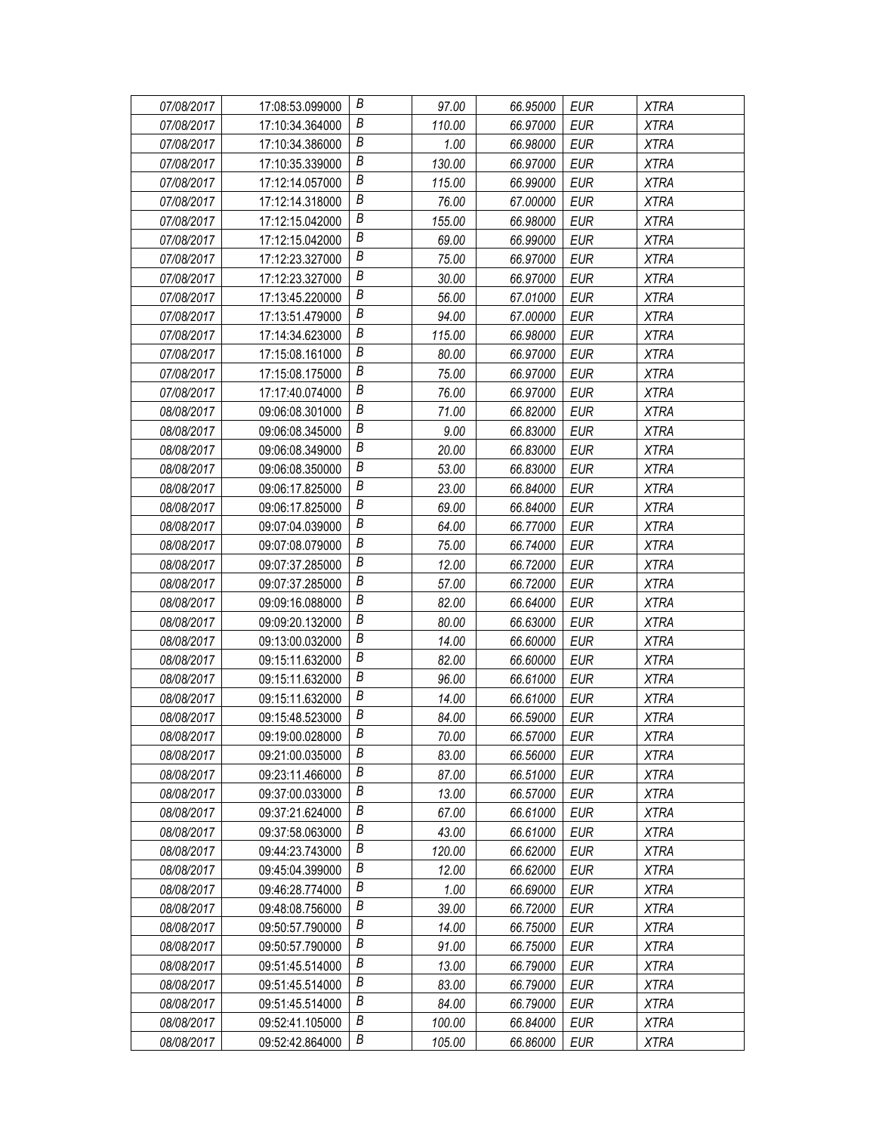| 07/08/2017 | 17:08:53.099000 | В                | 97.00  | 66.95000 | EUR        | <b>XTRA</b> |
|------------|-----------------|------------------|--------|----------|------------|-------------|
| 07/08/2017 | 17:10:34.364000 | В                | 110.00 | 66.97000 | <b>EUR</b> | <b>XTRA</b> |
| 07/08/2017 | 17:10:34.386000 | Β                | 1.00   | 66.98000 | <b>EUR</b> | <b>XTRA</b> |
| 07/08/2017 | 17:10:35.339000 | $\boldsymbol{B}$ | 130.00 | 66.97000 | <b>EUR</b> | <b>XTRA</b> |
| 07/08/2017 | 17:12:14.057000 | B                | 115.00 | 66.99000 | <b>EUR</b> | <b>XTRA</b> |
| 07/08/2017 | 17:12:14.318000 | B                | 76.00  | 67.00000 | <b>EUR</b> | <b>XTRA</b> |
| 07/08/2017 | 17:12:15.042000 | B                | 155.00 | 66.98000 | <b>EUR</b> | <b>XTRA</b> |
| 07/08/2017 | 17:12:15.042000 | $\boldsymbol{B}$ | 69.00  | 66.99000 | <b>EUR</b> | <b>XTRA</b> |
| 07/08/2017 | 17:12:23.327000 | $\boldsymbol{B}$ | 75.00  | 66.97000 | <b>EUR</b> | <b>XTRA</b> |
| 07/08/2017 | 17:12:23.327000 | B                | 30.00  | 66.97000 | <b>EUR</b> | <b>XTRA</b> |
| 07/08/2017 | 17:13:45.220000 | B                | 56.00  | 67.01000 | <b>EUR</b> | <b>XTRA</b> |
| 07/08/2017 | 17:13:51.479000 | В                | 94.00  | 67.00000 | <b>EUR</b> | <b>XTRA</b> |
| 07/08/2017 | 17:14:34.623000 | $\boldsymbol{B}$ | 115.00 | 66.98000 | <b>EUR</b> | <b>XTRA</b> |
| 07/08/2017 | 17:15:08.161000 | B                | 80.00  | 66.97000 | <b>EUR</b> | <b>XTRA</b> |
| 07/08/2017 | 17:15:08.175000 | B                | 75.00  | 66.97000 | <b>EUR</b> | <b>XTRA</b> |
| 07/08/2017 | 17:17:40.074000 | B                | 76.00  | 66.97000 | <b>EUR</b> | <b>XTRA</b> |
| 08/08/2017 | 09:06:08.301000 | $\boldsymbol{B}$ | 71.00  | 66.82000 | <b>EUR</b> | <b>XTRA</b> |
| 08/08/2017 | 09:06:08.345000 | $\boldsymbol{B}$ | 9.00   | 66.83000 | <b>EUR</b> | <b>XTRA</b> |
| 08/08/2017 | 09:06:08.349000 | B                | 20.00  | 66.83000 | <b>EUR</b> | <b>XTRA</b> |
| 08/08/2017 | 09:06:08.350000 | B                | 53.00  | 66.83000 | EUR        | <b>XTRA</b> |
| 08/08/2017 | 09:06:17.825000 | В                | 23.00  | 66.84000 | <b>EUR</b> | <b>XTRA</b> |
| 08/08/2017 | 09:06:17.825000 | $\boldsymbol{B}$ | 69.00  | 66.84000 | <b>EUR</b> | <b>XTRA</b> |
| 08/08/2017 | 09:07:04.039000 | B                | 64.00  | 66.77000 | <b>EUR</b> | <b>XTRA</b> |
| 08/08/2017 | 09:07:08.079000 | B                | 75.00  | 66.74000 | EUR        | <b>XTRA</b> |
| 08/08/2017 | 09:07:37.285000 | Β                | 12.00  | 66.72000 | <b>EUR</b> | <b>XTRA</b> |
| 08/08/2017 | 09:07:37.285000 | В                | 57.00  | 66.72000 | <b>EUR</b> | <b>XTRA</b> |
| 08/08/2017 | 09:09:16.088000 | $\boldsymbol{B}$ | 82.00  | 66.64000 | <b>EUR</b> | <b>XTRA</b> |
| 08/08/2017 | 09:09:20.132000 | $\boldsymbol{B}$ | 80.00  | 66.63000 | EUR        | <b>XTRA</b> |
| 08/08/2017 | 09:13:00.032000 | B                | 14.00  | 66.60000 | <b>EUR</b> | <b>XTRA</b> |
| 08/08/2017 | 09:15:11.632000 | В                | 82.00  | 66.60000 | <b>EUR</b> | <b>XTRA</b> |
| 08/08/2017 | 09:15:11.632000 | B                | 96.00  | 66.61000 | <b>EUR</b> | <b>XTRA</b> |
| 08/08/2017 | 09:15:11.632000 | B                | 14.00  | 66.61000 | EUR        | <b>XTRA</b> |
| 08/08/2017 | 09:15:48.523000 | $\boldsymbol{B}$ | 84.00  | 66.59000 | EUR        | <b>XTRA</b> |
| 08/08/2017 | 09:19:00.028000 | B                | 70.00  | 66.57000 | <b>EUR</b> | <b>XTRA</b> |
| 08/08/2017 | 09:21:00.035000 | B                | 83.00  | 66.56000 | EUR        | XTRA        |
| 08/08/2017 | 09:23:11.466000 | B                | 87.00  | 66.51000 | <b>EUR</b> | <b>XTRA</b> |
| 08/08/2017 | 09:37:00.033000 | Β                | 13.00  | 66.57000 | EUR        | <b>XTRA</b> |
| 08/08/2017 | 09:37:21.624000 | В                | 67.00  | 66.61000 | EUR        | <b>XTRA</b> |
| 08/08/2017 | 09:37:58.063000 | B                | 43.00  | 66.61000 | <b>EUR</b> | <b>XTRA</b> |
| 08/08/2017 | 09:44:23.743000 | B                | 120.00 | 66.62000 | EUR        | XTRA        |
| 08/08/2017 | 09:45:04.399000 | B                | 12.00  | 66.62000 | <b>EUR</b> | XTRA        |
| 08/08/2017 | 09:46:28.774000 | B                | 1.00   | 66.69000 | <b>EUR</b> | <b>XTRA</b> |
| 08/08/2017 | 09:48:08.756000 | Β                | 39.00  | 66.72000 | <b>EUR</b> | <b>XTRA</b> |
| 08/08/2017 | 09:50:57.790000 | B                | 14.00  | 66.75000 | <b>EUR</b> | <b>XTRA</b> |
| 08/08/2017 | 09:50:57.790000 | B                | 91.00  | 66.75000 | <b>EUR</b> | <b>XTRA</b> |
| 08/08/2017 | 09:51:45.514000 | Β                | 13.00  | 66.79000 | EUR        | XTRA        |
| 08/08/2017 | 09:51:45.514000 | B                | 83.00  | 66.79000 | EUR        | <b>XTRA</b> |
| 08/08/2017 | 09:51:45.514000 | B                | 84.00  | 66.79000 | <b>EUR</b> | <b>XTRA</b> |
| 08/08/2017 | 09:52:41.105000 | B                | 100.00 | 66.84000 | EUR        | <b>XTRA</b> |
| 08/08/2017 | 09:52:42.864000 | В                | 105.00 | 66.86000 | EUR        | XTRA        |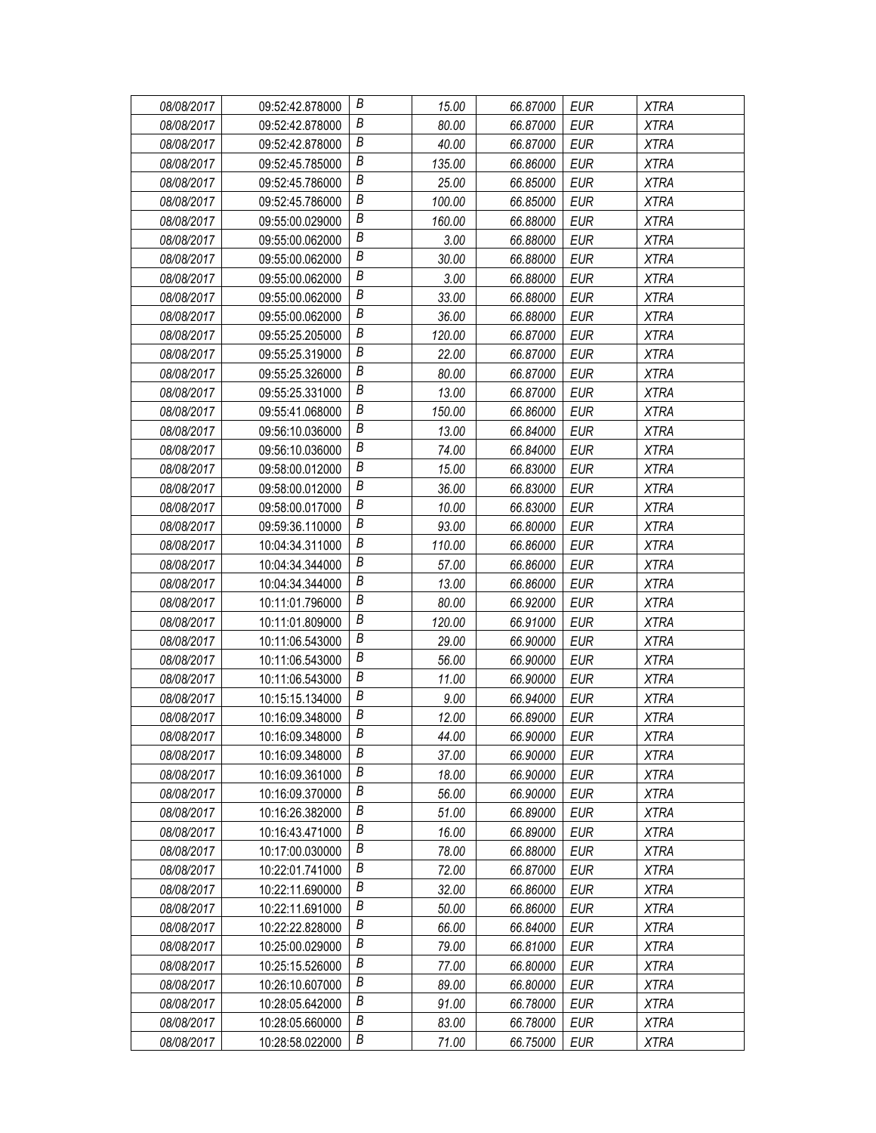| 08/08/2017 | 09:52:42.878000 | В                | 15.00  | 66.87000 | EUR        | <b>XTRA</b> |
|------------|-----------------|------------------|--------|----------|------------|-------------|
| 08/08/2017 | 09:52:42.878000 | В                | 80.00  | 66.87000 | EUR        | <b>XTRA</b> |
| 08/08/2017 | 09:52:42.878000 | Β                | 40.00  | 66.87000 | <b>EUR</b> | <b>XTRA</b> |
| 08/08/2017 | 09:52:45.785000 | $\boldsymbol{B}$ | 135.00 | 66.86000 | EUR        | <b>XTRA</b> |
| 08/08/2017 | 09:52:45.786000 | B                | 25.00  | 66.85000 | <b>EUR</b> | <b>XTRA</b> |
| 08/08/2017 | 09:52:45.786000 | B                | 100.00 | 66.85000 | <b>EUR</b> | <b>XTRA</b> |
| 08/08/2017 | 09:55:00.029000 | B                | 160.00 | 66.88000 | <b>EUR</b> | <b>XTRA</b> |
| 08/08/2017 | 09:55:00.062000 | $\boldsymbol{B}$ | 3.00   | 66.88000 | <b>EUR</b> | <b>XTRA</b> |
| 08/08/2017 | 09:55:00.062000 | $\boldsymbol{B}$ | 30.00  | 66.88000 | <b>EUR</b> | <b>XTRA</b> |
| 08/08/2017 | 09:55:00.062000 | B                | 3.00   | 66.88000 | <b>EUR</b> | <b>XTRA</b> |
| 08/08/2017 | 09:55:00.062000 | B                | 33.00  | 66.88000 | <b>EUR</b> | <b>XTRA</b> |
| 08/08/2017 | 09:55:00.062000 | B                | 36.00  | 66.88000 | <b>EUR</b> | <b>XTRA</b> |
| 08/08/2017 | 09:55:25.205000 | B                | 120.00 | 66.87000 | <b>EUR</b> | <b>XTRA</b> |
| 08/08/2017 | 09:55:25.319000 | B                | 22.00  | 66.87000 | <b>EUR</b> | <b>XTRA</b> |
| 08/08/2017 | 09:55:25.326000 | B                | 80.00  | 66.87000 | <b>EUR</b> | <b>XTRA</b> |
| 08/08/2017 | 09:55:25.331000 | B                | 13.00  | 66.87000 | <b>EUR</b> | <b>XTRA</b> |
| 08/08/2017 | 09:55:41.068000 | В                | 150.00 | 66.86000 | <b>EUR</b> | <b>XTRA</b> |
| 08/08/2017 | 09:56:10.036000 | $\boldsymbol{B}$ | 13.00  | 66.84000 | <b>EUR</b> | <b>XTRA</b> |
| 08/08/2017 | 09:56:10.036000 | B                | 74.00  | 66.84000 | <b>EUR</b> | <b>XTRA</b> |
| 08/08/2017 | 09:58:00.012000 | B                | 15.00  | 66.83000 | EUR        | <b>XTRA</b> |
| 08/08/2017 | 09:58:00.012000 | B                | 36.00  | 66.83000 | <b>EUR</b> | <b>XTRA</b> |
| 08/08/2017 | 09:58:00.017000 | B                | 10.00  | 66.83000 | <b>EUR</b> | <b>XTRA</b> |
| 08/08/2017 | 09:59:36.110000 | B                | 93.00  | 66.80000 | <b>EUR</b> | <b>XTRA</b> |
| 08/08/2017 | 10:04:34.311000 | B                | 110.00 | 66.86000 | EUR        | <b>XTRA</b> |
| 08/08/2017 | 10:04:34.344000 | Β                | 57.00  | 66.86000 | <b>EUR</b> | <b>XTRA</b> |
| 08/08/2017 | 10:04:34.344000 | В                | 13.00  | 66.86000 | <b>EUR</b> | <b>XTRA</b> |
| 08/08/2017 | 10:11:01.796000 | $\boldsymbol{B}$ | 80.00  | 66.92000 | <b>EUR</b> | <b>XTRA</b> |
| 08/08/2017 | 10:11:01.809000 | $\boldsymbol{B}$ | 120.00 | 66.91000 | EUR        | <b>XTRA</b> |
| 08/08/2017 | 10:11:06.543000 | B                | 29.00  | 66.90000 | <b>EUR</b> | <b>XTRA</b> |
| 08/08/2017 | 10:11:06.543000 | В                | 56.00  | 66.90000 | <b>EUR</b> | <b>XTRA</b> |
| 08/08/2017 | 10:11:06.543000 | B                | 11.00  | 66.90000 | <b>EUR</b> | <b>XTRA</b> |
| 08/08/2017 | 10:15:15.134000 | B                | 9.00   | 66.94000 | EUR        | <b>XTRA</b> |
| 08/08/2017 | 10:16:09.348000 | $\boldsymbol{B}$ | 12.00  | 66.89000 | EUR        | <b>XTRA</b> |
| 08/08/2017 | 10:16:09.348000 | B                | 44.00  | 66.90000 | <b>EUR</b> | <b>XTRA</b> |
| 08/08/2017 | 10:16:09.348000 | B                | 37.00  | 66.90000 | EUR        | XTRA        |
| 08/08/2017 | 10:16:09.361000 | B                | 18.00  | 66.90000 | <b>EUR</b> | <b>XTRA</b> |
| 08/08/2017 | 10:16:09.370000 | B                | 56.00  | 66.90000 | EUR        | <b>XTRA</b> |
| 08/08/2017 | 10:16:26.382000 | B                | 51.00  | 66.89000 | EUR        | <b>XTRA</b> |
| 08/08/2017 | 10:16:43.471000 | B                | 16.00  | 66.89000 | <b>EUR</b> | <b>XTRA</b> |
| 08/08/2017 | 10:17:00.030000 | B                | 78.00  | 66.88000 | EUR        | XTRA        |
| 08/08/2017 | 10:22:01.741000 | B                | 72.00  | 66.87000 | <b>EUR</b> | <b>XTRA</b> |
| 08/08/2017 | 10:22:11.690000 | B                | 32.00  | 66.86000 | <b>EUR</b> | <b>XTRA</b> |
| 08/08/2017 | 10:22:11.691000 | В                | 50.00  | 66.86000 | <b>EUR</b> | <b>XTRA</b> |
| 08/08/2017 | 10:22:22.828000 | B                | 66.00  | 66.84000 | <b>EUR</b> | <b>XTRA</b> |
| 08/08/2017 | 10:25:00.029000 | B                | 79.00  | 66.81000 | <b>EUR</b> | <b>XTRA</b> |
| 08/08/2017 | 10:25:15.526000 | B                | 77.00  | 66.80000 | EUR        | <b>XTRA</b> |
| 08/08/2017 | 10:26:10.607000 | B                | 89.00  | 66.80000 | <b>EUR</b> | <b>XTRA</b> |
| 08/08/2017 | 10:28:05.642000 | B                | 91.00  | 66.78000 | <b>EUR</b> | <b>XTRA</b> |
| 08/08/2017 | 10:28:05.660000 | B                | 83.00  | 66.78000 | <b>EUR</b> | <b>XTRA</b> |
| 08/08/2017 | 10:28:58.022000 | В                | 71.00  | 66.75000 | <b>EUR</b> | XTRA        |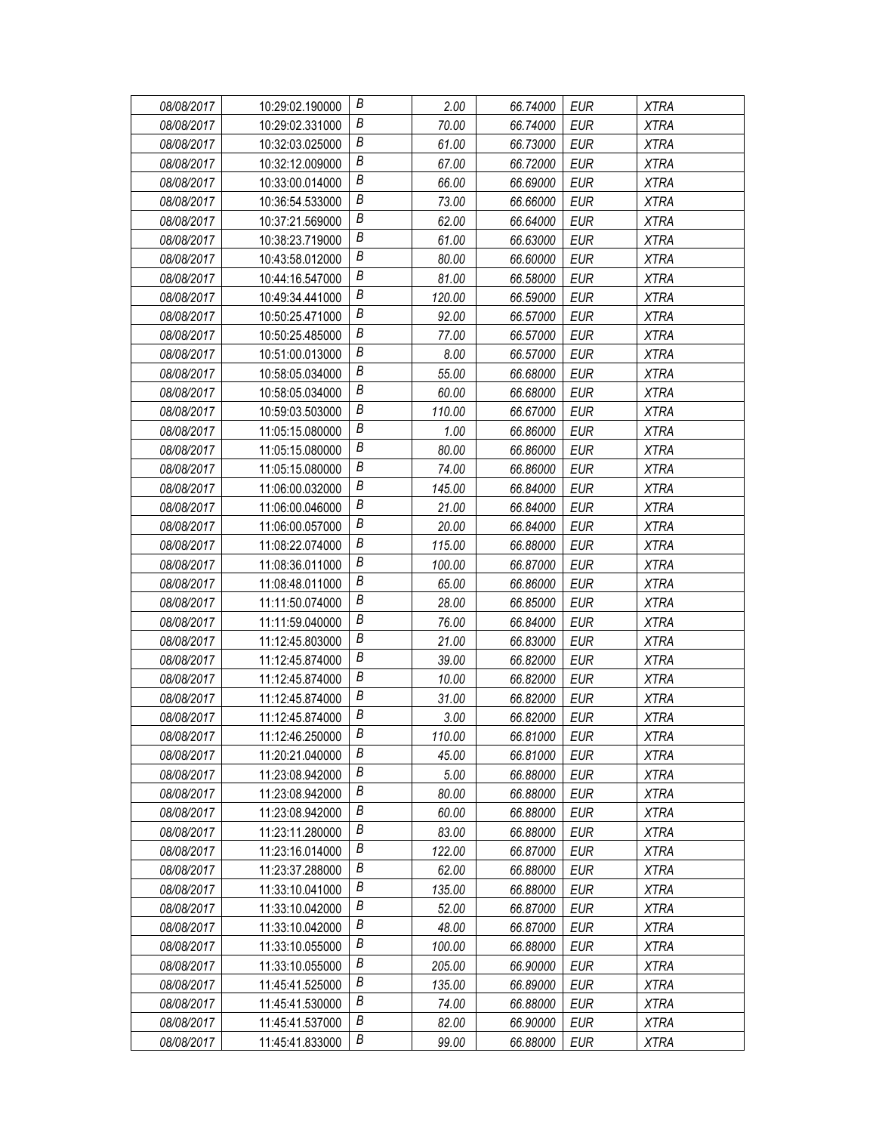| 08/08/2017 | 10:29:02.190000 | В | 2.00   | 66.74000 | EUR        | <b>XTRA</b> |
|------------|-----------------|---|--------|----------|------------|-------------|
| 08/08/2017 | 10:29:02.331000 | Β | 70.00  | 66.74000 | EUR        | <b>XTRA</b> |
| 08/08/2017 | 10:32:03.025000 | Β | 61.00  | 66.73000 | <b>EUR</b> | <b>XTRA</b> |
| 08/08/2017 | 10:32:12.009000 | B | 67.00  | 66.72000 | <b>EUR</b> | <b>XTRA</b> |
| 08/08/2017 | 10:33:00.014000 | B | 66.00  | 66.69000 | <b>EUR</b> | <b>XTRA</b> |
| 08/08/2017 | 10:36:54.533000 | Β | 73.00  | 66.66000 | <b>EUR</b> | <b>XTRA</b> |
| 08/08/2017 | 10:37:21.569000 | В | 62.00  | 66.64000 | <b>EUR</b> | <b>XTRA</b> |
| 08/08/2017 | 10:38:23.719000 | Β | 61.00  | 66.63000 | <b>EUR</b> | <b>XTRA</b> |
| 08/08/2017 | 10:43:58.012000 | B | 80.00  | 66.60000 | <b>EUR</b> | <b>XTRA</b> |
| 08/08/2017 | 10:44:16.547000 | B | 81.00  | 66.58000 | <b>EUR</b> | <b>XTRA</b> |
| 08/08/2017 | 10:49:34.441000 | В | 120.00 | 66.59000 | <b>EUR</b> | <b>XTRA</b> |
| 08/08/2017 | 10:50:25.471000 | Β | 92.00  | 66.57000 | <b>EUR</b> | <b>XTRA</b> |
| 08/08/2017 | 10:50:25.485000 | B | 77.00  | 66.57000 | <b>EUR</b> | <b>XTRA</b> |
| 08/08/2017 | 10:51:00.013000 | B | 8.00   | 66.57000 | <b>EUR</b> | <b>XTRA</b> |
| 08/08/2017 | 10:58:05.034000 | В | 55.00  | 66.68000 | <b>EUR</b> | <b>XTRA</b> |
| 08/08/2017 | 10:58:05.034000 | Β | 60.00  | 66.68000 | <b>EUR</b> | <b>XTRA</b> |
| 08/08/2017 | 10:59:03.503000 | Β | 110.00 | 66.67000 | <b>EUR</b> | <b>XTRA</b> |
| 08/08/2017 | 11:05:15.080000 | B | 1.00   | 66.86000 | <b>EUR</b> | <b>XTRA</b> |
| 08/08/2017 | 11:05:15.080000 | В | 80.00  | 66.86000 | <b>EUR</b> | <b>XTRA</b> |
| 08/08/2017 | 11:05:15.080000 | В | 74.00  | 66.86000 | <b>EUR</b> | <b>XTRA</b> |
| 08/08/2017 | 11:06:00.032000 | Β | 145.00 | 66.84000 | <b>EUR</b> | <b>XTRA</b> |
| 08/08/2017 | 11:06:00.046000 | B | 21.00  | 66.84000 | <b>EUR</b> | <b>XTRA</b> |
| 08/08/2017 | 11:06:00.057000 | В | 20.00  | 66.84000 | <b>EUR</b> | <b>XTRA</b> |
| 08/08/2017 | 11:08:22.074000 | В | 115.00 | 66.88000 | <b>EUR</b> | <b>XTRA</b> |
| 08/08/2017 | 11:08:36.011000 | Β | 100.00 | 66.87000 | <b>EUR</b> | <b>XTRA</b> |
| 08/08/2017 | 11:08:48.011000 | Β | 65.00  | 66.86000 | <b>EUR</b> | <b>XTRA</b> |
| 08/08/2017 | 11:11:50.074000 | В | 28.00  | 66.85000 | <b>EUR</b> | <b>XTRA</b> |
| 08/08/2017 | 11:11:59.040000 | B | 76.00  | 66.84000 | EUR        | <b>XTRA</b> |
| 08/08/2017 | 11:12:45.803000 | В | 21.00  | 66.83000 | <b>EUR</b> | <b>XTRA</b> |
| 08/08/2017 | 11:12:45.874000 | Β | 39.00  | 66.82000 | <b>EUR</b> | <b>XTRA</b> |
| 08/08/2017 | 11:12:45.874000 | B | 10.00  | 66.82000 | <b>EUR</b> | <b>XTRA</b> |
| 08/08/2017 | 11:12:45.874000 | B | 31.00  | 66.82000 | <b>EUR</b> | <b>XTRA</b> |
| 08/08/2017 | 11:12:45.874000 | В | 3.00   | 66.82000 | <b>EUR</b> | <b>XTRA</b> |
| 08/08/2017 | 11:12:46.250000 | В | 110.00 | 66.81000 | <b>EUR</b> | <b>XTRA</b> |
| 08/08/2017 | 11:20:21.040000 | В | 45.00  | 66.81000 | EUR        | <b>XTRA</b> |
| 08/08/2017 | 11:23:08.942000 | Β | 5.00   | 66.88000 | <b>EUR</b> | <b>XTRA</b> |
| 08/08/2017 | 11:23:08.942000 | Β | 80.00  | 66.88000 | EUR        | <b>XTRA</b> |
| 08/08/2017 | 11:23:08.942000 | В | 60.00  | 66.88000 | EUR        | <b>XTRA</b> |
| 08/08/2017 | 11:23:11.280000 | Β | 83.00  | 66.88000 | <b>EUR</b> | <b>XTRA</b> |
| 08/08/2017 | 11:23:16.014000 | В | 122.00 | 66.87000 | EUR        | <b>XTRA</b> |
| 08/08/2017 | 11:23:37.288000 | B | 62.00  | 66.88000 | <b>EUR</b> | XTRA        |
| 08/08/2017 | 11:33:10.041000 | В | 135.00 | 66.88000 | <b>EUR</b> | <b>XTRA</b> |
| 08/08/2017 | 11:33:10.042000 | Β | 52.00  | 66.87000 | <b>EUR</b> | <b>XTRA</b> |
| 08/08/2017 | 11:33:10.042000 | В | 48.00  | 66.87000 | <b>EUR</b> | <b>XTRA</b> |
| 08/08/2017 | 11:33:10.055000 | B | 100.00 | 66.88000 | <b>EUR</b> | <b>XTRA</b> |
| 08/08/2017 | 11:33:10.055000 | Β | 205.00 | 66.90000 | EUR        | <b>XTRA</b> |
| 08/08/2017 | 11:45:41.525000 | Β | 135.00 | 66.89000 | EUR        | <b>XTRA</b> |
| 08/08/2017 | 11:45:41.530000 | Β | 74.00  | 66.88000 | <b>EUR</b> | <b>XTRA</b> |
| 08/08/2017 | 11:45:41.537000 | B | 82.00  | 66.90000 | <b>EUR</b> | <b>XTRA</b> |
| 08/08/2017 | 11:45:41.833000 | В | 99.00  | 66.88000 | <b>EUR</b> | <b>XTRA</b> |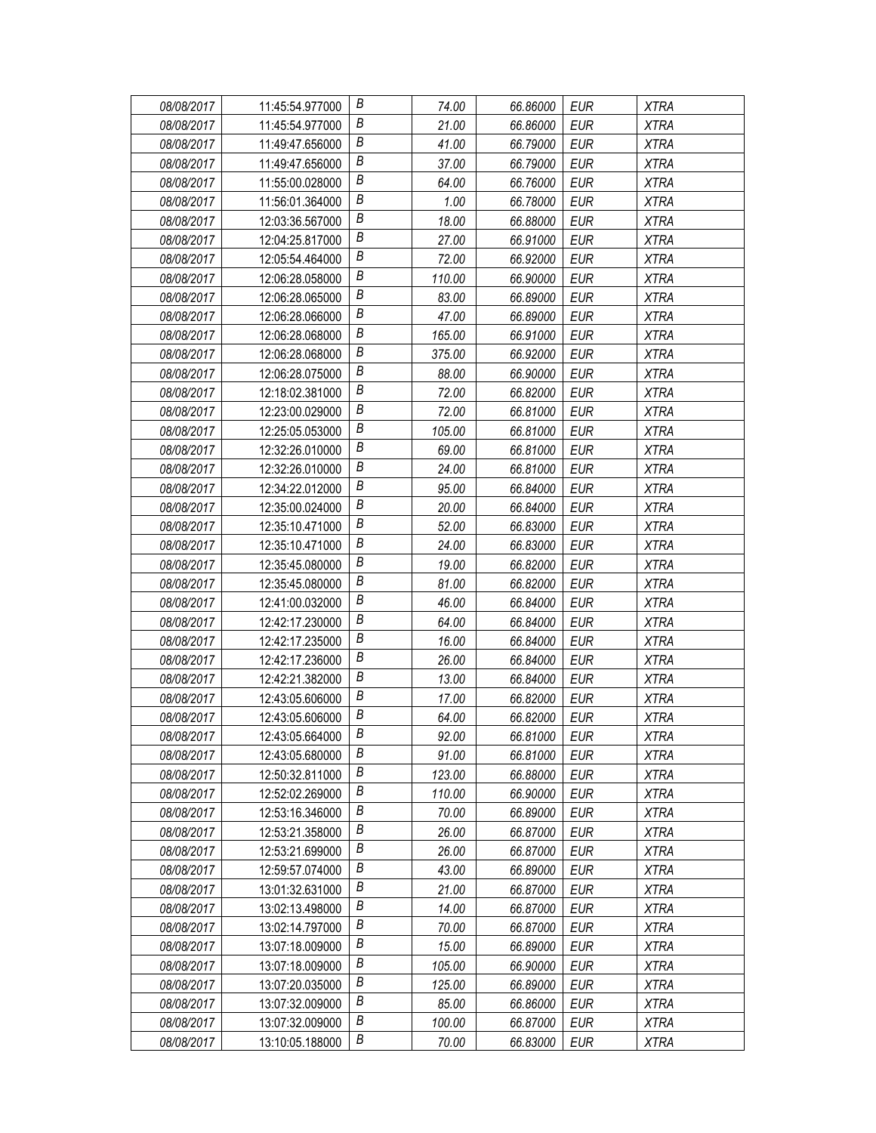| 08/08/2017 | 11:45:54.977000 | В | 74.00  | 66.86000 | EUR        | <b>XTRA</b> |
|------------|-----------------|---|--------|----------|------------|-------------|
| 08/08/2017 | 11:45:54.977000 | Β | 21.00  | 66.86000 | EUR        | <b>XTRA</b> |
| 08/08/2017 | 11:49:47.656000 | Β | 41.00  | 66.79000 | <b>EUR</b> | <b>XTRA</b> |
| 08/08/2017 | 11:49:47.656000 | B | 37.00  | 66.79000 | <b>EUR</b> | <b>XTRA</b> |
| 08/08/2017 | 11:55:00.028000 | В | 64.00  | 66.76000 | <b>EUR</b> | <b>XTRA</b> |
| 08/08/2017 | 11:56:01.364000 | Β | 1.00   | 66.78000 | <b>EUR</b> | <b>XTRA</b> |
| 08/08/2017 | 12:03:36.567000 | В | 18.00  | 66.88000 | <b>EUR</b> | <b>XTRA</b> |
| 08/08/2017 | 12:04:25.817000 | Β | 27.00  | 66.91000 | <b>EUR</b> | <b>XTRA</b> |
| 08/08/2017 | 12:05:54.464000 | B | 72.00  | 66.92000 | <b>EUR</b> | <b>XTRA</b> |
| 08/08/2017 | 12:06:28.058000 | Β | 110.00 | 66.90000 | <b>EUR</b> | <b>XTRA</b> |
| 08/08/2017 | 12:06:28.065000 | В | 83.00  | 66.89000 | <b>EUR</b> | <b>XTRA</b> |
| 08/08/2017 | 12:06:28.066000 | В | 47.00  | 66.89000 | <b>EUR</b> | <b>XTRA</b> |
| 08/08/2017 | 12:06:28.068000 | B | 165.00 | 66.91000 | <b>EUR</b> | <b>XTRA</b> |
| 08/08/2017 | 12:06:28.068000 | B | 375.00 | 66.92000 | <b>EUR</b> | <b>XTRA</b> |
| 08/08/2017 | 12:06:28.075000 | Β | 88.00  | 66.90000 | <b>EUR</b> | <b>XTRA</b> |
| 08/08/2017 | 12:18:02.381000 | В | 72.00  | 66.82000 | <b>EUR</b> | <b>XTRA</b> |
| 08/08/2017 | 12:23:00.029000 | Β | 72.00  | 66.81000 | <b>EUR</b> | <b>XTRA</b> |
| 08/08/2017 | 12:25:05.053000 | B | 105.00 | 66.81000 | <b>EUR</b> | <b>XTRA</b> |
| 08/08/2017 | 12:32:26.010000 | B | 69.00  | 66.81000 | <b>EUR</b> | <b>XTRA</b> |
| 08/08/2017 | 12:32:26.010000 | В | 24.00  | 66.81000 | EUR        | <b>XTRA</b> |
| 08/08/2017 | 12:34:22.012000 | Β | 95.00  | 66.84000 | <b>EUR</b> | <b>XTRA</b> |
| 08/08/2017 | 12:35:00.024000 | B | 20.00  | 66.84000 | <b>EUR</b> | <b>XTRA</b> |
| 08/08/2017 | 12:35:10.471000 | B | 52.00  | 66.83000 | <b>EUR</b> | <b>XTRA</b> |
| 08/08/2017 | 12:35:10.471000 | Β | 24.00  | 66.83000 | <b>EUR</b> | <b>XTRA</b> |
| 08/08/2017 | 12:35:45.080000 | Β | 19.00  | 66.82000 | <b>EUR</b> | <b>XTRA</b> |
| 08/08/2017 | 12:35:45.080000 | В | 81.00  | 66.82000 | <b>EUR</b> | <b>XTRA</b> |
| 08/08/2017 | 12:41:00.032000 | B | 46.00  | 66.84000 | <b>EUR</b> | <b>XTRA</b> |
| 08/08/2017 | 12:42:17.230000 | B | 64.00  | 66.84000 | EUR        | <b>XTRA</b> |
| 08/08/2017 | 12:42:17.235000 | B | 16.00  | 66.84000 | <b>EUR</b> | <b>XTRA</b> |
| 08/08/2017 | 12:42:17.236000 | Β | 26.00  | 66.84000 | <b>EUR</b> | <b>XTRA</b> |
| 08/08/2017 | 12:42:21.382000 | B | 13.00  | 66.84000 | <b>EUR</b> | <b>XTRA</b> |
| 08/08/2017 | 12:43:05.606000 | B | 17.00  | 66.82000 | <b>EUR</b> | <b>XTRA</b> |
| 08/08/2017 | 12:43:05.606000 | B | 64.00  | 66.82000 | <b>EUR</b> | <b>XTRA</b> |
| 08/08/2017 | 12:43:05.664000 | B | 92.00  | 66.81000 | <b>EUR</b> | <b>XTRA</b> |
| 08/08/2017 | 12:43:05.680000 | В | 91.00  | 66.81000 | EUR        | <b>XTRA</b> |
| 08/08/2017 | 12:50:32.811000 | Β | 123.00 | 66.88000 | <b>EUR</b> | <b>XTRA</b> |
| 08/08/2017 | 12:52:02.269000 | Β | 110.00 | 66.90000 | EUR        | XTRA        |
| 08/08/2017 | 12:53:16.346000 | В | 70.00  | 66.89000 | EUR        | <b>XTRA</b> |
| 08/08/2017 | 12:53:21.358000 | Β | 26.00  | 66.87000 | <b>EUR</b> | <b>XTRA</b> |
| 08/08/2017 | 12:53:21.699000 | Β | 26.00  | 66.87000 | EUR        | <b>XTRA</b> |
| 08/08/2017 | 12:59:57.074000 | B | 43.00  | 66.89000 | <b>EUR</b> | XTRA        |
| 08/08/2017 | 13:01:32.631000 | В | 21.00  | 66.87000 | <b>EUR</b> | <b>XTRA</b> |
| 08/08/2017 | 13:02:13.498000 | Β | 14.00  | 66.87000 | <b>EUR</b> | <b>XTRA</b> |
| 08/08/2017 | 13:02:14.797000 | B | 70.00  | 66.87000 | <b>EUR</b> | <b>XTRA</b> |
| 08/08/2017 | 13:07:18.009000 | B | 15.00  | 66.89000 | <b>EUR</b> | <b>XTRA</b> |
| 08/08/2017 | 13:07:18.009000 | Β | 105.00 | 66.90000 | EUR        | <b>XTRA</b> |
| 08/08/2017 | 13:07:20.035000 | Β | 125.00 | 66.89000 | EUR        | <b>XTRA</b> |
| 08/08/2017 | 13:07:32.009000 | В | 85.00  | 66.86000 | <b>EUR</b> | <b>XTRA</b> |
| 08/08/2017 | 13:07:32.009000 | B | 100.00 | 66.87000 | <b>EUR</b> | <b>XTRA</b> |
| 08/08/2017 | 13:10:05.188000 | В | 70.00  | 66.83000 | <b>EUR</b> | <b>XTRA</b> |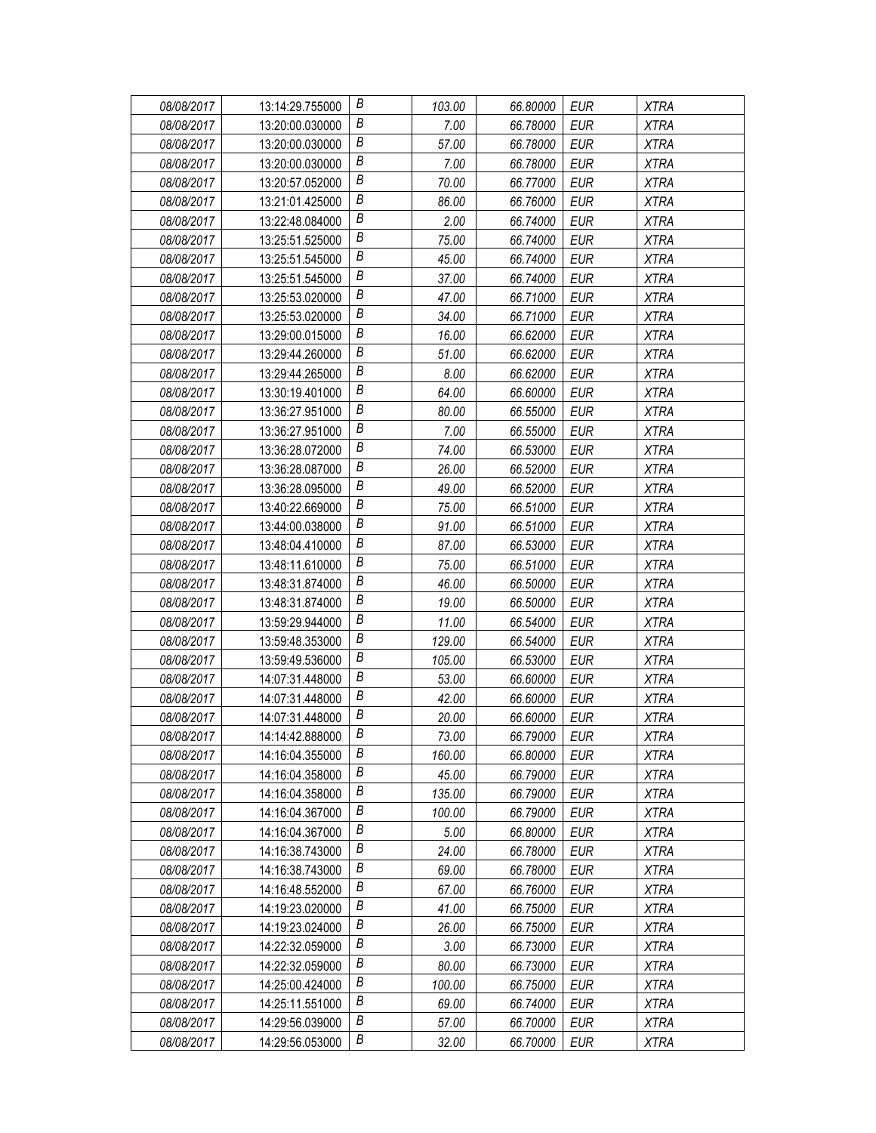| 08/08/2017 | 13:14:29.755000 | В                | 103.00 | 66.80000 | EUR        | <b>XTRA</b> |
|------------|-----------------|------------------|--------|----------|------------|-------------|
| 08/08/2017 | 13:20:00.030000 | В                | 7.00   | 66.78000 | EUR        | <b>XTRA</b> |
| 08/08/2017 | 13:20:00.030000 | Β                | 57.00  | 66.78000 | <b>EUR</b> | <b>XTRA</b> |
| 08/08/2017 | 13:20:00.030000 | $\boldsymbol{B}$ | 7.00   | 66.78000 | <b>EUR</b> | <b>XTRA</b> |
| 08/08/2017 | 13:20:57.052000 | B                | 70.00  | 66.77000 | <b>EUR</b> | <b>XTRA</b> |
| 08/08/2017 | 13:21:01.425000 | Β                | 86.00  | 66.76000 | <b>EUR</b> | <b>XTRA</b> |
| 08/08/2017 | 13:22:48.084000 | В                | 2.00   | 66.74000 | <b>EUR</b> | <b>XTRA</b> |
| 08/08/2017 | 13:25:51.525000 | В                | 75.00  | 66.74000 | <b>EUR</b> | <b>XTRA</b> |
| 08/08/2017 | 13:25:51.545000 | B                | 45.00  | 66.74000 | <b>EUR</b> | <b>XTRA</b> |
| 08/08/2017 | 13:25:51.545000 | B                | 37.00  | 66.74000 | <b>EUR</b> | <b>XTRA</b> |
| 08/08/2017 | 13:25:53.020000 | В                | 47.00  | 66.71000 | <b>EUR</b> | <b>XTRA</b> |
| 08/08/2017 | 13:25:53.020000 | В                | 34.00  | 66.71000 | <b>EUR</b> | <b>XTRA</b> |
| 08/08/2017 | 13:29:00.015000 | B                | 16.00  | 66.62000 | <b>EUR</b> | <b>XTRA</b> |
| 08/08/2017 | 13:29:44.260000 | В                | 51.00  | 66.62000 | <b>EUR</b> | <b>XTRA</b> |
| 08/08/2017 | 13:29:44.265000 | Β                | 8.00   | 66.62000 | <b>EUR</b> | <b>XTRA</b> |
| 08/08/2017 | 13:30:19.401000 | В                | 64.00  | 66.60000 | <b>EUR</b> | <b>XTRA</b> |
| 08/08/2017 | 13:36:27.951000 | В                | 80.00  | 66.55000 | <b>EUR</b> | <b>XTRA</b> |
| 08/08/2017 | 13:36:27.951000 | $\boldsymbol{B}$ | 7.00   | 66.55000 | <b>EUR</b> | <b>XTRA</b> |
| 08/08/2017 | 13:36:28.072000 | В                | 74.00  | 66.53000 | <b>EUR</b> | <b>XTRA</b> |
| 08/08/2017 | 13:36:28.087000 | В                | 26.00  | 66.52000 | EUR        | <b>XTRA</b> |
| 08/08/2017 | 13:36:28.095000 | Β                | 49.00  | 66.52000 | <b>EUR</b> | <b>XTRA</b> |
| 08/08/2017 | 13:40:22.669000 | B                | 75.00  | 66.51000 | <b>EUR</b> | <b>XTRA</b> |
| 08/08/2017 | 13:44:00.038000 | В                | 91.00  | 66.51000 | <b>EUR</b> | <b>XTRA</b> |
| 08/08/2017 | 13:48:04.410000 | Β                | 87.00  | 66.53000 | <b>EUR</b> | <b>XTRA</b> |
| 08/08/2017 | 13:48:11.610000 | Β                | 75.00  | 66.51000 | <b>EUR</b> | <b>XTRA</b> |
| 08/08/2017 | 13:48:31.874000 | В                | 46.00  | 66.50000 | <b>EUR</b> | <b>XTRA</b> |
| 08/08/2017 | 13:48:31.874000 | B                | 19.00  | 66.50000 | <b>EUR</b> | <b>XTRA</b> |
| 08/08/2017 | 13:59:29.944000 | В                | 11.00  | 66.54000 | EUR        | <b>XTRA</b> |
| 08/08/2017 | 13:59:48.353000 | B                | 129.00 | 66.54000 | <b>EUR</b> | <b>XTRA</b> |
| 08/08/2017 | 13:59:49.536000 | Β                | 105.00 | 66.53000 | <b>EUR</b> | <b>XTRA</b> |
| 08/08/2017 | 14:07:31.448000 | B                | 53.00  | 66.60000 | <b>EUR</b> | <b>XTRA</b> |
| 08/08/2017 | 14:07:31.448000 | B                | 42.00  | 66.60000 | <b>EUR</b> | <b>XTRA</b> |
| 08/08/2017 | 14:07:31.448000 | В                | 20.00  | 66.60000 | <b>EUR</b> | <b>XTRA</b> |
| 08/08/2017 | 14:14:42.888000 | B                | 73.00  | 66.79000 | <b>EUR</b> | <b>XTRA</b> |
| 08/08/2017 | 14:16:04.355000 | B                | 160.00 | 66.80000 | EUR        | <b>XTRA</b> |
| 08/08/2017 | 14:16:04.358000 | Β                | 45.00  | 66.79000 | <b>EUR</b> | <b>XTRA</b> |
| 08/08/2017 | 14:16:04.358000 | Β                | 135.00 | 66.79000 | EUR        | XTRA        |
| 08/08/2017 | 14:16:04.367000 | В                | 100.00 | 66.79000 | EUR        | <b>XTRA</b> |
| 08/08/2017 | 14:16:04.367000 | Β                | 5.00   | 66.80000 | <b>EUR</b> | <b>XTRA</b> |
| 08/08/2017 | 14:16:38.743000 | В                | 24.00  | 66.78000 | EUR        | <b>XTRA</b> |
| 08/08/2017 | 14:16:38.743000 | B                | 69.00  | 66.78000 | <b>EUR</b> | XTRA        |
| 08/08/2017 | 14:16:48.552000 | В                | 67.00  | 66.76000 | <b>EUR</b> | <b>XTRA</b> |
| 08/08/2017 | 14:19:23.020000 | Β                | 41.00  | 66.75000 | <b>EUR</b> | <b>XTRA</b> |
| 08/08/2017 | 14:19:23.024000 | B                | 26.00  | 66.75000 | <b>EUR</b> | <b>XTRA</b> |
| 08/08/2017 | 14:22:32.059000 | B                | 3.00   | 66.73000 | <b>EUR</b> | <b>XTRA</b> |
| 08/08/2017 | 14:22:32.059000 | Β                | 80.00  | 66.73000 | EUR        | <b>XTRA</b> |
| 08/08/2017 | 14:25:00.424000 | Β                | 100.00 | 66.75000 | EUR        | <b>XTRA</b> |
| 08/08/2017 | 14:25:11.551000 | Β                | 69.00  | 66.74000 | <b>EUR</b> | <b>XTRA</b> |
| 08/08/2017 | 14:29:56.039000 | В                | 57.00  | 66.70000 | <b>EUR</b> | <b>XTRA</b> |
| 08/08/2017 | 14:29:56.053000 | В                | 32.00  | 66.70000 | <b>EUR</b> | <b>XTRA</b> |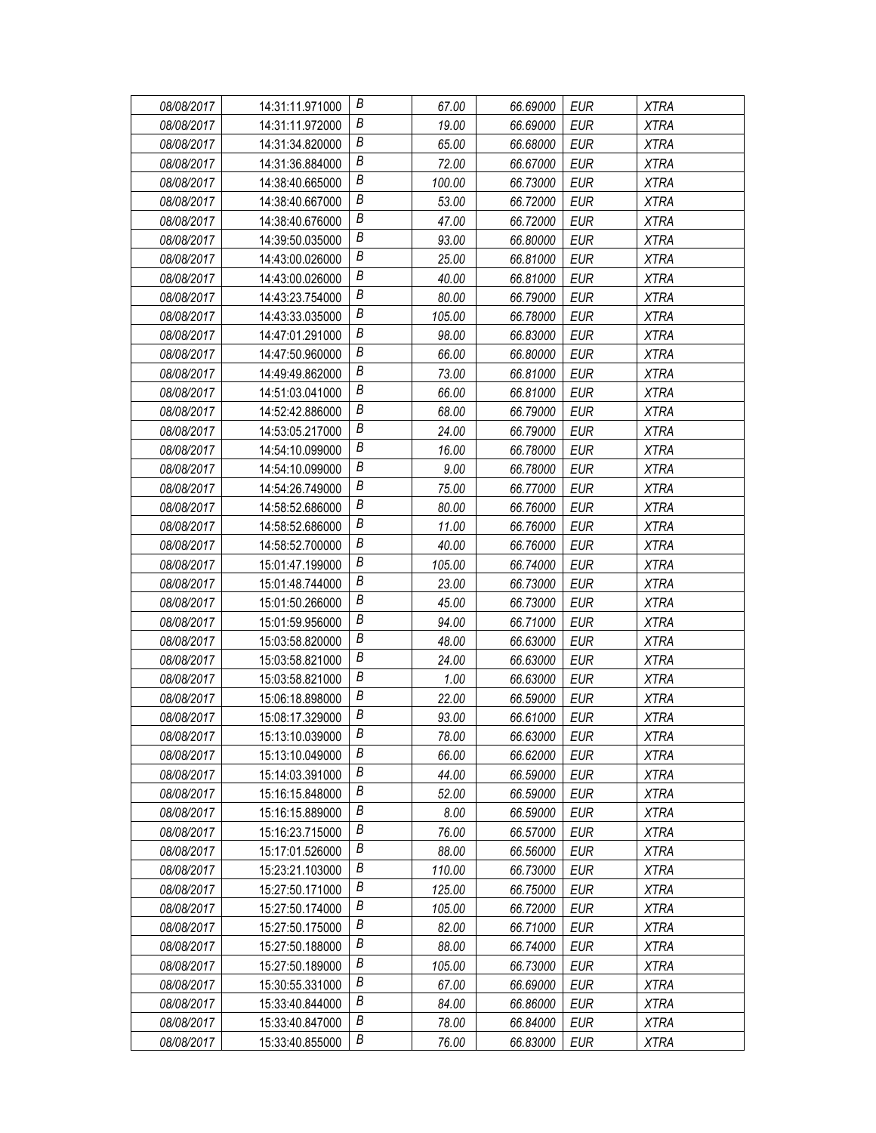| 08/08/2017 | 14:31:11.971000 | В                | 67.00  | 66.69000 | EUR        | <b>XTRA</b> |
|------------|-----------------|------------------|--------|----------|------------|-------------|
| 08/08/2017 | 14:31:11.972000 | В                | 19.00  | 66.69000 | EUR        | <b>XTRA</b> |
| 08/08/2017 | 14:31:34.820000 | Β                | 65.00  | 66.68000 | <b>EUR</b> | <b>XTRA</b> |
| 08/08/2017 | 14:31:36.884000 | $\boldsymbol{B}$ | 72.00  | 66.67000 | <b>EUR</b> | <b>XTRA</b> |
| 08/08/2017 | 14:38:40.665000 | B                | 100.00 | 66.73000 | <b>EUR</b> | <b>XTRA</b> |
| 08/08/2017 | 14:38:40.667000 | Β                | 53.00  | 66.72000 | <b>EUR</b> | <b>XTRA</b> |
| 08/08/2017 | 14:38:40.676000 | В                | 47.00  | 66.72000 | <b>EUR</b> | <b>XTRA</b> |
| 08/08/2017 | 14:39:50.035000 | В                | 93.00  | 66.80000 | <b>EUR</b> | <b>XTRA</b> |
| 08/08/2017 | 14:43:00.026000 | B                | 25.00  | 66.81000 | <b>EUR</b> | <b>XTRA</b> |
| 08/08/2017 | 14:43:00.026000 | B                | 40.00  | 66.81000 | <b>EUR</b> | <b>XTRA</b> |
| 08/08/2017 | 14:43:23.754000 | В                | 80.00  | 66.79000 | <b>EUR</b> | <b>XTRA</b> |
| 08/08/2017 | 14:43:33.035000 | В                | 105.00 | 66.78000 | <b>EUR</b> | <b>XTRA</b> |
| 08/08/2017 | 14:47:01.291000 | B                | 98.00  | 66.83000 | <b>EUR</b> | <b>XTRA</b> |
| 08/08/2017 | 14:47:50.960000 | B                | 66.00  | 66.80000 | <b>EUR</b> | <b>XTRA</b> |
| 08/08/2017 | 14:49:49.862000 | Β                | 73.00  | 66.81000 | <b>EUR</b> | <b>XTRA</b> |
| 08/08/2017 | 14:51:03.041000 | В                | 66.00  | 66.81000 | <b>EUR</b> | <b>XTRA</b> |
| 08/08/2017 | 14:52:42.886000 | В                | 68.00  | 66.79000 | <b>EUR</b> | <b>XTRA</b> |
| 08/08/2017 | 14:53:05.217000 | B                | 24.00  | 66.79000 | <b>EUR</b> | <b>XTRA</b> |
| 08/08/2017 | 14:54:10.099000 | $\boldsymbol{B}$ | 16.00  | 66.78000 | <b>EUR</b> | <b>XTRA</b> |
| 08/08/2017 | 14:54:10.099000 | В                | 9.00   | 66.78000 | EUR        | <b>XTRA</b> |
| 08/08/2017 | 14:54:26.749000 | Β                | 75.00  | 66.77000 | <b>EUR</b> | <b>XTRA</b> |
| 08/08/2017 | 14:58:52.686000 | B                | 80.00  | 66.76000 | <b>EUR</b> | <b>XTRA</b> |
| 08/08/2017 | 14:58:52.686000 | B                | 11.00  | 66.76000 | <b>EUR</b> | <b>XTRA</b> |
| 08/08/2017 | 14:58:52.700000 | B                | 40.00  | 66.76000 | <b>EUR</b> | <b>XTRA</b> |
| 08/08/2017 | 15:01:47.199000 | Β                | 105.00 | 66.74000 | <b>EUR</b> | <b>XTRA</b> |
| 08/08/2017 | 15:01:48.744000 | В                | 23.00  | 66.73000 | <b>EUR</b> | <b>XTRA</b> |
| 08/08/2017 | 15:01:50.266000 | B                | 45.00  | 66.73000 | <b>EUR</b> | <b>XTRA</b> |
| 08/08/2017 | 15:01:59.956000 | B                | 94.00  | 66.71000 | EUR        | <b>XTRA</b> |
| 08/08/2017 | 15:03:58.820000 | B                | 48.00  | 66.63000 | <b>EUR</b> | <b>XTRA</b> |
| 08/08/2017 | 15:03:58.821000 | Β                | 24.00  | 66.63000 | <b>EUR</b> | <b>XTRA</b> |
| 08/08/2017 | 15:03:58.821000 | B                | 1.00   | 66.63000 | <b>EUR</b> | <b>XTRA</b> |
| 08/08/2017 | 15:06:18.898000 | B                | 22.00  | 66.59000 | <b>EUR</b> | <b>XTRA</b> |
| 08/08/2017 | 15:08:17.329000 | B                | 93.00  | 66.61000 | <b>EUR</b> | <b>XTRA</b> |
| 08/08/2017 | 15:13:10.039000 | B                | 78.00  | 66.63000 | <b>EUR</b> | <b>XTRA</b> |
| 08/08/2017 | 15:13:10.049000 | В                | 66.00  | 66.62000 | EUR        | <b>XTRA</b> |
| 08/08/2017 | 15:14:03.391000 | B                | 44.00  | 66.59000 | <b>EUR</b> | <b>XTRA</b> |
| 08/08/2017 | 15:16:15.848000 | Β                | 52.00  | 66.59000 | EUR        | XTRA        |
| 08/08/2017 | 15:16:15.889000 | В                | 8.00   | 66.59000 | EUR        | <b>XTRA</b> |
| 08/08/2017 | 15:16:23.715000 | В                | 76.00  | 66.57000 | <b>EUR</b> | <b>XTRA</b> |
| 08/08/2017 | 15:17:01.526000 | B                | 88.00  | 66.56000 | EUR        | <b>XTRA</b> |
| 08/08/2017 | 15:23:21.103000 | B                | 110.00 | 66.73000 | <b>EUR</b> | XTRA        |
| 08/08/2017 | 15:27:50.171000 | В                | 125.00 | 66.75000 | <b>EUR</b> | <b>XTRA</b> |
| 08/08/2017 | 15:27:50.174000 | Β                | 105.00 | 66.72000 | <b>EUR</b> | <b>XTRA</b> |
| 08/08/2017 | 15:27:50.175000 | B                | 82.00  | 66.71000 | <b>EUR</b> | <b>XTRA</b> |
| 08/08/2017 | 15:27:50.188000 | B                | 88.00  | 66.74000 | <b>EUR</b> | <b>XTRA</b> |
| 08/08/2017 | 15:27:50.189000 | Β                | 105.00 | 66.73000 | EUR        | <b>XTRA</b> |
| 08/08/2017 | 15:30:55.331000 | B                | 67.00  | 66.69000 | EUR        | <b>XTRA</b> |
| 08/08/2017 | 15:33:40.844000 | В                | 84.00  | 66.86000 | <b>EUR</b> | <b>XTRA</b> |
| 08/08/2017 | 15:33:40.847000 | B                | 78.00  | 66.84000 | <b>EUR</b> | <b>XTRA</b> |
| 08/08/2017 | 15:33:40.855000 | В                | 76.00  | 66.83000 | <b>EUR</b> | <b>XTRA</b> |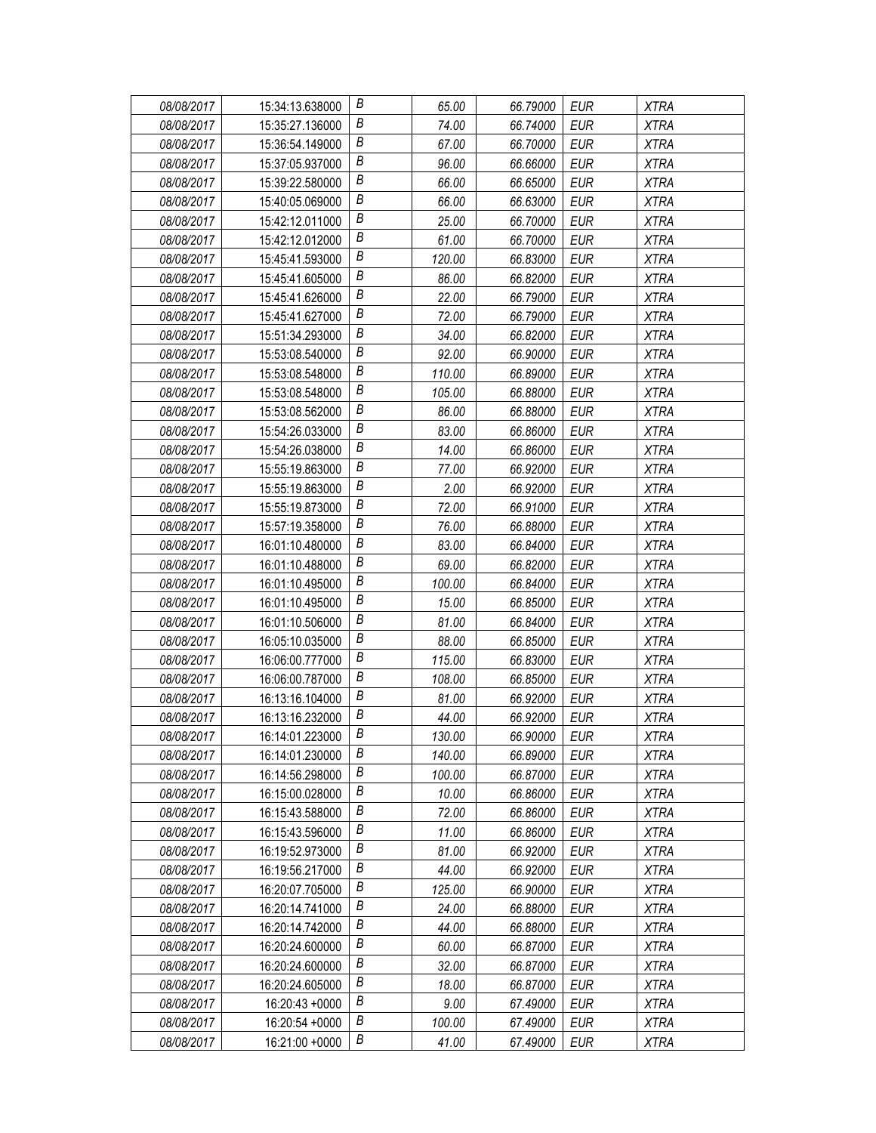| 08/08/2017 | 15:34:13.638000 | В                | 65.00  | 66.79000 | EUR        | <b>XTRA</b> |
|------------|-----------------|------------------|--------|----------|------------|-------------|
| 08/08/2017 | 15:35:27.136000 | В                | 74.00  | 66.74000 | EUR        | <b>XTRA</b> |
| 08/08/2017 | 15:36:54.149000 | Β                | 67.00  | 66.70000 | <b>EUR</b> | <b>XTRA</b> |
| 08/08/2017 | 15:37:05.937000 | $\boldsymbol{B}$ | 96.00  | 66.66000 | <b>EUR</b> | <b>XTRA</b> |
| 08/08/2017 | 15:39:22.580000 | B                | 66.00  | 66.65000 | <b>EUR</b> | <b>XTRA</b> |
| 08/08/2017 | 15:40:05.069000 | Β                | 66.00  | 66.63000 | <b>EUR</b> | <b>XTRA</b> |
| 08/08/2017 | 15:42:12.011000 | В                | 25.00  | 66.70000 | <b>EUR</b> | <b>XTRA</b> |
| 08/08/2017 | 15:42:12.012000 | В                | 61.00  | 66.70000 | <b>EUR</b> | <b>XTRA</b> |
| 08/08/2017 | 15:45:41.593000 | B                | 120.00 | 66.83000 | <b>EUR</b> | <b>XTRA</b> |
| 08/08/2017 | 15:45:41.605000 | В                | 86.00  | 66.82000 | <b>EUR</b> | <b>XTRA</b> |
| 08/08/2017 | 15:45:41.626000 | В                | 22.00  | 66.79000 | <b>EUR</b> | <b>XTRA</b> |
| 08/08/2017 | 15:45:41.627000 | В                | 72.00  | 66.79000 | <b>EUR</b> | <b>XTRA</b> |
| 08/08/2017 | 15:51:34.293000 | B                | 34.00  | 66.82000 | <b>EUR</b> | <b>XTRA</b> |
| 08/08/2017 | 15:53:08.540000 | В                | 92.00  | 66.90000 | <b>EUR</b> | <b>XTRA</b> |
| 08/08/2017 | 15:53:08.548000 | В                | 110.00 | 66.89000 | <b>EUR</b> | <b>XTRA</b> |
| 08/08/2017 | 15:53:08.548000 | В                | 105.00 | 66.88000 | <b>EUR</b> | <b>XTRA</b> |
| 08/08/2017 | 15:53:08.562000 | В                | 86.00  | 66.88000 | <b>EUR</b> | <b>XTRA</b> |
| 08/08/2017 | 15:54:26.033000 | $\boldsymbol{B}$ | 83.00  | 66.86000 | <b>EUR</b> | <b>XTRA</b> |
| 08/08/2017 | 15:54:26.038000 | В                | 14.00  | 66.86000 | <b>EUR</b> | <b>XTRA</b> |
| 08/08/2017 | 15:55:19.863000 | В                | 77.00  | 66.92000 | EUR        | <b>XTRA</b> |
| 08/08/2017 | 15:55:19.863000 | Β                | 2.00   | 66.92000 | <b>EUR</b> | <b>XTRA</b> |
| 08/08/2017 | 15:55:19.873000 | B                | 72.00  | 66.91000 | <b>EUR</b> | <b>XTRA</b> |
| 08/08/2017 | 15:57:19.358000 | В                | 76.00  | 66.88000 | <b>EUR</b> | <b>XTRA</b> |
| 08/08/2017 | 16:01:10.480000 | В                | 83.00  | 66.84000 | <b>EUR</b> | <b>XTRA</b> |
| 08/08/2017 | 16:01:10.488000 | Β                | 69.00  | 66.82000 | <b>EUR</b> | <b>XTRA</b> |
| 08/08/2017 | 16:01:10.495000 | В                | 100.00 | 66.84000 | <b>EUR</b> | <b>XTRA</b> |
| 08/08/2017 | 16:01:10.495000 | B                | 15.00  | 66.85000 | <b>EUR</b> | <b>XTRA</b> |
| 08/08/2017 | 16:01:10.506000 | B                | 81.00  | 66.84000 | EUR        | <b>XTRA</b> |
| 08/08/2017 | 16:05:10.035000 | B                | 88.00  | 66.85000 | <b>EUR</b> | <b>XTRA</b> |
| 08/08/2017 | 16:06:00.777000 | Β                | 115.00 | 66.83000 | <b>EUR</b> | <b>XTRA</b> |
| 08/08/2017 | 16:06:00.787000 | B                | 108.00 | 66.85000 | <b>EUR</b> | <b>XTRA</b> |
| 08/08/2017 | 16:13:16.104000 | B                | 81.00  | 66.92000 | <b>EUR</b> | <b>XTRA</b> |
| 08/08/2017 | 16:13:16.232000 | В                | 44.00  | 66.92000 | <b>EUR</b> | <b>XTRA</b> |
| 08/08/2017 | 16:14:01.223000 | B                | 130.00 | 66.90000 | <b>EUR</b> | <b>XTRA</b> |
| 08/08/2017 | 16:14:01.230000 | B                | 140.00 | 66.89000 | EUR        | <b>XTRA</b> |
| 08/08/2017 | 16:14:56.298000 | Β                | 100.00 | 66.87000 | <b>EUR</b> | <b>XTRA</b> |
| 08/08/2017 | 16:15:00.028000 | Β                | 10.00  | 66.86000 | EUR        | XTRA        |
| 08/08/2017 | 16:15:43.588000 | В                | 72.00  | 66.86000 | EUR        | <b>XTRA</b> |
| 08/08/2017 | 16:15:43.596000 | Β                | 11.00  | 66.86000 | <b>EUR</b> | <b>XTRA</b> |
| 08/08/2017 | 16:19:52.973000 | В                | 81.00  | 66.92000 | EUR        | <b>XTRA</b> |
| 08/08/2017 | 16:19:56.217000 | B                | 44.00  | 66.92000 | <b>EUR</b> | XTRA        |
| 08/08/2017 | 16:20:07.705000 | В                | 125.00 | 66.90000 | <b>EUR</b> | <b>XTRA</b> |
| 08/08/2017 | 16:20:14.741000 | Β                | 24.00  | 66.88000 | <b>EUR</b> | <b>XTRA</b> |
| 08/08/2017 | 16:20:14.742000 | В                | 44.00  | 66.88000 | <b>EUR</b> | <b>XTRA</b> |
| 08/08/2017 | 16:20:24.600000 | B                | 60.00  | 66.87000 | <b>EUR</b> | <b>XTRA</b> |
| 08/08/2017 | 16:20:24.600000 | Β                | 32.00  | 66.87000 | EUR        | <b>XTRA</b> |
| 08/08/2017 | 16:20:24.605000 | Β                | 18.00  | 66.87000 | EUR        | <b>XTRA</b> |
| 08/08/2017 | 16:20:43 +0000  | В                | 9.00   | 67.49000 | <b>EUR</b> | <b>XTRA</b> |
| 08/08/2017 | 16:20:54 +0000  | В                | 100.00 | 67.49000 | <b>EUR</b> | <b>XTRA</b> |
| 08/08/2017 | 16:21:00 +0000  | В                | 41.00  | 67.49000 | <b>EUR</b> | <b>XTRA</b> |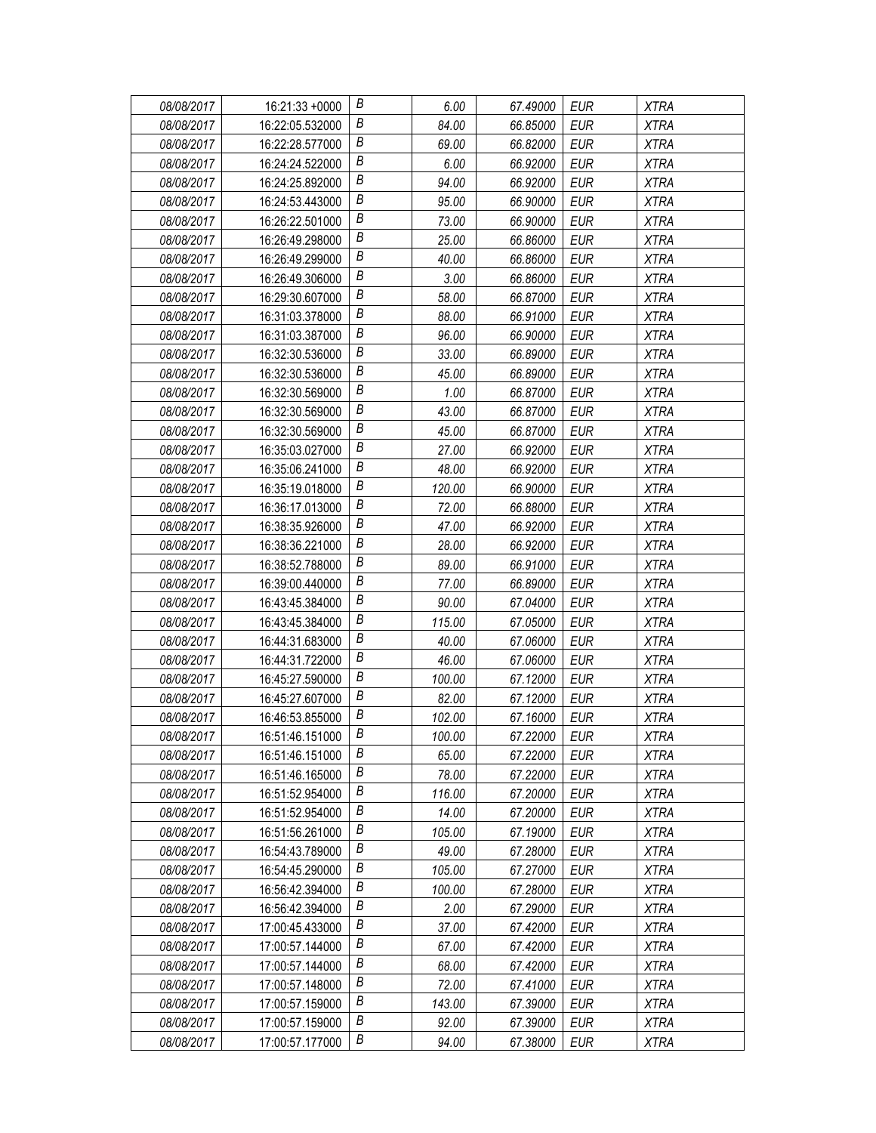| 08/08/2017 | 16:21:33 +0000  | В                | 6.00   | 67.49000 | EUR        | <b>XTRA</b> |
|------------|-----------------|------------------|--------|----------|------------|-------------|
| 08/08/2017 | 16:22:05.532000 | В                | 84.00  | 66.85000 | EUR        | <b>XTRA</b> |
| 08/08/2017 | 16:22:28.577000 | Β                | 69.00  | 66.82000 | <b>EUR</b> | <b>XTRA</b> |
| 08/08/2017 | 16:24:24.522000 | $\boldsymbol{B}$ | 6.00   | 66.92000 | <b>EUR</b> | <b>XTRA</b> |
| 08/08/2017 | 16:24:25.892000 | B                | 94.00  | 66.92000 | <b>EUR</b> | <b>XTRA</b> |
| 08/08/2017 | 16:24:53.443000 | Β                | 95.00  | 66.90000 | <b>EUR</b> | <b>XTRA</b> |
| 08/08/2017 | 16:26:22.501000 | В                | 73.00  | 66.90000 | <b>EUR</b> | <b>XTRA</b> |
| 08/08/2017 | 16:26:49.298000 | Β                | 25.00  | 66.86000 | <b>EUR</b> | <b>XTRA</b> |
| 08/08/2017 | 16:26:49.299000 | B                | 40.00  | 66.86000 | <b>EUR</b> | <b>XTRA</b> |
| 08/08/2017 | 16:26:49.306000 | B                | 3.00   | 66.86000 | <b>EUR</b> | <b>XTRA</b> |
| 08/08/2017 | 16:29:30.607000 | В                | 58.00  | 66.87000 | <b>EUR</b> | <b>XTRA</b> |
| 08/08/2017 | 16:31:03.378000 | В                | 88.00  | 66.91000 | <b>EUR</b> | <b>XTRA</b> |
| 08/08/2017 | 16:31:03.387000 | B                | 96.00  | 66.90000 | <b>EUR</b> | <b>XTRA</b> |
| 08/08/2017 | 16:32:30.536000 | B                | 33.00  | 66.89000 | <b>EUR</b> | <b>XTRA</b> |
| 08/08/2017 | 16:32:30.536000 | Β                | 45.00  | 66.89000 | <b>EUR</b> | <b>XTRA</b> |
| 08/08/2017 | 16:32:30.569000 | В                | 1.00   | 66.87000 | <b>EUR</b> | <b>XTRA</b> |
| 08/08/2017 | 16:32:30.569000 | Β                | 43.00  | 66.87000 | <b>EUR</b> | <b>XTRA</b> |
| 08/08/2017 | 16:32:30.569000 | B                | 45.00  | 66.87000 | <b>EUR</b> | <b>XTRA</b> |
| 08/08/2017 | 16:35:03.027000 | B                | 27.00  | 66.92000 | <b>EUR</b> | <b>XTRA</b> |
| 08/08/2017 | 16:35:06.241000 | Β                | 48.00  | 66.92000 | EUR        | <b>XTRA</b> |
| 08/08/2017 | 16:35:19.018000 | Β                | 120.00 | 66.90000 | <b>EUR</b> | <b>XTRA</b> |
| 08/08/2017 | 16:36:17.013000 | B                | 72.00  | 66.88000 | <b>EUR</b> | <b>XTRA</b> |
| 08/08/2017 | 16:38:35.926000 | B                | 47.00  | 66.92000 | <b>EUR</b> | <b>XTRA</b> |
| 08/08/2017 | 16:38:36.221000 | Β                | 28.00  | 66.92000 | <b>EUR</b> | <b>XTRA</b> |
| 08/08/2017 | 16:38:52.788000 | Β                | 89.00  | 66.91000 | <b>EUR</b> | <b>XTRA</b> |
| 08/08/2017 | 16:39:00.440000 | В                | 77.00  | 66.89000 | <b>EUR</b> | <b>XTRA</b> |
| 08/08/2017 | 16:43:45.384000 | B                | 90.00  | 67.04000 | <b>EUR</b> | <b>XTRA</b> |
| 08/08/2017 | 16:43:45.384000 | B                | 115.00 | 67.05000 | EUR        | <b>XTRA</b> |
| 08/08/2017 | 16:44:31.683000 | B                | 40.00  | 67.06000 | <b>EUR</b> | <b>XTRA</b> |
| 08/08/2017 | 16:44:31.722000 | Β                | 46.00  | 67.06000 | <b>EUR</b> | <b>XTRA</b> |
| 08/08/2017 | 16:45:27.590000 | B                | 100.00 | 67.12000 | <b>EUR</b> | <b>XTRA</b> |
| 08/08/2017 | 16:45:27.607000 | B                | 82.00  | 67.12000 | <b>EUR</b> | <b>XTRA</b> |
| 08/08/2017 | 16:46:53.855000 | B                | 102.00 | 67.16000 | <b>EUR</b> | <b>XTRA</b> |
| 08/08/2017 | 16:51:46.151000 | B                | 100.00 | 67.22000 | <b>EUR</b> | <b>XTRA</b> |
| 08/08/2017 | 16:51:46.151000 | В                | 65.00  | 67.22000 | EUR        | <b>XTRA</b> |
| 08/08/2017 | 16:51:46.165000 | Β                | 78.00  | 67.22000 | <b>EUR</b> | <b>XTRA</b> |
| 08/08/2017 | 16:51:52.954000 | Β                | 116.00 | 67.20000 | EUR        | <b>XTRA</b> |
| 08/08/2017 | 16:51:52.954000 | Β                | 14.00  | 67.20000 | EUR        | <b>XTRA</b> |
| 08/08/2017 | 16:51:56.261000 | В                | 105.00 | 67.19000 | <b>EUR</b> | <b>XTRA</b> |
| 08/08/2017 | 16:54:43.789000 | В                | 49.00  | 67.28000 | EUR        | <b>XTRA</b> |
| 08/08/2017 | 16:54:45.290000 | B                | 105.00 | 67.27000 | <b>EUR</b> | XTRA        |
| 08/08/2017 | 16:56:42.394000 | В                | 100.00 | 67.28000 | EUR        | <b>XTRA</b> |
| 08/08/2017 | 16:56:42.394000 | В                | 2.00   | 67.29000 | <b>EUR</b> | <b>XTRA</b> |
| 08/08/2017 | 17:00:45.433000 | В                | 37.00  | 67.42000 | <b>EUR</b> | <b>XTRA</b> |
| 08/08/2017 | 17:00:57.144000 | B                | 67.00  | 67.42000 | <b>EUR</b> | <b>XTRA</b> |
| 08/08/2017 | 17:00:57.144000 | Β                | 68.00  | 67.42000 | EUR        | <b>XTRA</b> |
| 08/08/2017 | 17:00:57.148000 | Β                | 72.00  | 67.41000 | EUR        | <b>XTRA</b> |
| 08/08/2017 | 17:00:57.159000 | В                | 143.00 | 67.39000 | <b>EUR</b> | <b>XTRA</b> |
| 08/08/2017 | 17:00:57.159000 | В                | 92.00  | 67.39000 | <b>EUR</b> | <b>XTRA</b> |
| 08/08/2017 | 17:00:57.177000 | В                | 94.00  | 67.38000 | <b>EUR</b> | <b>XTRA</b> |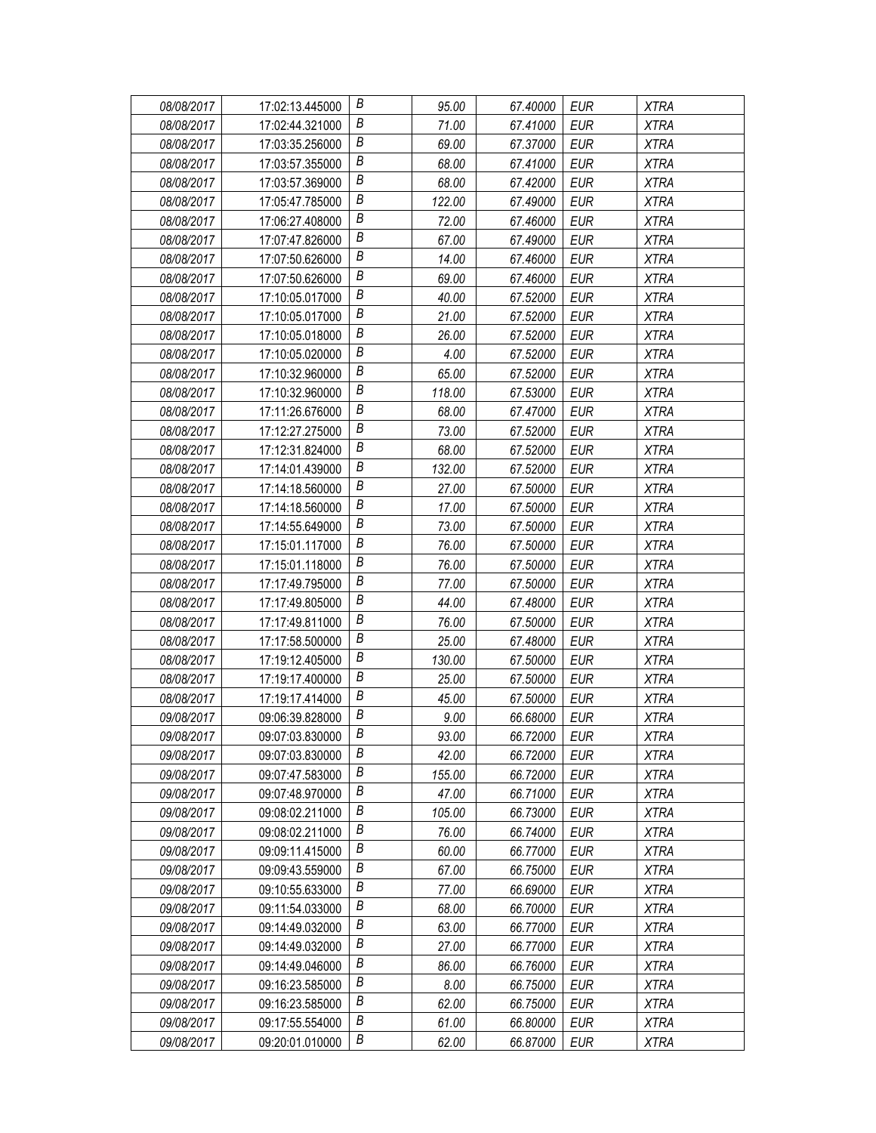| 08/08/2017 | 17:02:13.445000 | В                | 95.00  | 67.40000 | EUR        | <b>XTRA</b> |
|------------|-----------------|------------------|--------|----------|------------|-------------|
| 08/08/2017 | 17:02:44.321000 | Β                | 71.00  | 67.41000 | EUR        | <b>XTRA</b> |
| 08/08/2017 | 17:03:35.256000 | Β                | 69.00  | 67.37000 | <b>EUR</b> | <b>XTRA</b> |
| 08/08/2017 | 17:03:57.355000 | B                | 68.00  | 67.41000 | <b>EUR</b> | <b>XTRA</b> |
| 08/08/2017 | 17:03:57.369000 | B                | 68.00  | 67.42000 | <b>EUR</b> | <b>XTRA</b> |
| 08/08/2017 | 17:05:47.785000 | Β                | 122.00 | 67.49000 | <b>EUR</b> | <b>XTRA</b> |
| 08/08/2017 | 17:06:27.408000 | Β                | 72.00  | 67.46000 | <b>EUR</b> | <b>XTRA</b> |
| 08/08/2017 | 17:07:47.826000 | Β                | 67.00  | 67.49000 | <b>EUR</b> | <b>XTRA</b> |
| 08/08/2017 | 17:07:50.626000 | B                | 14.00  | 67.46000 | <b>EUR</b> | <b>XTRA</b> |
| 08/08/2017 | 17:07:50.626000 | B                | 69.00  | 67.46000 | <b>EUR</b> | <b>XTRA</b> |
| 08/08/2017 | 17:10:05.017000 | В                | 40.00  | 67.52000 | <b>EUR</b> | <b>XTRA</b> |
| 08/08/2017 | 17:10:05.017000 | В                | 21.00  | 67.52000 | <b>EUR</b> | <b>XTRA</b> |
| 08/08/2017 | 17:10:05.018000 | B                | 26.00  | 67.52000 | <b>EUR</b> | <b>XTRA</b> |
| 08/08/2017 | 17:10:05.020000 | В                | 4.00   | 67.52000 | <b>EUR</b> | <b>XTRA</b> |
| 08/08/2017 | 17:10:32.960000 | Β                | 65.00  | 67.52000 | <b>EUR</b> | <b>XTRA</b> |
| 08/08/2017 | 17:10:32.960000 | В                | 118.00 | 67.53000 | <b>EUR</b> | <b>XTRA</b> |
| 08/08/2017 | 17:11:26.676000 | Β                | 68.00  | 67.47000 | <b>EUR</b> | <b>XTRA</b> |
| 08/08/2017 | 17:12:27.275000 | $\boldsymbol{B}$ | 73.00  | 67.52000 | <b>EUR</b> | <b>XTRA</b> |
| 08/08/2017 | 17:12:31.824000 | $\boldsymbol{B}$ | 68.00  | 67.52000 | <b>EUR</b> | <b>XTRA</b> |
| 08/08/2017 | 17:14:01.439000 | Β                | 132.00 | 67.52000 | EUR        | <b>XTRA</b> |
| 08/08/2017 | 17:14:18.560000 | Β                | 27.00  | 67.50000 | <b>EUR</b> | <b>XTRA</b> |
| 08/08/2017 | 17:14:18.560000 | B                | 17.00  | 67.50000 | <b>EUR</b> | <b>XTRA</b> |
| 08/08/2017 | 17:14:55.649000 | В                | 73.00  | 67.50000 | <b>EUR</b> | <b>XTRA</b> |
| 08/08/2017 | 17:15:01.117000 | Β                | 76.00  | 67.50000 | <b>EUR</b> | <b>XTRA</b> |
| 08/08/2017 | 17:15:01.118000 | Β                | 76.00  | 67.50000 | <b>EUR</b> | <b>XTRA</b> |
| 08/08/2017 | 17:17:49.795000 | В                | 77.00  | 67.50000 | <b>EUR</b> | <b>XTRA</b> |
| 08/08/2017 | 17:17:49.805000 | В                | 44.00  | 67.48000 | <b>EUR</b> | <b>XTRA</b> |
| 08/08/2017 | 17:17:49.811000 | В                | 76.00  | 67.50000 | EUR        | <b>XTRA</b> |
| 08/08/2017 | 17:17:58.500000 | B                | 25.00  | 67.48000 | <b>EUR</b> | <b>XTRA</b> |
| 08/08/2017 | 17:19:12.405000 | Β                | 130.00 | 67.50000 | <b>EUR</b> | <b>XTRA</b> |
| 08/08/2017 | 17:19:17.400000 | B                | 25.00  | 67.50000 | <b>EUR</b> | <b>XTRA</b> |
| 08/08/2017 | 17:19:17.414000 | $\boldsymbol{B}$ | 45.00  | 67.50000 | <b>EUR</b> | <b>XTRA</b> |
| 09/08/2017 | 09:06:39.828000 | В                | 9.00   | 66.68000 | <b>EUR</b> | <b>XTRA</b> |
| 09/08/2017 | 09:07:03.830000 | B                | 93.00  | 66.72000 | <b>EUR</b> | <b>XTRA</b> |
| 09/08/2017 | 09:07:03.830000 | В                | 42.00  | 66.72000 | EUR        | <b>XTRA</b> |
| 09/08/2017 | 09:07:47.583000 | Β                | 155.00 | 66.72000 | <b>EUR</b> | <b>XTRA</b> |
| 09/08/2017 | 09:07:48.970000 | Β                | 47.00  | 66.71000 | EUR        | XTRA        |
| 09/08/2017 | 09:08:02.211000 | В                | 105.00 | 66.73000 | EUR        | <b>XTRA</b> |
| 09/08/2017 | 09:08:02.211000 | Β                | 76.00  | 66.74000 | <b>EUR</b> | <b>XTRA</b> |
| 09/08/2017 | 09:09:11.415000 | В                | 60.00  | 66.77000 | EUR        | <b>XTRA</b> |
| 09/08/2017 | 09:09:43.559000 | B                | 67.00  | 66.75000 | <b>EUR</b> | XTRA        |
| 09/08/2017 | 09:10:55.633000 | В                | 77.00  | 66.69000 | <b>EUR</b> | <b>XTRA</b> |
| 09/08/2017 | 09:11:54.033000 | Β                | 68.00  | 66.70000 | <b>EUR</b> | <b>XTRA</b> |
| 09/08/2017 | 09:14:49.032000 | B                | 63.00  | 66.77000 | <b>EUR</b> | <b>XTRA</b> |
| 09/08/2017 | 09:14:49.032000 | B                | 27.00  | 66.77000 | <b>EUR</b> | <b>XTRA</b> |
| 09/08/2017 | 09:14:49.046000 | Β                | 86.00  | 66.76000 | EUR        | <b>XTRA</b> |
| 09/08/2017 | 09:16:23.585000 | Β                | 8.00   | 66.75000 | EUR        | <b>XTRA</b> |
| 09/08/2017 | 09:16:23.585000 | Β                | 62.00  | 66.75000 | <b>EUR</b> | <b>XTRA</b> |
| 09/08/2017 | 09:17:55.554000 | B                | 61.00  | 66.80000 | <b>EUR</b> | <b>XTRA</b> |
| 09/08/2017 | 09:20:01.010000 | В                | 62.00  | 66.87000 | <b>EUR</b> | <b>XTRA</b> |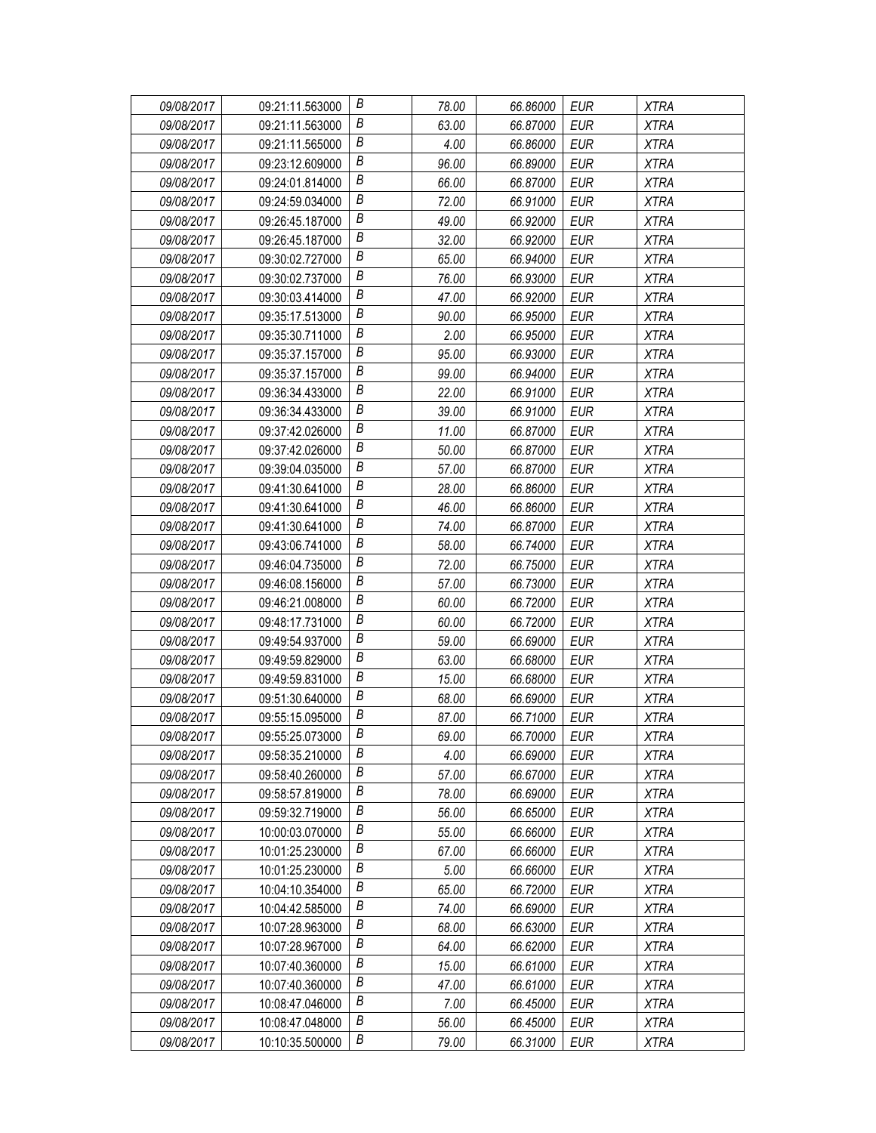| 09/08/2017 | 09:21:11.563000 | В | 78.00 | 66.86000 | <b>EUR</b> | <b>XTRA</b> |
|------------|-----------------|---|-------|----------|------------|-------------|
| 09/08/2017 | 09:21:11.563000 | В | 63.00 | 66.87000 | EUR        | <b>XTRA</b> |
| 09/08/2017 | 09:21:11.565000 | Β | 4.00  | 66.86000 | <b>EUR</b> | <b>XTRA</b> |
| 09/08/2017 | 09:23:12.609000 | B | 96.00 | 66.89000 | <b>EUR</b> | <b>XTRA</b> |
| 09/08/2017 | 09:24:01.814000 | B | 66.00 | 66.87000 | <b>EUR</b> | <b>XTRA</b> |
| 09/08/2017 | 09:24:59.034000 | Β | 72.00 | 66.91000 | <b>EUR</b> | <b>XTRA</b> |
| 09/08/2017 | 09:26:45.187000 | В | 49.00 | 66.92000 | <b>EUR</b> | <b>XTRA</b> |
| 09/08/2017 | 09:26:45.187000 | Β | 32.00 | 66.92000 | <b>EUR</b> | <b>XTRA</b> |
| 09/08/2017 | 09:30:02.727000 | B | 65.00 | 66.94000 | <b>EUR</b> | <b>XTRA</b> |
| 09/08/2017 | 09:30:02.737000 | B | 76.00 | 66.93000 | <b>EUR</b> | <b>XTRA</b> |
| 09/08/2017 | 09:30:03.414000 | В | 47.00 | 66.92000 | <b>EUR</b> | <b>XTRA</b> |
| 09/08/2017 | 09:35:17.513000 | В | 90.00 | 66.95000 | <b>EUR</b> | <b>XTRA</b> |
| 09/08/2017 | 09:35:30.711000 | B | 2.00  | 66.95000 | <b>EUR</b> | <b>XTRA</b> |
| 09/08/2017 | 09:35:37.157000 | B | 95.00 | 66.93000 | <b>EUR</b> | <b>XTRA</b> |
| 09/08/2017 | 09:35:37.157000 | В | 99.00 | 66.94000 | <b>EUR</b> | <b>XTRA</b> |
| 09/08/2017 | 09:36:34.433000 | В | 22.00 | 66.91000 | <b>EUR</b> | <b>XTRA</b> |
| 09/08/2017 | 09:36:34.433000 | Β | 39.00 | 66.91000 | <b>EUR</b> | <b>XTRA</b> |
| 09/08/2017 | 09:37:42.026000 | B | 11.00 | 66.87000 | <b>EUR</b> | <b>XTRA</b> |
| 09/08/2017 | 09:37:42.026000 | B | 50.00 | 66.87000 | <b>EUR</b> | <b>XTRA</b> |
| 09/08/2017 | 09:39:04.035000 | В | 57.00 | 66.87000 | EUR        | <b>XTRA</b> |
| 09/08/2017 | 09:41:30.641000 | В | 28.00 | 66.86000 | <b>EUR</b> | <b>XTRA</b> |
| 09/08/2017 | 09:41:30.641000 | B | 46.00 | 66.86000 | <b>EUR</b> | <b>XTRA</b> |
| 09/08/2017 | 09:41:30.641000 | B | 74.00 | 66.87000 | <b>EUR</b> | <b>XTRA</b> |
| 09/08/2017 | 09:43:06.741000 | В | 58.00 | 66.74000 | <b>EUR</b> | <b>XTRA</b> |
| 09/08/2017 | 09:46:04.735000 | Β | 72.00 | 66.75000 | <b>EUR</b> | <b>XTRA</b> |
| 09/08/2017 | 09:46:08.156000 | В | 57.00 | 66.73000 | <b>EUR</b> | <b>XTRA</b> |
| 09/08/2017 | 09:46:21.008000 | B | 60.00 | 66.72000 | <b>EUR</b> | <b>XTRA</b> |
| 09/08/2017 | 09:48:17.731000 | B | 60.00 | 66.72000 | EUR        | <b>XTRA</b> |
| 09/08/2017 | 09:49:54.937000 | B | 59.00 | 66.69000 | <b>EUR</b> | <b>XTRA</b> |
| 09/08/2017 | 09:49:59.829000 | Β | 63.00 | 66.68000 | <b>EUR</b> | <b>XTRA</b> |
| 09/08/2017 | 09:49:59.831000 | B | 15.00 | 66.68000 | <b>EUR</b> | <b>XTRA</b> |
| 09/08/2017 | 09:51:30.640000 | B | 68.00 | 66.69000 | <b>EUR</b> | <b>XTRA</b> |
| 09/08/2017 | 09:55:15.095000 | B | 87.00 | 66.71000 | <b>EUR</b> | <b>XTRA</b> |
| 09/08/2017 | 09:55:25.073000 | B | 69.00 | 66.70000 | <b>EUR</b> | <b>XTRA</b> |
| 09/08/2017 | 09:58:35.210000 | В | 4.00  | 66.69000 | EUR        | <b>XTRA</b> |
| 09/08/2017 | 09:58:40.260000 | B | 57.00 | 66.67000 | <b>EUR</b> | <b>XTRA</b> |
| 09/08/2017 | 09:58:57.819000 | Β | 78.00 | 66.69000 | EUR        | XTRA        |
| 09/08/2017 | 09:59:32.719000 | В | 56.00 | 66.65000 | EUR        | <b>XTRA</b> |
| 09/08/2017 | 10:00:03.070000 | В | 55.00 | 66.66000 | <b>EUR</b> | <b>XTRA</b> |
| 09/08/2017 | 10:01:25.230000 | B | 67.00 | 66.66000 | <b>EUR</b> | <b>XTRA</b> |
| 09/08/2017 | 10:01:25.230000 | B | 5.00  | 66.66000 | <b>EUR</b> | XTRA        |
| 09/08/2017 | 10:04:10.354000 | В | 65.00 | 66.72000 | <b>EUR</b> | <b>XTRA</b> |
| 09/08/2017 | 10:04:42.585000 | Β | 74.00 | 66.69000 | <b>EUR</b> | <b>XTRA</b> |
| 09/08/2017 | 10:07:28.963000 | B | 68.00 | 66.63000 | <b>EUR</b> | <b>XTRA</b> |
| 09/08/2017 | 10:07:28.967000 | В | 64.00 | 66.62000 | <b>EUR</b> | <b>XTRA</b> |
| 09/08/2017 | 10:07:40.360000 | Β | 15.00 | 66.61000 | EUR        | <b>XTRA</b> |
| 09/08/2017 | 10:07:40.360000 | B | 47.00 | 66.61000 | EUR        | <b>XTRA</b> |
| 09/08/2017 | 10:08:47.046000 | В | 7.00  | 66.45000 | <b>EUR</b> | <b>XTRA</b> |
| 09/08/2017 | 10:08:47.048000 | B | 56.00 | 66.45000 | <b>EUR</b> | <b>XTRA</b> |
| 09/08/2017 | 10:10:35.500000 | В | 79.00 | 66.31000 | <b>EUR</b> | <b>XTRA</b> |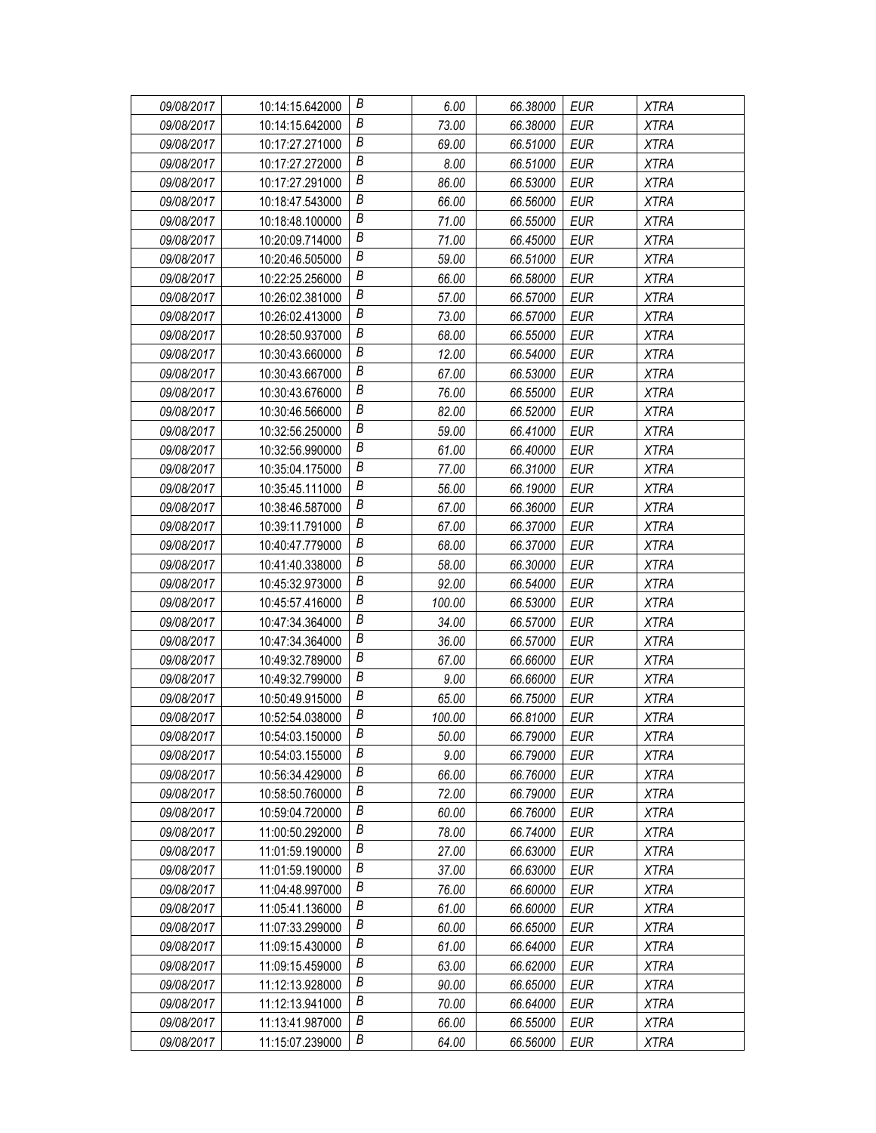| 09/08/2017 | 10:14:15.642000 | В                | 6.00   | 66.38000 | EUR        | <b>XTRA</b> |
|------------|-----------------|------------------|--------|----------|------------|-------------|
| 09/08/2017 | 10:14:15.642000 | Β                | 73.00  | 66.38000 | EUR        | <b>XTRA</b> |
| 09/08/2017 | 10:17:27.271000 | Β                | 69.00  | 66.51000 | <b>EUR</b> | <b>XTRA</b> |
| 09/08/2017 | 10:17:27.272000 | B                | 8.00   | 66.51000 | <b>EUR</b> | <b>XTRA</b> |
| 09/08/2017 | 10:17:27.291000 | B                | 86.00  | 66.53000 | <b>EUR</b> | <b>XTRA</b> |
| 09/08/2017 | 10:18:47.543000 | Β                | 66.00  | 66.56000 | <b>EUR</b> | <b>XTRA</b> |
| 09/08/2017 | 10:18:48.100000 | В                | 71.00  | 66.55000 | <b>EUR</b> | <b>XTRA</b> |
| 09/08/2017 | 10:20:09.714000 | Β                | 71.00  | 66.45000 | <b>EUR</b> | <b>XTRA</b> |
| 09/08/2017 | 10:20:46.505000 | B                | 59.00  | 66.51000 | <b>EUR</b> | <b>XTRA</b> |
| 09/08/2017 | 10:22:25.256000 | B                | 66.00  | 66.58000 | <b>EUR</b> | <b>XTRA</b> |
| 09/08/2017 | 10:26:02.381000 | В                | 57.00  | 66.57000 | <b>EUR</b> | <b>XTRA</b> |
| 09/08/2017 | 10:26:02.413000 | В                | 73.00  | 66.57000 | <b>EUR</b> | <b>XTRA</b> |
| 09/08/2017 | 10:28:50.937000 | B                | 68.00  | 66.55000 | <b>EUR</b> | <b>XTRA</b> |
| 09/08/2017 | 10:30:43.660000 | В                | 12.00  | 66.54000 | <b>EUR</b> | <b>XTRA</b> |
| 09/08/2017 | 10:30:43.667000 | В                | 67.00  | 66.53000 | <b>EUR</b> | <b>XTRA</b> |
| 09/08/2017 | 10:30:43.676000 | В                | 76.00  | 66.55000 | <b>EUR</b> | <b>XTRA</b> |
| 09/08/2017 | 10:30:46.566000 | Β                | 82.00  | 66.52000 | <b>EUR</b> | <b>XTRA</b> |
| 09/08/2017 | 10:32:56.250000 | $\boldsymbol{B}$ | 59.00  | 66.41000 | <b>EUR</b> | <b>XTRA</b> |
| 09/08/2017 | 10:32:56.990000 | В                | 61.00  | 66.40000 | <b>EUR</b> | <b>XTRA</b> |
| 09/08/2017 | 10:35:04.175000 | В                | 77.00  | 66.31000 | <b>EUR</b> | <b>XTRA</b> |
| 09/08/2017 | 10:35:45.111000 | Β                | 56.00  | 66.19000 | <b>EUR</b> | <b>XTRA</b> |
| 09/08/2017 | 10:38:46.587000 | B                | 67.00  | 66.36000 | <b>EUR</b> | <b>XTRA</b> |
| 09/08/2017 | 10:39:11.791000 | В                | 67.00  | 66.37000 | <b>EUR</b> | <b>XTRA</b> |
| 09/08/2017 | 10:40:47.779000 | В                | 68.00  | 66.37000 | <b>EUR</b> | <b>XTRA</b> |
| 09/08/2017 | 10:41:40.338000 | Β                | 58.00  | 66.30000 | <b>EUR</b> | <b>XTRA</b> |
| 09/08/2017 | 10:45:32.973000 | В                | 92.00  | 66.54000 | <b>EUR</b> | <b>XTRA</b> |
| 09/08/2017 | 10:45:57.416000 | Β                | 100.00 | 66.53000 | <b>EUR</b> | <b>XTRA</b> |
| 09/08/2017 | 10:47:34.364000 | B                | 34.00  | 66.57000 | EUR        | <b>XTRA</b> |
| 09/08/2017 | 10:47:34.364000 | B                | 36.00  | 66.57000 | <b>EUR</b> | <b>XTRA</b> |
| 09/08/2017 | 10:49:32.789000 | Β                | 67.00  | 66.66000 | <b>EUR</b> | <b>XTRA</b> |
| 09/08/2017 | 10:49:32.799000 | B                | 9.00   | 66.66000 | <b>EUR</b> | <b>XTRA</b> |
| 09/08/2017 | 10:50:49.915000 | B                | 65.00  | 66.75000 | <b>EUR</b> | <b>XTRA</b> |
| 09/08/2017 | 10:52:54.038000 | B                | 100.00 | 66.81000 | <b>EUR</b> | <b>XTRA</b> |
| 09/08/2017 | 10:54:03.150000 | B                | 50.00  | 66.79000 | <b>EUR</b> | <b>XTRA</b> |
| 09/08/2017 | 10:54:03.155000 | В                | 9.00   | 66.79000 | EUR        | <b>XTRA</b> |
| 09/08/2017 | 10:56:34.429000 | B                | 66.00  | 66.76000 | <b>EUR</b> | <b>XTRA</b> |
| 09/08/2017 | 10:58:50.760000 | Β                | 72.00  | 66.79000 | EUR        | XTRA        |
| 09/08/2017 | 10:59:04.720000 | В                | 60.00  | 66.76000 | EUR        | <b>XTRA</b> |
| 09/08/2017 | 11:00:50.292000 | Β                | 78.00  | 66.74000 | <b>EUR</b> | <b>XTRA</b> |
| 09/08/2017 | 11:01:59.190000 | Β                | 27.00  | 66.63000 | EUR        | <b>XTRA</b> |
| 09/08/2017 | 11:01:59.190000 | B                | 37.00  | 66.63000 | <b>EUR</b> | XTRA        |
| 09/08/2017 | 11:04:48.997000 | В                | 76.00  | 66.60000 | <b>EUR</b> | <b>XTRA</b> |
| 09/08/2017 | 11:05:41.136000 | Β                | 61.00  | 66.60000 | <b>EUR</b> | <b>XTRA</b> |
| 09/08/2017 | 11:07:33.299000 | B                | 60.00  | 66.65000 | <b>EUR</b> | <b>XTRA</b> |
| 09/08/2017 | 11:09:15.430000 | B                | 61.00  | 66.64000 | <b>EUR</b> | <b>XTRA</b> |
| 09/08/2017 | 11:09:15.459000 | Β                | 63.00  | 66.62000 | EUR        | <b>XTRA</b> |
| 09/08/2017 | 11:12:13.928000 | Β                | 90.00  | 66.65000 | EUR        | <b>XTRA</b> |
| 09/08/2017 | 11:12:13.941000 | В                | 70.00  | 66.64000 | <b>EUR</b> | <b>XTRA</b> |
| 09/08/2017 | 11:13:41.987000 | B                | 66.00  | 66.55000 | <b>EUR</b> | <b>XTRA</b> |
| 09/08/2017 | 11:15:07.239000 | В                | 64.00  | 66.56000 | <b>EUR</b> | <b>XTRA</b> |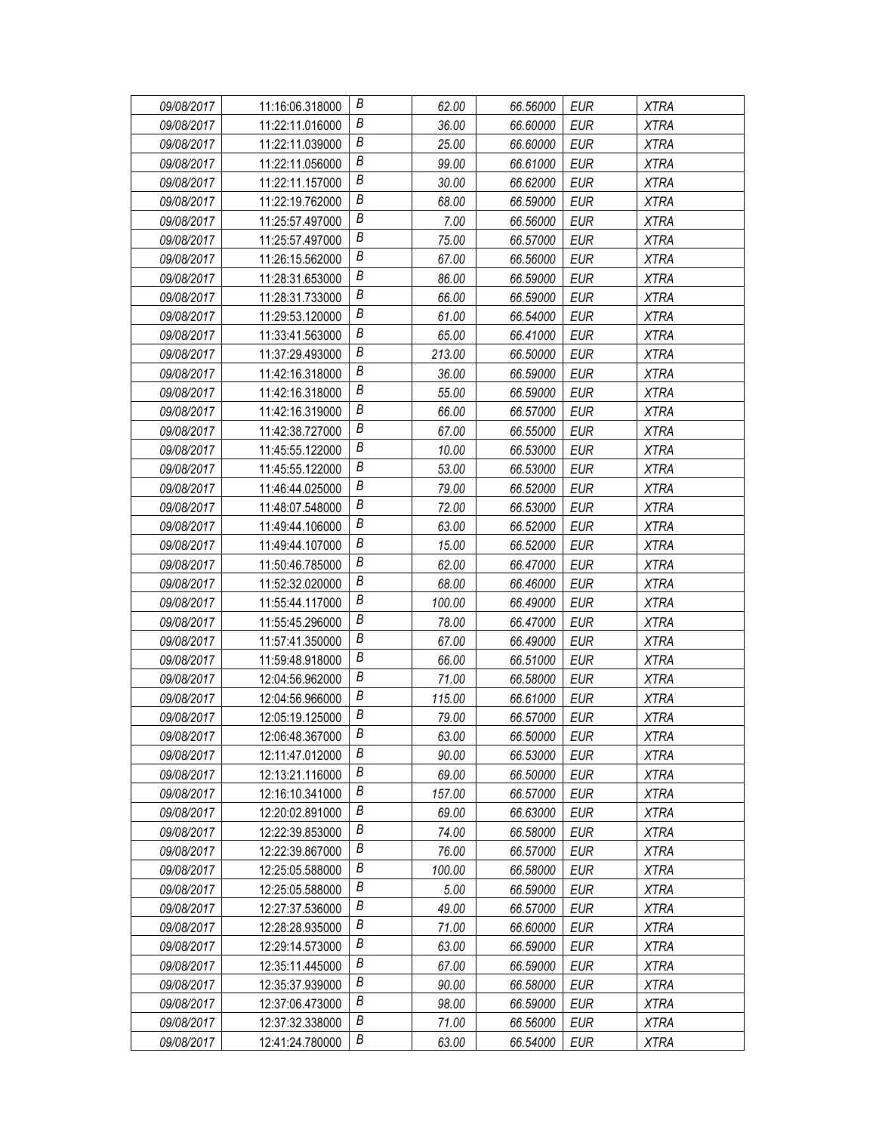| 09/08/2017 | 11:16:06.318000 | В | 62.00  | 66.56000 | EUR        | <b>XTRA</b> |
|------------|-----------------|---|--------|----------|------------|-------------|
| 09/08/2017 | 11:22:11.016000 | Β | 36.00  | 66.60000 | EUR        | <b>XTRA</b> |
| 09/08/2017 | 11:22:11.039000 | Β | 25.00  | 66.60000 | <b>EUR</b> | <b>XTRA</b> |
| 09/08/2017 | 11:22:11.056000 | B | 99.00  | 66.61000 | <b>EUR</b> | <b>XTRA</b> |
| 09/08/2017 | 11:22:11.157000 | B | 30.00  | 66.62000 | <b>EUR</b> | <b>XTRA</b> |
| 09/08/2017 | 11:22:19.762000 | Β | 68.00  | 66.59000 | <b>EUR</b> | <b>XTRA</b> |
| 09/08/2017 | 11:25:57.497000 | В | 7.00   | 66.56000 | <b>EUR</b> | <b>XTRA</b> |
| 09/08/2017 | 11:25:57.497000 | Β | 75.00  | 66.57000 | <b>EUR</b> | <b>XTRA</b> |
| 09/08/2017 | 11:26:15.562000 | B | 67.00  | 66.56000 | <b>EUR</b> | <b>XTRA</b> |
| 09/08/2017 | 11:28:31.653000 | B | 86.00  | 66.59000 | <b>EUR</b> | <b>XTRA</b> |
| 09/08/2017 | 11:28:31.733000 | В | 66.00  | 66.59000 | <b>EUR</b> | <b>XTRA</b> |
| 09/08/2017 | 11:29:53.120000 | В | 61.00  | 66.54000 | <b>EUR</b> | <b>XTRA</b> |
| 09/08/2017 | 11:33:41.563000 | B | 65.00  | 66.41000 | <b>EUR</b> | <b>XTRA</b> |
| 09/08/2017 | 11:37:29.493000 | B | 213.00 | 66.50000 | <b>EUR</b> | <b>XTRA</b> |
| 09/08/2017 | 11:42:16.318000 | В | 36.00  | 66.59000 | <b>EUR</b> | <b>XTRA</b> |
| 09/08/2017 | 11:42:16.318000 | В | 55.00  | 66.59000 | <b>EUR</b> | <b>XTRA</b> |
| 09/08/2017 | 11:42:16.319000 | Β | 66.00  | 66.57000 | <b>EUR</b> | <b>XTRA</b> |
| 09/08/2017 | 11:42:38.727000 | B | 67.00  | 66.55000 | <b>EUR</b> | <b>XTRA</b> |
| 09/08/2017 | 11:45:55.122000 | B | 10.00  | 66.53000 | <b>EUR</b> | <b>XTRA</b> |
| 09/08/2017 | 11:45:55.122000 | В | 53.00  | 66.53000 | <b>EUR</b> | <b>XTRA</b> |
| 09/08/2017 | 11:46:44.025000 | В | 79.00  | 66.52000 | <b>EUR</b> | <b>XTRA</b> |
| 09/08/2017 | 11:48:07.548000 | B | 72.00  | 66.53000 | <b>EUR</b> | <b>XTRA</b> |
| 09/08/2017 | 11:49:44.106000 | B | 63.00  | 66.52000 | <b>EUR</b> | <b>XTRA</b> |
| 09/08/2017 | 11:49:44.107000 | Β | 15.00  | 66.52000 | <b>EUR</b> | <b>XTRA</b> |
| 09/08/2017 | 11:50:46.785000 | Β | 62.00  | 66.47000 | <b>EUR</b> | <b>XTRA</b> |
| 09/08/2017 | 11:52:32.020000 | В | 68.00  | 66.46000 | <b>EUR</b> | <b>XTRA</b> |
| 09/08/2017 | 11:55:44.117000 | B | 100.00 | 66.49000 | <b>EUR</b> | <b>XTRA</b> |
| 09/08/2017 | 11:55:45.296000 | B | 78.00  | 66.47000 | EUR        | <b>XTRA</b> |
| 09/08/2017 | 11:57:41.350000 | B | 67.00  | 66.49000 | <b>EUR</b> | <b>XTRA</b> |
| 09/08/2017 | 11:59:48.918000 | Β | 66.00  | 66.51000 | <b>EUR</b> | <b>XTRA</b> |
| 09/08/2017 | 12:04:56.962000 | B | 71.00  | 66.58000 | <b>EUR</b> | <b>XTRA</b> |
| 09/08/2017 | 12:04:56.966000 | B | 115.00 | 66.61000 | <b>EUR</b> | <b>XTRA</b> |
| 09/08/2017 | 12:05:19.125000 | B | 79.00  | 66.57000 | <b>EUR</b> | <b>XTRA</b> |
| 09/08/2017 | 12:06:48.367000 | B | 63.00  | 66.50000 | <b>EUR</b> | <b>XTRA</b> |
| 09/08/2017 | 12:11:47.012000 | В | 90.00  | 66.53000 | EUR        | <b>XTRA</b> |
| 09/08/2017 | 12:13:21.116000 | Β | 69.00  | 66.50000 | <b>EUR</b> | <b>XTRA</b> |
| 09/08/2017 | 12:16:10.341000 | Β | 157.00 | 66.57000 | EUR        | XTRA        |
| 09/08/2017 | 12:20:02.891000 | В | 69.00  | 66.63000 | EUR        | <b>XTRA</b> |
| 09/08/2017 | 12:22:39.853000 | Β | 74.00  | 66.58000 | <b>EUR</b> | <b>XTRA</b> |
| 09/08/2017 | 12:22:39.867000 | В | 76.00  | 66.57000 | EUR        | <b>XTRA</b> |
| 09/08/2017 | 12:25:05.588000 | B | 100.00 | 66.58000 | <b>EUR</b> | XTRA        |
| 09/08/2017 | 12:25:05.588000 | В | 5.00   | 66.59000 | <b>EUR</b> | <b>XTRA</b> |
| 09/08/2017 | 12:27:37.536000 | Β | 49.00  | 66.57000 | <b>EUR</b> | <b>XTRA</b> |
| 09/08/2017 | 12:28:28.935000 | B | 71.00  | 66.60000 | <b>EUR</b> | <b>XTRA</b> |
| 09/08/2017 | 12:29:14.573000 | B | 63.00  | 66.59000 | <b>EUR</b> | <b>XTRA</b> |
| 09/08/2017 | 12:35:11.445000 | Β | 67.00  | 66.59000 | EUR        | <b>XTRA</b> |
| 09/08/2017 | 12:35:37.939000 | Β | 90.00  | 66.58000 | EUR        | <b>XTRA</b> |
| 09/08/2017 | 12:37:06.473000 | В | 98.00  | 66.59000 | <b>EUR</b> | <b>XTRA</b> |
| 09/08/2017 | 12:37:32.338000 | B | 71.00  | 66.56000 | <b>EUR</b> | <b>XTRA</b> |
| 09/08/2017 | 12:41:24.780000 | В | 63.00  | 66.54000 | <b>EUR</b> | <b>XTRA</b> |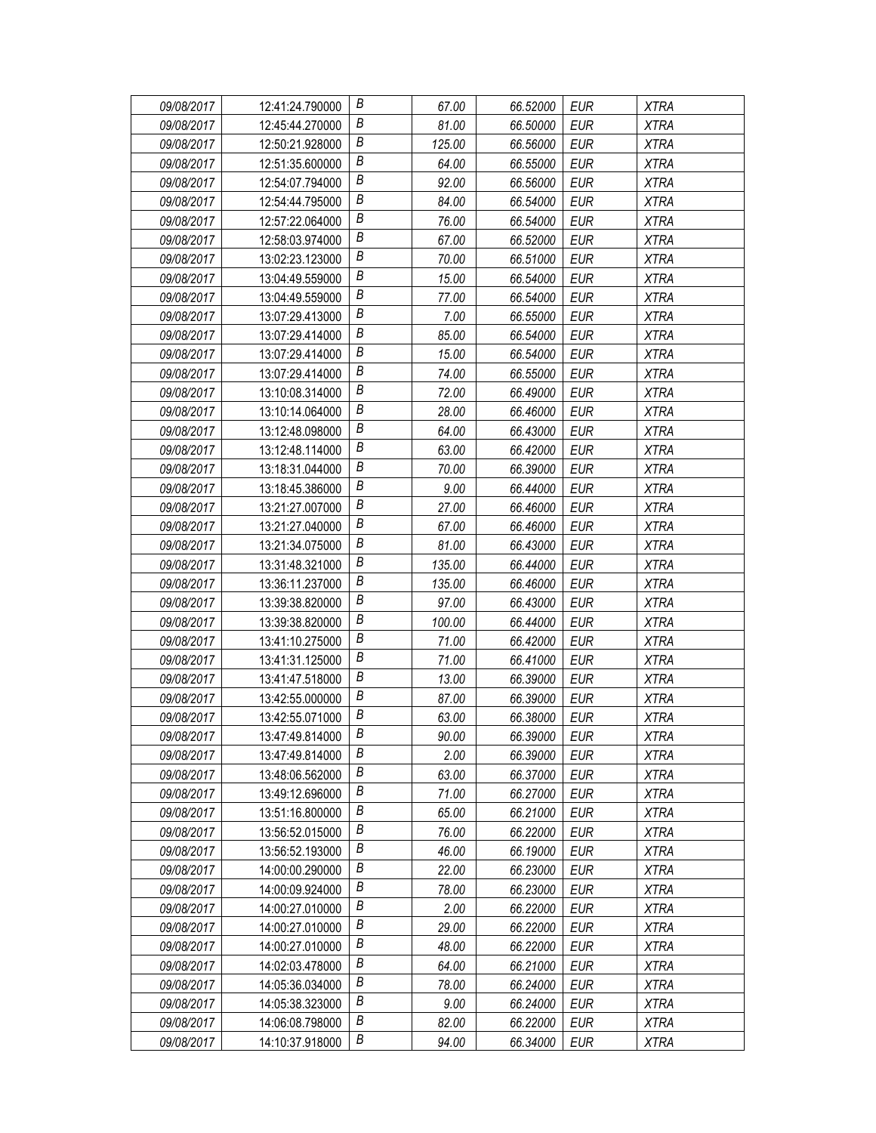| 09/08/2017 | 12:41:24.790000 | В | 67.00  | 66.52000 | EUR        | <b>XTRA</b> |
|------------|-----------------|---|--------|----------|------------|-------------|
| 09/08/2017 | 12:45:44.270000 | Β | 81.00  | 66.50000 | EUR        | <b>XTRA</b> |
| 09/08/2017 | 12:50:21.928000 | Β | 125.00 | 66.56000 | <b>EUR</b> | <b>XTRA</b> |
| 09/08/2017 | 12:51:35.600000 | B | 64.00  | 66.55000 | <b>EUR</b> | <b>XTRA</b> |
| 09/08/2017 | 12:54:07.794000 | B | 92.00  | 66.56000 | <b>EUR</b> | <b>XTRA</b> |
| 09/08/2017 | 12:54:44.795000 | Β | 84.00  | 66.54000 | <b>EUR</b> | <b>XTRA</b> |
| 09/08/2017 | 12:57:22.064000 | В | 76.00  | 66.54000 | <b>EUR</b> | <b>XTRA</b> |
| 09/08/2017 | 12:58:03.974000 | Β | 67.00  | 66.52000 | <b>EUR</b> | <b>XTRA</b> |
| 09/08/2017 | 13:02:23.123000 | B | 70.00  | 66.51000 | <b>EUR</b> | <b>XTRA</b> |
| 09/08/2017 | 13:04:49.559000 | B | 15.00  | 66.54000 | <b>EUR</b> | <b>XTRA</b> |
| 09/08/2017 | 13:04:49.559000 | В | 77.00  | 66.54000 | <b>EUR</b> | <b>XTRA</b> |
| 09/08/2017 | 13:07:29.413000 | В | 7.00   | 66.55000 | <b>EUR</b> | <b>XTRA</b> |
| 09/08/2017 | 13:07:29.414000 | B | 85.00  | 66.54000 | <b>EUR</b> | <b>XTRA</b> |
| 09/08/2017 | 13:07:29.414000 | В | 15.00  | 66.54000 | <b>EUR</b> | <b>XTRA</b> |
| 09/08/2017 | 13:07:29.414000 | Β | 74.00  | 66.55000 | <b>EUR</b> | <b>XTRA</b> |
| 09/08/2017 | 13:10:08.314000 | В | 72.00  | 66.49000 | <b>EUR</b> | <b>XTRA</b> |
| 09/08/2017 | 13:10:14.064000 | Β | 28.00  | 66.46000 | <b>EUR</b> | <b>XTRA</b> |
| 09/08/2017 | 13:12:48.098000 | В | 64.00  | 66.43000 | <b>EUR</b> | <b>XTRA</b> |
| 09/08/2017 | 13:12:48.114000 | B | 63.00  | 66.42000 | <b>EUR</b> | <b>XTRA</b> |
| 09/08/2017 | 13:18:31.044000 | В | 70.00  | 66.39000 | EUR        | <b>XTRA</b> |
| 09/08/2017 | 13:18:45.386000 | Β | 9.00   | 66.44000 | <b>EUR</b> | <b>XTRA</b> |
| 09/08/2017 | 13:21:27.007000 | B | 27.00  | 66.46000 | <b>EUR</b> | <b>XTRA</b> |
| 09/08/2017 | 13:21:27.040000 | В | 67.00  | 66.46000 | <b>EUR</b> | <b>XTRA</b> |
| 09/08/2017 | 13:21:34.075000 | Β | 81.00  | 66.43000 | <b>EUR</b> | <b>XTRA</b> |
| 09/08/2017 | 13:31:48.321000 | Β | 135.00 | 66.44000 | <b>EUR</b> | <b>XTRA</b> |
| 09/08/2017 | 13:36:11.237000 | В | 135.00 | 66.46000 | <b>EUR</b> | <b>XTRA</b> |
| 09/08/2017 | 13:39:38.820000 | B | 97.00  | 66.43000 | <b>EUR</b> | <b>XTRA</b> |
| 09/08/2017 | 13:39:38.820000 | B | 100.00 | 66.44000 | EUR        | <b>XTRA</b> |
| 09/08/2017 | 13:41:10.275000 | B | 71.00  | 66.42000 | <b>EUR</b> | <b>XTRA</b> |
| 09/08/2017 | 13:41:31.125000 | Β | 71.00  | 66.41000 | <b>EUR</b> | <b>XTRA</b> |
| 09/08/2017 | 13:41:47.518000 | B | 13.00  | 66.39000 | <b>EUR</b> | <b>XTRA</b> |
| 09/08/2017 | 13:42:55.000000 | B | 87.00  | 66.39000 | <b>EUR</b> | <b>XTRA</b> |
| 09/08/2017 | 13:42:55.071000 | В | 63.00  | 66.38000 | <b>EUR</b> | <b>XTRA</b> |
| 09/08/2017 | 13:47:49.814000 | B | 90.00  | 66.39000 | <b>EUR</b> | <b>XTRA</b> |
| 09/08/2017 | 13:47:49.814000 | В | 2.00   | 66.39000 | EUR        | <b>XTRA</b> |
| 09/08/2017 | 13:48:06.562000 | Β | 63.00  | 66.37000 | <b>EUR</b> | <b>XTRA</b> |
| 09/08/2017 | 13:49:12.696000 | Β | 71.00  | 66.27000 | EUR        | XTRA        |
| 09/08/2017 | 13:51:16.800000 | В | 65.00  | 66.21000 | EUR        | <b>XTRA</b> |
| 09/08/2017 | 13:56:52.015000 | Β | 76.00  | 66.22000 | <b>EUR</b> | <b>XTRA</b> |
| 09/08/2017 | 13:56:52.193000 | Β | 46.00  | 66.19000 | EUR        | <b>XTRA</b> |
| 09/08/2017 | 14:00:00.290000 | B | 22.00  | 66.23000 | <b>EUR</b> | XTRA        |
| 09/08/2017 | 14:00:09.924000 | В | 78.00  | 66.23000 | <b>EUR</b> | <b>XTRA</b> |
| 09/08/2017 | 14:00:27.010000 | Β | 2.00   | 66.22000 | <b>EUR</b> | <b>XTRA</b> |
| 09/08/2017 | 14:00:27.010000 | B | 29.00  | 66.22000 | <b>EUR</b> | <b>XTRA</b> |
| 09/08/2017 | 14:00:27.010000 | B | 48.00  | 66.22000 | <b>EUR</b> | <b>XTRA</b> |
| 09/08/2017 | 14:02:03.478000 | Β | 64.00  | 66.21000 | EUR        | <b>XTRA</b> |
| 09/08/2017 | 14:05:36.034000 | Β | 78.00  | 66.24000 | EUR        | <b>XTRA</b> |
| 09/08/2017 | 14:05:38.323000 | В | 9.00   | 66.24000 | <b>EUR</b> | <b>XTRA</b> |
| 09/08/2017 | 14:06:08.798000 | B | 82.00  | 66.22000 | <b>EUR</b> | <b>XTRA</b> |
| 09/08/2017 | 14:10:37.918000 | В | 94.00  | 66.34000 | <b>EUR</b> | <b>XTRA</b> |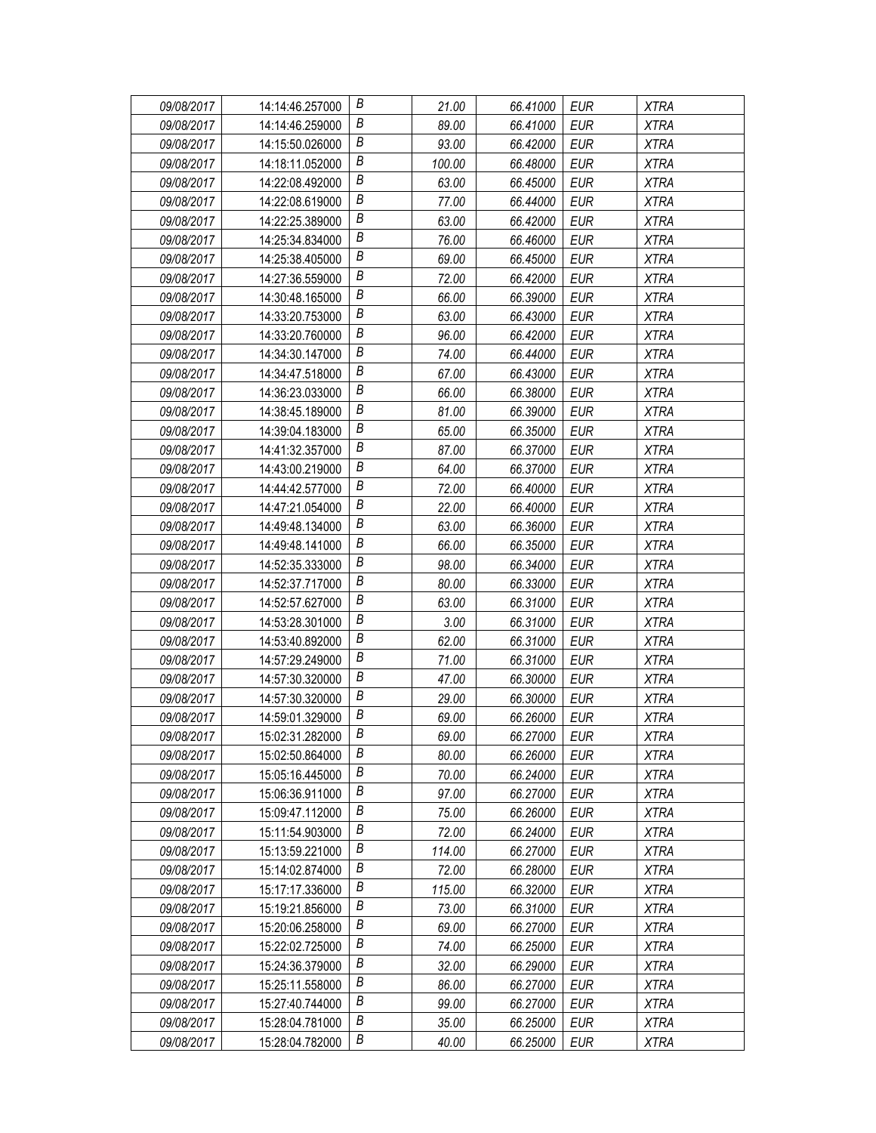| 09/08/2017 | 14:14:46.257000 | В                | 21.00  | 66.41000 | EUR        | <b>XTRA</b> |
|------------|-----------------|------------------|--------|----------|------------|-------------|
| 09/08/2017 | 14:14:46.259000 | В                | 89.00  | 66.41000 | <b>EUR</b> | <b>XTRA</b> |
| 09/08/2017 | 14:15:50.026000 | Β                | 93.00  | 66.42000 | <b>EUR</b> | <b>XTRA</b> |
| 09/08/2017 | 14:18:11.052000 | $\boldsymbol{B}$ | 100.00 | 66.48000 | <b>EUR</b> | <b>XTRA</b> |
| 09/08/2017 | 14:22:08.492000 | B                | 63.00  | 66.45000 | <b>EUR</b> | <b>XTRA</b> |
| 09/08/2017 | 14:22:08.619000 | Β                | 77.00  | 66.44000 | <b>EUR</b> | <b>XTRA</b> |
| 09/08/2017 | 14:22:25.389000 | В                | 63.00  | 66.42000 | <b>EUR</b> | <b>XTRA</b> |
| 09/08/2017 | 14:25:34.834000 | В                | 76.00  | 66.46000 | <b>EUR</b> | <b>XTRA</b> |
| 09/08/2017 | 14:25:38.405000 | B                | 69.00  | 66.45000 | <b>EUR</b> | <b>XTRA</b> |
| 09/08/2017 | 14:27:36.559000 | B                | 72.00  | 66.42000 | <b>EUR</b> | <b>XTRA</b> |
| 09/08/2017 | 14:30:48.165000 | В                | 66.00  | 66.39000 | <b>EUR</b> | <b>XTRA</b> |
| 09/08/2017 | 14:33:20.753000 | В                | 63.00  | 66.43000 | <b>EUR</b> | <b>XTRA</b> |
| 09/08/2017 | 14:33:20.760000 | B                | 96.00  | 66.42000 | <b>EUR</b> | <b>XTRA</b> |
| 09/08/2017 | 14:34:30.147000 | B                | 74.00  | 66.44000 | <b>EUR</b> | <b>XTRA</b> |
| 09/08/2017 | 14:34:47.518000 | Β                | 67.00  | 66.43000 | <b>EUR</b> | <b>XTRA</b> |
| 09/08/2017 | 14:36:23.033000 | В                | 66.00  | 66.38000 | <b>EUR</b> | <b>XTRA</b> |
| 09/08/2017 | 14:38:45.189000 | В                | 81.00  | 66.39000 | <b>EUR</b> | <b>XTRA</b> |
| 09/08/2017 | 14:39:04.183000 | B                | 65.00  | 66.35000 | <b>EUR</b> | <b>XTRA</b> |
| 09/08/2017 | 14:41:32.357000 | B                | 87.00  | 66.37000 | <b>EUR</b> | <b>XTRA</b> |
| 09/08/2017 | 14:43:00.219000 | В                | 64.00  | 66.37000 | EUR        | <b>XTRA</b> |
| 09/08/2017 | 14:44:42.577000 | Β                | 72.00  | 66.40000 | <b>EUR</b> | <b>XTRA</b> |
| 09/08/2017 | 14:47:21.054000 | $\boldsymbol{B}$ | 22.00  | 66.40000 | <b>EUR</b> | <b>XTRA</b> |
| 09/08/2017 | 14:49:48.134000 | B                | 63.00  | 66.36000 | <b>EUR</b> | <b>XTRA</b> |
| 09/08/2017 | 14:49:48.141000 | Β                | 66.00  | 66.35000 | <b>EUR</b> | <b>XTRA</b> |
| 09/08/2017 | 14:52:35.333000 | Β                | 98.00  | 66.34000 | <b>EUR</b> | <b>XTRA</b> |
| 09/08/2017 | 14:52:37.717000 | В                | 80.00  | 66.33000 | <b>EUR</b> | <b>XTRA</b> |
| 09/08/2017 | 14:52:57.627000 | B                | 63.00  | 66.31000 | <b>EUR</b> | <b>XTRA</b> |
| 09/08/2017 | 14:53:28.301000 | B                | 3.00   | 66.31000 | EUR        | <b>XTRA</b> |
| 09/08/2017 | 14:53:40.892000 | B                | 62.00  | 66.31000 | <b>EUR</b> | <b>XTRA</b> |
| 09/08/2017 | 14:57:29.249000 | Β                | 71.00  | 66.31000 | <b>EUR</b> | <b>XTRA</b> |
| 09/08/2017 | 14:57:30.320000 | B                | 47.00  | 66.30000 | <b>EUR</b> | <b>XTRA</b> |
| 09/08/2017 | 14:57:30.320000 | $\boldsymbol{B}$ | 29.00  | 66.30000 | <b>EUR</b> | <b>XTRA</b> |
| 09/08/2017 | 14:59:01.329000 | B                | 69.00  | 66.26000 | <b>EUR</b> | <b>XTRA</b> |
| 09/08/2017 | 15:02:31.282000 | B                | 69.00  | 66.27000 | <b>EUR</b> | <b>XTRA</b> |
| 09/08/2017 | 15:02:50.864000 | В                | 80.00  | 66.26000 | EUR        | <b>XTRA</b> |
| 09/08/2017 | 15:05:16.445000 | Β                | 70.00  | 66.24000 | <b>EUR</b> | <b>XTRA</b> |
| 09/08/2017 | 15:06:36.911000 | Β                | 97.00  | 66.27000 | EUR        | <b>XTRA</b> |
| 09/08/2017 | 15:09:47.112000 | В                | 75.00  | 66.26000 | EUR        | <b>XTRA</b> |
| 09/08/2017 | 15:11:54.903000 | Β                | 72.00  | 66.24000 | <b>EUR</b> | <b>XTRA</b> |
| 09/08/2017 | 15:13:59.221000 | В                | 114.00 | 66.27000 | EUR        | <b>XTRA</b> |
| 09/08/2017 | 15:14:02.874000 | B                | 72.00  | 66.28000 | <b>EUR</b> | XTRA        |
| 09/08/2017 | 15:17:17.336000 | В                | 115.00 | 66.32000 | <b>EUR</b> | <b>XTRA</b> |
| 09/08/2017 | 15:19:21.856000 | Β                | 73.00  | 66.31000 | <b>EUR</b> | <b>XTRA</b> |
| 09/08/2017 | 15:20:06.258000 | B                | 69.00  | 66.27000 | <b>EUR</b> | <b>XTRA</b> |
| 09/08/2017 | 15:22:02.725000 | B                | 74.00  | 66.25000 | <b>EUR</b> | <b>XTRA</b> |
| 09/08/2017 | 15:24:36.379000 | Β                | 32.00  | 66.29000 | EUR        | <b>XTRA</b> |
| 09/08/2017 | 15:25:11.558000 | Β                | 86.00  | 66.27000 | EUR        | <b>XTRA</b> |
| 09/08/2017 | 15:27:40.744000 | Β                | 99.00  | 66.27000 | <b>EUR</b> | <b>XTRA</b> |
| 09/08/2017 | 15:28:04.781000 | B                | 35.00  | 66.25000 | <b>EUR</b> | <b>XTRA</b> |
| 09/08/2017 | 15:28:04.782000 | В                | 40.00  | 66.25000 | <b>EUR</b> | <b>XTRA</b> |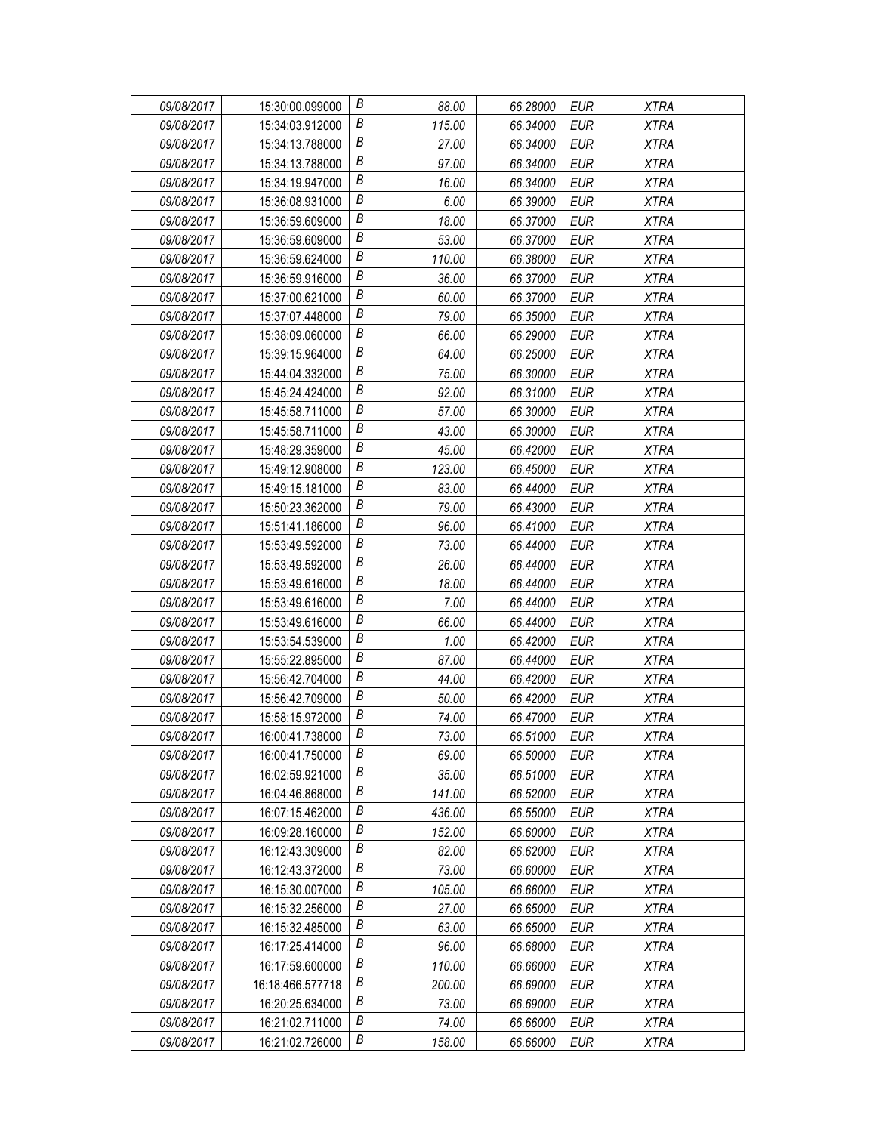| 09/08/2017 | 15:30:00.099000  | В                | 88.00  | 66.28000 | <b>EUR</b> | <b>XTRA</b> |
|------------|------------------|------------------|--------|----------|------------|-------------|
| 09/08/2017 | 15:34:03.912000  | B                | 115.00 | 66.34000 | <b>EUR</b> | <b>XTRA</b> |
| 09/08/2017 | 15:34:13.788000  | В                | 27.00  | 66.34000 | <b>EUR</b> | <b>XTRA</b> |
| 09/08/2017 | 15:34:13.788000  | B                | 97.00  | 66.34000 | EUR        | <b>XTRA</b> |
| 09/08/2017 | 15:34:19.947000  | В                | 16.00  | 66.34000 | <b>EUR</b> | <b>XTRA</b> |
| 09/08/2017 | 15:36:08.931000  | B                | 6.00   | 66.39000 | <b>EUR</b> | <b>XTRA</b> |
| 09/08/2017 | 15:36:59.609000  | Β                | 18.00  | 66.37000 | <b>EUR</b> | <b>XTRA</b> |
| 09/08/2017 | 15:36:59.609000  | B                | 53.00  | 66.37000 | <b>EUR</b> | <b>XTRA</b> |
| 09/08/2017 | 15:36:59.624000  | B                | 110.00 | 66.38000 | <b>EUR</b> | <b>XTRA</b> |
| 09/08/2017 | 15:36:59.916000  | Β                | 36.00  | 66.37000 | EUR        | <b>XTRA</b> |
| 09/08/2017 | 15:37:00.621000  | B                | 60.00  | 66.37000 | <b>EUR</b> | <b>XTRA</b> |
| 09/08/2017 | 15:37:07.448000  | В                | 79.00  | 66.35000 | <b>EUR</b> | <b>XTRA</b> |
| 09/08/2017 | 15:38:09.060000  | B                | 66.00  | 66.29000 | <b>EUR</b> | <b>XTRA</b> |
| 09/08/2017 | 15:39:15.964000  | $\boldsymbol{B}$ | 64.00  | 66.25000 | <b>EUR</b> | <b>XTRA</b> |
| 09/08/2017 | 15:44:04.332000  | B                | 75.00  | 66.30000 | <b>EUR</b> | <b>XTRA</b> |
| 09/08/2017 | 15:45:24.424000  | Β                | 92.00  | 66.31000 | <b>EUR</b> | <b>XTRA</b> |
| 09/08/2017 | 15:45:58.711000  | B                | 57.00  | 66.30000 | <b>EUR</b> | <b>XTRA</b> |
| 09/08/2017 | 15:45:58.711000  | B                | 43.00  | 66.30000 | <b>EUR</b> | <b>XTRA</b> |
| 09/08/2017 | 15:48:29.359000  | Β                | 45.00  | 66.42000 | EUR        | <b>XTRA</b> |
| 09/08/2017 | 15:49:12.908000  | В                | 123.00 | 66.45000 | <b>EUR</b> | <b>XTRA</b> |
| 09/08/2017 | 15:49:15.181000  | В                | 83.00  | 66.44000 | <b>EUR</b> | <b>XTRA</b> |
| 09/08/2017 | 15:50:23.362000  | В                | 79.00  | 66.43000 | <b>EUR</b> | <b>XTRA</b> |
| 09/08/2017 | 15:51:41.186000  | В                | 96.00  | 66.41000 | <b>EUR</b> | <b>XTRA</b> |
| 09/08/2017 | 15:53:49.592000  | В                | 73.00  | 66.44000 | EUR        | <b>XTRA</b> |
| 09/08/2017 | 15:53:49.592000  | В                | 26.00  | 66.44000 | <b>EUR</b> | <b>XTRA</b> |
| 09/08/2017 | 15:53:49.616000  | В                | 18.00  | 66.44000 | <b>EUR</b> | <b>XTRA</b> |
| 09/08/2017 | 15:53:49.616000  | B                | 7.00   | 66.44000 | <b>EUR</b> | <b>XTRA</b> |
| 09/08/2017 | 15:53:49.616000  | В                | 66.00  | 66.44000 | <b>EUR</b> | <b>XTRA</b> |
| 09/08/2017 | 15:53:54.539000  | В                | 1.00   | 66.42000 | <b>EUR</b> | <b>XTRA</b> |
| 09/08/2017 | 15:55:22.895000  | В                | 87.00  | 66.44000 | <b>EUR</b> | <b>XTRA</b> |
| 09/08/2017 | 15:56:42.704000  | В                | 44.00  | 66.42000 | <b>EUR</b> | <b>XTRA</b> |
| 09/08/2017 | 15:56:42.709000  | B                | 50.00  | 66.42000 | EUR        | <b>XTRA</b> |
| 09/08/2017 | 15:58:15.972000  | В                | 74.00  | 66.47000 | <b>EUR</b> | <b>XTRA</b> |
| 09/08/2017 | 16:00:41.738000  | Β                | 73.00  | 66.51000 | <b>EUR</b> | <b>XTRA</b> |
| 09/08/2017 | 16:00:41.750000  | B                | 69.00  | 66.50000 | EUR        | <b>XTRA</b> |
| 09/08/2017 | 16:02:59.921000  | Β                | 35.00  | 66.51000 | <b>EUR</b> | <b>XTRA</b> |
| 09/08/2017 | 16:04:46.868000  | Β                | 141.00 | 66.52000 | EUR        | XTRA        |
| 09/08/2017 | 16:07:15.462000  | Β                | 436.00 | 66.55000 | <b>EUR</b> | <b>XTRA</b> |
| 09/08/2017 | 16:09:28.160000  | В                | 152.00 | 66.60000 | <b>EUR</b> | <b>XTRA</b> |
| 09/08/2017 | 16:12:43.309000  | B                | 82.00  | 66.62000 | <b>EUR</b> | <b>XTRA</b> |
| 09/08/2017 | 16:12:43.372000  | B                | 73.00  | 66.60000 | <b>EUR</b> | <b>XTRA</b> |
| 09/08/2017 | 16:15:30.007000  | В                | 105.00 | 66.66000 | EUR        | <b>XTRA</b> |
| 09/08/2017 | 16:15:32.256000  | В                | 27.00  | 66.65000 | <b>EUR</b> | <b>XTRA</b> |
| 09/08/2017 | 16:15:32.485000  | В                | 63.00  | 66.65000 | <b>EUR</b> | <b>XTRA</b> |
| 09/08/2017 | 16:17:25.414000  | Β                | 96.00  | 66.68000 | <b>EUR</b> | <b>XTRA</b> |
| 09/08/2017 | 16:17:59.600000  | В                | 110.00 | 66.66000 | <b>EUR</b> | <b>XTRA</b> |
| 09/08/2017 | 16:18:466.577718 | Β                | 200.00 | 66.69000 | <b>EUR</b> | <b>XTRA</b> |
| 09/08/2017 | 16:20:25.634000  | В                | 73.00  | 66.69000 | <b>EUR</b> | <b>XTRA</b> |
| 09/08/2017 | 16:21:02.711000  | B                | 74.00  | 66.66000 | <b>EUR</b> | <b>XTRA</b> |
| 09/08/2017 | 16:21:02.726000  | В                | 158.00 | 66.66000 | <b>EUR</b> | <b>XTRA</b> |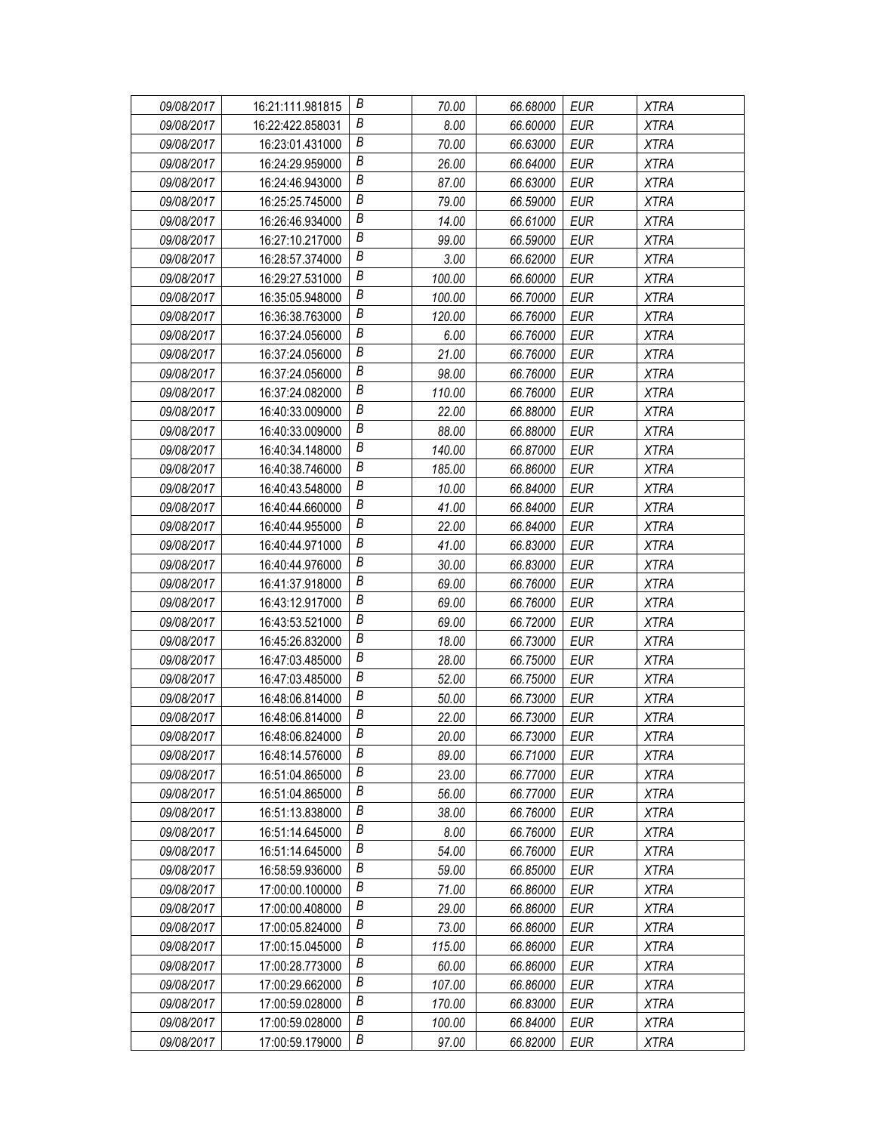| 09/08/2017 | 16:21:111.981815 | В | 70.00  | 66.68000 | EUR        | <b>XTRA</b> |
|------------|------------------|---|--------|----------|------------|-------------|
| 09/08/2017 | 16:22:422.858031 | Β | 8.00   | 66.60000 | EUR        | <b>XTRA</b> |
| 09/08/2017 | 16:23:01.431000  | Β | 70.00  | 66.63000 | <b>EUR</b> | <b>XTRA</b> |
| 09/08/2017 | 16:24:29.959000  | B | 26.00  | 66.64000 | <b>EUR</b> | <b>XTRA</b> |
| 09/08/2017 | 16:24:46.943000  | В | 87.00  | 66.63000 | <b>EUR</b> | <b>XTRA</b> |
| 09/08/2017 | 16:25:25.745000  | Β | 79.00  | 66.59000 | <b>EUR</b> | <b>XTRA</b> |
| 09/08/2017 | 16:26:46.934000  | В | 14.00  | 66.61000 | <b>EUR</b> | <b>XTRA</b> |
| 09/08/2017 | 16:27:10.217000  | Β | 99.00  | 66.59000 | <b>EUR</b> | <b>XTRA</b> |
| 09/08/2017 | 16:28:57.374000  | B | 3.00   | 66.62000 | <b>EUR</b> | <b>XTRA</b> |
| 09/08/2017 | 16:29:27.531000  | B | 100.00 | 66.60000 | <b>EUR</b> | <b>XTRA</b> |
| 09/08/2017 | 16:35:05.948000  | В | 100.00 | 66.70000 | <b>EUR</b> | <b>XTRA</b> |
| 09/08/2017 | 16:36:38.763000  | В | 120.00 | 66.76000 | <b>EUR</b> | <b>XTRA</b> |
| 09/08/2017 | 16:37:24.056000  | B | 6.00   | 66.76000 | <b>EUR</b> | <b>XTRA</b> |
| 09/08/2017 | 16:37:24.056000  | B | 21.00  | 66.76000 | <b>EUR</b> | <b>XTRA</b> |
| 09/08/2017 | 16:37:24.056000  | В | 98.00  | 66.76000 | <b>EUR</b> | <b>XTRA</b> |
| 09/08/2017 | 16:37:24.082000  | В | 110.00 | 66.76000 | <b>EUR</b> | <b>XTRA</b> |
| 09/08/2017 | 16:40:33.009000  | Β | 22.00  | 66.88000 | <b>EUR</b> | <b>XTRA</b> |
| 09/08/2017 | 16:40:33.009000  | B | 88.00  | 66.88000 | <b>EUR</b> | <b>XTRA</b> |
| 09/08/2017 | 16:40:34.148000  | B | 140.00 | 66.87000 | <b>EUR</b> | <b>XTRA</b> |
| 09/08/2017 | 16:40:38.746000  | В | 185.00 | 66.86000 | EUR        | <b>XTRA</b> |
| 09/08/2017 | 16:40:43.548000  | Β | 10.00  | 66.84000 | <b>EUR</b> | <b>XTRA</b> |
| 09/08/2017 | 16:40:44.660000  | B | 41.00  | 66.84000 | <b>EUR</b> | <b>XTRA</b> |
| 09/08/2017 | 16:40:44.955000  | B | 22.00  | 66.84000 | <b>EUR</b> | <b>XTRA</b> |
| 09/08/2017 | 16:40:44.971000  | Β | 41.00  | 66.83000 | <b>EUR</b> | <b>XTRA</b> |
| 09/08/2017 | 16:40:44.976000  | Β | 30.00  | 66.83000 | <b>EUR</b> | <b>XTRA</b> |
| 09/08/2017 | 16:41:37.918000  | В | 69.00  | 66.76000 | <b>EUR</b> | <b>XTRA</b> |
| 09/08/2017 | 16:43:12.917000  | B | 69.00  | 66.76000 | <b>EUR</b> | <b>XTRA</b> |
| 09/08/2017 | 16:43:53.521000  | B | 69.00  | 66.72000 | EUR        | <b>XTRA</b> |
| 09/08/2017 | 16:45:26.832000  | B | 18.00  | 66.73000 | <b>EUR</b> | <b>XTRA</b> |
| 09/08/2017 | 16:47:03.485000  | Β | 28.00  | 66.75000 | <b>EUR</b> | <b>XTRA</b> |
| 09/08/2017 | 16:47:03.485000  | B | 52.00  | 66.75000 | <b>EUR</b> | <b>XTRA</b> |
| 09/08/2017 | 16:48:06.814000  | B | 50.00  | 66.73000 | <b>EUR</b> | <b>XTRA</b> |
| 09/08/2017 | 16:48:06.814000  | B | 22.00  | 66.73000 | <b>EUR</b> | <b>XTRA</b> |
| 09/08/2017 | 16:48:06.824000  | B | 20.00  | 66.73000 | <b>EUR</b> | <b>XTRA</b> |
| 09/08/2017 | 16:48:14.576000  | В | 89.00  | 66.71000 | EUR        | <b>XTRA</b> |
| 09/08/2017 | 16:51:04.865000  | B | 23.00  | 66.77000 | <b>EUR</b> | <b>XTRA</b> |
| 09/08/2017 | 16:51:04.865000  | Β | 56.00  | 66.77000 | EUR        | XTRA        |
| 09/08/2017 | 16:51:13.838000  | В | 38.00  | 66.76000 | EUR        | <b>XTRA</b> |
| 09/08/2017 | 16:51:14.645000  | Β | 8.00   | 66.76000 | <b>EUR</b> | <b>XTRA</b> |
| 09/08/2017 | 16:51:14.645000  | Β | 54.00  | 66.76000 | EUR        | <b>XTRA</b> |
| 09/08/2017 | 16:58:59.936000  | B | 59.00  | 66.85000 | <b>EUR</b> | XTRA        |
| 09/08/2017 | 17:00:00.100000  | В | 71.00  | 66.86000 | <b>EUR</b> | <b>XTRA</b> |
| 09/08/2017 | 17:00:00.408000  | Β | 29.00  | 66.86000 | <b>EUR</b> | <b>XTRA</b> |
| 09/08/2017 | 17:00:05.824000  | B | 73.00  | 66.86000 | <b>EUR</b> | <b>XTRA</b> |
| 09/08/2017 | 17:00:15.045000  | B | 115.00 | 66.86000 | <b>EUR</b> | <b>XTRA</b> |
| 09/08/2017 | 17:00:28.773000  | Β | 60.00  | 66.86000 | EUR        | <b>XTRA</b> |
| 09/08/2017 | 17:00:29.662000  | Β | 107.00 | 66.86000 | EUR        | <b>XTRA</b> |
| 09/08/2017 | 17:00:59.028000  | В | 170.00 | 66.83000 | <b>EUR</b> | <b>XTRA</b> |
| 09/08/2017 | 17:00:59.028000  | B | 100.00 | 66.84000 | <b>EUR</b> | <b>XTRA</b> |
| 09/08/2017 | 17:00:59.179000  | В | 97.00  | 66.82000 | <b>EUR</b> | <b>XTRA</b> |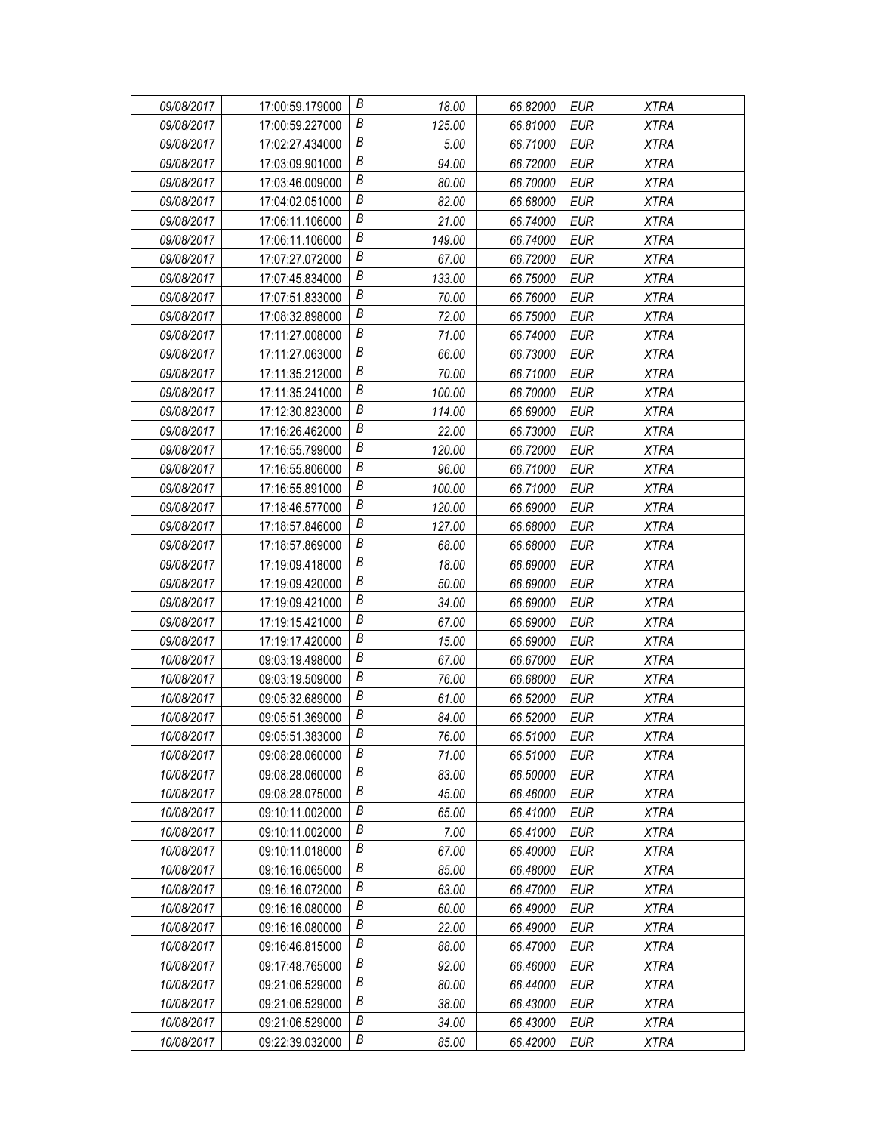| 09/08/2017 | 17:00:59.179000 | В | 18.00  | 66.82000 | EUR        | <b>XTRA</b> |
|------------|-----------------|---|--------|----------|------------|-------------|
| 09/08/2017 | 17:00:59.227000 | Β | 125.00 | 66.81000 | EUR        | <b>XTRA</b> |
| 09/08/2017 | 17:02:27.434000 | Β | 5.00   | 66.71000 | <b>EUR</b> | <b>XTRA</b> |
| 09/08/2017 | 17:03:09.901000 | В | 94.00  | 66.72000 | <b>EUR</b> | <b>XTRA</b> |
| 09/08/2017 | 17:03:46.009000 | B | 80.00  | 66.70000 | <b>EUR</b> | <b>XTRA</b> |
| 09/08/2017 | 17:04:02.051000 | Β | 82.00  | 66.68000 | <b>EUR</b> | <b>XTRA</b> |
| 09/08/2017 | 17:06:11.106000 | Β | 21.00  | 66.74000 | <b>EUR</b> | <b>XTRA</b> |
| 09/08/2017 | 17:06:11.106000 | Β | 149.00 | 66.74000 | <b>EUR</b> | <b>XTRA</b> |
| 09/08/2017 | 17:07:27.072000 | B | 67.00  | 66.72000 | <b>EUR</b> | <b>XTRA</b> |
| 09/08/2017 | 17:07:45.834000 | Β | 133.00 | 66.75000 | <b>EUR</b> | <b>XTRA</b> |
| 09/08/2017 | 17:07:51.833000 | В | 70.00  | 66.76000 | <b>EUR</b> | <b>XTRA</b> |
| 09/08/2017 | 17:08:32.898000 | Β | 72.00  | 66.75000 | <b>EUR</b> | <b>XTRA</b> |
| 09/08/2017 | 17:11:27.008000 | B | 71.00  | 66.74000 | <b>EUR</b> | <b>XTRA</b> |
| 09/08/2017 | 17:11:27.063000 | B | 66.00  | 66.73000 | <b>EUR</b> | <b>XTRA</b> |
| 09/08/2017 | 17:11:35.212000 | В | 70.00  | 66.71000 | <b>EUR</b> | <b>XTRA</b> |
| 09/08/2017 | 17:11:35.241000 | В | 100.00 | 66.70000 | <b>EUR</b> | <b>XTRA</b> |
| 09/08/2017 | 17:12:30.823000 | Β | 114.00 | 66.69000 | <b>EUR</b> | <b>XTRA</b> |
| 09/08/2017 | 17:16:26.462000 | B | 22.00  | 66.73000 | <b>EUR</b> | <b>XTRA</b> |
| 09/08/2017 | 17:16:55.799000 | B | 120.00 | 66.72000 | <b>EUR</b> | <b>XTRA</b> |
| 09/08/2017 | 17:16:55.806000 | В | 96.00  | 66.71000 | <b>EUR</b> | <b>XTRA</b> |
| 09/08/2017 | 17:16:55.891000 | Β | 100.00 | 66.71000 | <b>EUR</b> | <b>XTRA</b> |
| 09/08/2017 | 17:18:46.577000 | B | 120.00 | 66.69000 | <b>EUR</b> | <b>XTRA</b> |
| 09/08/2017 | 17:18:57.846000 | B | 127.00 | 66.68000 | <b>EUR</b> | <b>XTRA</b> |
| 09/08/2017 | 17:18:57.869000 | В | 68.00  | 66.68000 | <b>EUR</b> | <b>XTRA</b> |
| 09/08/2017 | 17:19:09.418000 | Β | 18.00  | 66.69000 | <b>EUR</b> | <b>XTRA</b> |
| 09/08/2017 | 17:19:09.420000 | Β | 50.00  | 66.69000 | <b>EUR</b> | <b>XTRA</b> |
| 09/08/2017 | 17:19:09.421000 | В | 34.00  | 66.69000 | <b>EUR</b> | <b>XTRA</b> |
| 09/08/2017 | 17:19:15.421000 | B | 67.00  | 66.69000 | EUR        | <b>XTRA</b> |
| 09/08/2017 | 17:19:17.420000 | В | 15.00  | 66.69000 | <b>EUR</b> | <b>XTRA</b> |
| 10/08/2017 | 09:03:19.498000 | Β | 67.00  | 66.67000 | <b>EUR</b> | <b>XTRA</b> |
| 10/08/2017 | 09:03:19.509000 | B | 76.00  | 66.68000 | <b>EUR</b> | <b>XTRA</b> |
| 10/08/2017 | 09:05:32.689000 | B | 61.00  | 66.52000 | <b>EUR</b> | <b>XTRA</b> |
| 10/08/2017 | 09:05:51.369000 | В | 84.00  | 66.52000 | <b>EUR</b> | <b>XTRA</b> |
| 10/08/2017 | 09:05:51.383000 | В | 76.00  | 66.51000 | <b>EUR</b> | <b>XTRA</b> |
| 10/08/2017 | 09:08:28.060000 | В | 71.00  | 66.51000 | EUR        | <b>XTRA</b> |
| 10/08/2017 | 09:08:28.060000 | Β | 83.00  | 66.50000 | <b>EUR</b> | <b>XTRA</b> |
| 10/08/2017 | 09:08:28.075000 | Β | 45.00  | 66.46000 | EUR        | XTRA        |
| 10/08/2017 | 09:10:11.002000 | В | 65.00  | 66.41000 | EUR        | <b>XTRA</b> |
| 10/08/2017 | 09:10:11.002000 | Β | 7.00   | 66.41000 | <b>EUR</b> | <b>XTRA</b> |
| 10/08/2017 | 09:10:11.018000 | В | 67.00  | 66.40000 | EUR        | <b>XTRA</b> |
| 10/08/2017 | 09:16:16.065000 | B | 85.00  | 66.48000 | <b>EUR</b> | XTRA        |
| 10/08/2017 | 09:16:16.072000 | В | 63.00  | 66.47000 | <b>EUR</b> | <b>XTRA</b> |
| 10/08/2017 | 09:16:16.080000 | Β | 60.00  | 66.49000 | <b>EUR</b> | <b>XTRA</b> |
| 10/08/2017 | 09:16:16.080000 | В | 22.00  | 66.49000 | <b>EUR</b> | <b>XTRA</b> |
| 10/08/2017 | 09:16:46.815000 | B | 88.00  | 66.47000 | <b>EUR</b> | <b>XTRA</b> |
| 10/08/2017 | 09:17:48.765000 | Β | 92.00  | 66.46000 | EUR        | <b>XTRA</b> |
| 10/08/2017 | 09:21:06.529000 | Β | 80.00  | 66.44000 | EUR        | <b>XTRA</b> |
| 10/08/2017 | 09:21:06.529000 | Β | 38.00  | 66.43000 | <b>EUR</b> | <b>XTRA</b> |
| 10/08/2017 | 09:21:06.529000 | B | 34.00  | 66.43000 | <b>EUR</b> | <b>XTRA</b> |
| 10/08/2017 | 09:22:39.032000 | В | 85.00  | 66.42000 | <b>EUR</b> | <b>XTRA</b> |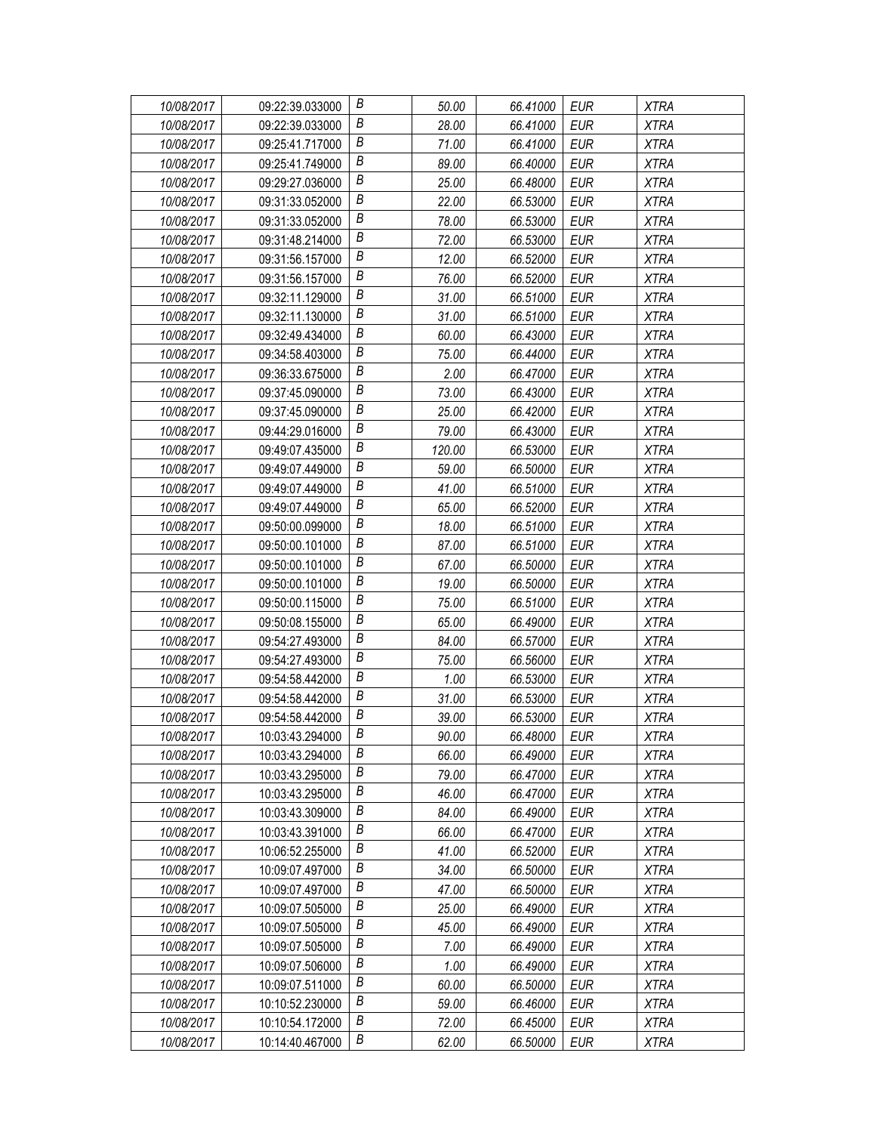| 10/08/2017 | 09:22:39.033000 | В                | 50.00  | 66.41000 | <b>EUR</b> | <b>XTRA</b> |
|------------|-----------------|------------------|--------|----------|------------|-------------|
| 10/08/2017 | 09:22:39.033000 | В                | 28.00  | 66.41000 | EUR        | <b>XTRA</b> |
| 10/08/2017 | 09:25:41.717000 | Β                | 71.00  | 66.41000 | <b>EUR</b> | <b>XTRA</b> |
| 10/08/2017 | 09:25:41.749000 | $\boldsymbol{B}$ | 89.00  | 66.40000 | EUR        | <b>XTRA</b> |
| 10/08/2017 | 09:29:27.036000 | B                | 25.00  | 66.48000 | <b>EUR</b> | <b>XTRA</b> |
| 10/08/2017 | 09:31:33.052000 | B                | 22.00  | 66.53000 | <b>EUR</b> | <b>XTRA</b> |
| 10/08/2017 | 09:31:33.052000 | B                | 78.00  | 66.53000 | <b>EUR</b> | <b>XTRA</b> |
| 10/08/2017 | 09:31:48.214000 | $\boldsymbol{B}$ | 72.00  | 66.53000 | <b>EUR</b> | <b>XTRA</b> |
| 10/08/2017 | 09:31:56.157000 | $\boldsymbol{B}$ | 12.00  | 66.52000 | <b>EUR</b> | <b>XTRA</b> |
| 10/08/2017 | 09:31:56.157000 | B                | 76.00  | 66.52000 | <b>EUR</b> | <b>XTRA</b> |
| 10/08/2017 | 09:32:11.129000 | B                | 31.00  | 66.51000 | <b>EUR</b> | <b>XTRA</b> |
| 10/08/2017 | 09:32:11.130000 | В                | 31.00  | 66.51000 | <b>EUR</b> | <b>XTRA</b> |
| 10/08/2017 | 09:32:49.434000 | $\boldsymbol{B}$ | 60.00  | 66.43000 | <b>EUR</b> | <b>XTRA</b> |
| 10/08/2017 | 09:34:58.403000 | B                | 75.00  | 66.44000 | <b>EUR</b> | <b>XTRA</b> |
| 10/08/2017 | 09:36:33.675000 | B                | 2.00   | 66.47000 | <b>EUR</b> | <b>XTRA</b> |
| 10/08/2017 | 09:37:45.090000 | B                | 73.00  | 66.43000 | <b>EUR</b> | <b>XTRA</b> |
| 10/08/2017 | 09:37:45.090000 | $\boldsymbol{B}$ | 25.00  | 66.42000 | <b>EUR</b> | <b>XTRA</b> |
| 10/08/2017 | 09:44:29.016000 | $\boldsymbol{B}$ | 79.00  | 66.43000 | <b>EUR</b> | <b>XTRA</b> |
| 10/08/2017 | 09:49:07.435000 | B                | 120.00 | 66.53000 | <b>EUR</b> | <b>XTRA</b> |
| 10/08/2017 | 09:49:07.449000 | B                | 59.00  | 66.50000 | EUR        | <b>XTRA</b> |
| 10/08/2017 | 09:49:07.449000 | В                | 41.00  | 66.51000 | <b>EUR</b> | <b>XTRA</b> |
| 10/08/2017 | 09:49:07.449000 | $\boldsymbol{B}$ | 65.00  | 66.52000 | <b>EUR</b> | <b>XTRA</b> |
| 10/08/2017 | 09:50:00.099000 | B                | 18.00  | 66.51000 | <b>EUR</b> | <b>XTRA</b> |
| 10/08/2017 | 09:50:00.101000 | B                | 87.00  | 66.51000 | EUR        | <b>XTRA</b> |
| 10/08/2017 | 09:50:00.101000 | Β                | 67.00  | 66.50000 | <b>EUR</b> | <b>XTRA</b> |
| 10/08/2017 | 09:50:00.101000 | В                | 19.00  | 66.50000 | <b>EUR</b> | <b>XTRA</b> |
| 10/08/2017 | 09:50:00.115000 | $\boldsymbol{B}$ | 75.00  | 66.51000 | <b>EUR</b> | <b>XTRA</b> |
| 10/08/2017 | 09:50:08.155000 | $\boldsymbol{B}$ | 65.00  | 66.49000 | EUR        | <b>XTRA</b> |
| 10/08/2017 | 09:54:27.493000 | B                | 84.00  | 66.57000 | <b>EUR</b> | <b>XTRA</b> |
| 10/08/2017 | 09:54:27.493000 | В                | 75.00  | 66.56000 | <b>EUR</b> | <b>XTRA</b> |
| 10/08/2017 | 09:54:58.442000 | B                | 1.00   | 66.53000 | <b>EUR</b> | <b>XTRA</b> |
| 10/08/2017 | 09:54:58.442000 | B                | 31.00  | 66.53000 | EUR        | <b>XTRA</b> |
| 10/08/2017 | 09:54:58.442000 | $\boldsymbol{B}$ | 39.00  | 66.53000 | EUR        | <b>XTRA</b> |
| 10/08/2017 | 10:03:43.294000 | B                | 90.00  | 66.48000 | <b>EUR</b> | <b>XTRA</b> |
| 10/08/2017 | 10:03:43.294000 | B                | 66.00  | 66.49000 | EUR        | XTRA        |
| 10/08/2017 | 10:03:43.295000 | B                | 79.00  | 66.47000 | <b>EUR</b> | <b>XTRA</b> |
| 10/08/2017 | 10:03:43.295000 | Β                | 46.00  | 66.47000 | EUR        | <b>XTRA</b> |
| 10/08/2017 | 10:03:43.309000 | B                | 84.00  | 66.49000 | EUR        | <b>XTRA</b> |
| 10/08/2017 | 10:03:43.391000 | B                | 66.00  | 66.47000 | <b>EUR</b> | <b>XTRA</b> |
| 10/08/2017 | 10:06:52.255000 | B                | 41.00  | 66.52000 | EUR        | XTRA        |
| 10/08/2017 | 10:09:07.497000 | B                | 34.00  | 66.50000 | <b>EUR</b> | XTRA        |
| 10/08/2017 | 10:09:07.497000 | B                | 47.00  | 66.50000 | <b>EUR</b> | <b>XTRA</b> |
| 10/08/2017 | 10:09:07.505000 | Β                | 25.00  | 66.49000 | <b>EUR</b> | <b>XTRA</b> |
| 10/08/2017 | 10:09:07.505000 | B                | 45.00  | 66.49000 | <b>EUR</b> | <b>XTRA</b> |
| 10/08/2017 | 10:09:07.505000 | B                | 7.00   | 66.49000 | <b>EUR</b> | <b>XTRA</b> |
| 10/08/2017 | 10:09:07.506000 | B                | 1.00   | 66.49000 | EUR        | <b>XTRA</b> |
| 10/08/2017 | 10:09:07.511000 | B                | 60.00  | 66.50000 | EUR        | <b>XTRA</b> |
| 10/08/2017 | 10:10:52.230000 | B                | 59.00  | 66.46000 | <b>EUR</b> | <b>XTRA</b> |
| 10/08/2017 | 10:10:54.172000 | B                | 72.00  | 66.45000 | <b>EUR</b> | XTRA        |
| 10/08/2017 | 10:14:40.467000 | В                | 62.00  | 66.50000 | EUR        | XTRA        |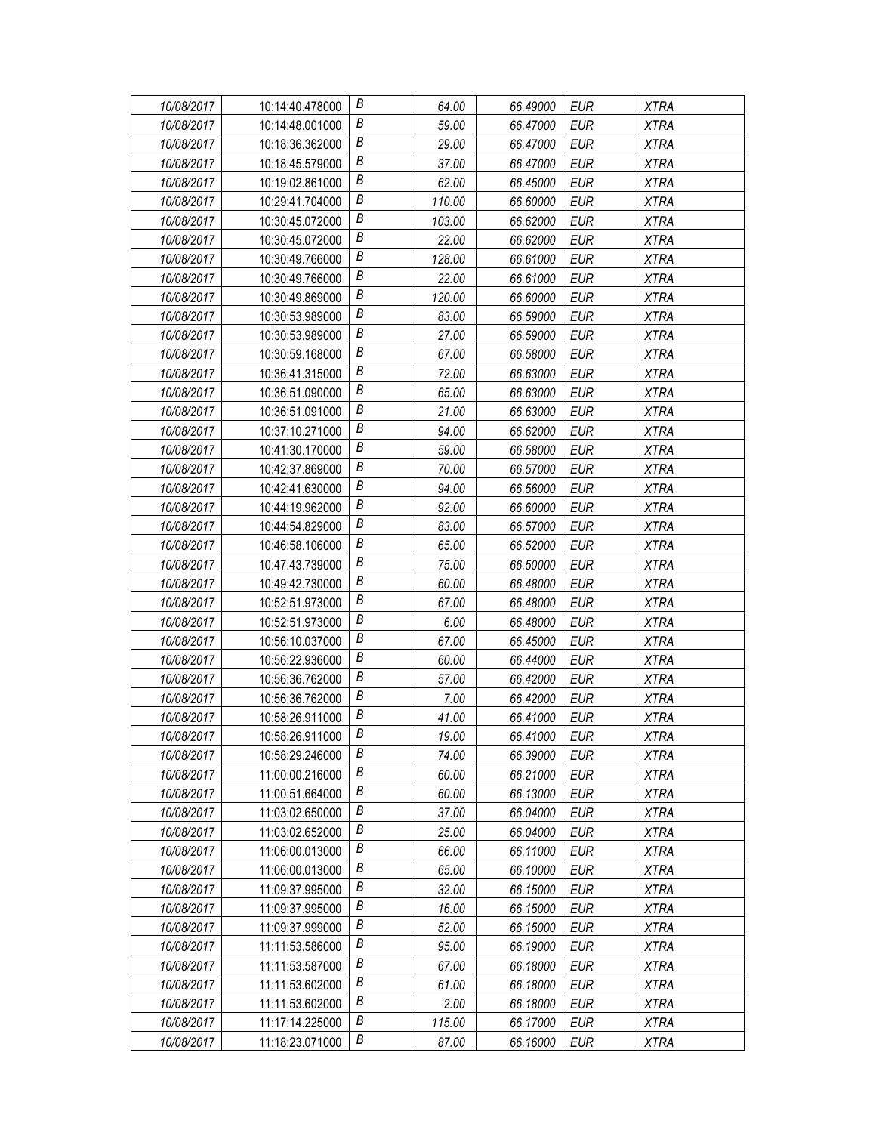| 10/08/2017 | 10:14:40.478000 | В                | 64.00  | 66.49000 | <b>EUR</b> | <b>XTRA</b> |
|------------|-----------------|------------------|--------|----------|------------|-------------|
| 10/08/2017 | 10:14:48.001000 | В                | 59.00  | 66.47000 | EUR        | <b>XTRA</b> |
| 10/08/2017 | 10:18:36.362000 | Β                | 29.00  | 66.47000 | <b>EUR</b> | <b>XTRA</b> |
| 10/08/2017 | 10:18:45.579000 | $\boldsymbol{B}$ | 37.00  | 66.47000 | EUR        | <b>XTRA</b> |
| 10/08/2017 | 10:19:02.861000 | B                | 62.00  | 66.45000 | <b>EUR</b> | <b>XTRA</b> |
| 10/08/2017 | 10:29:41.704000 | B                | 110.00 | 66.60000 | <b>EUR</b> | <b>XTRA</b> |
| 10/08/2017 | 10:30:45.072000 | B                | 103.00 | 66.62000 | <b>EUR</b> | <b>XTRA</b> |
| 10/08/2017 | 10:30:45.072000 | $\boldsymbol{B}$ | 22.00  | 66.62000 | <b>EUR</b> | <b>XTRA</b> |
| 10/08/2017 | 10:30:49.766000 | $\boldsymbol{B}$ | 128.00 | 66.61000 | <b>EUR</b> | <b>XTRA</b> |
| 10/08/2017 | 10:30:49.766000 | B                | 22.00  | 66.61000 | <b>EUR</b> | <b>XTRA</b> |
| 10/08/2017 | 10:30:49.869000 | B                | 120.00 | 66.60000 | <b>EUR</b> | <b>XTRA</b> |
| 10/08/2017 | 10:30:53.989000 | В                | 83.00  | 66.59000 | <b>EUR</b> | <b>XTRA</b> |
| 10/08/2017 | 10:30:53.989000 | $\boldsymbol{B}$ | 27.00  | 66.59000 | <b>EUR</b> | <b>XTRA</b> |
| 10/08/2017 | 10:30:59.168000 | B                | 67.00  | 66.58000 | <b>EUR</b> | <b>XTRA</b> |
| 10/08/2017 | 10:36:41.315000 | B                | 72.00  | 66.63000 | <b>EUR</b> | <b>XTRA</b> |
| 10/08/2017 | 10:36:51.090000 | B                | 65.00  | 66.63000 | <b>EUR</b> | <b>XTRA</b> |
| 10/08/2017 | 10:36:51.091000 | $\boldsymbol{B}$ | 21.00  | 66.63000 | <b>EUR</b> | <b>XTRA</b> |
| 10/08/2017 | 10:37:10.271000 | $\boldsymbol{B}$ | 94.00  | 66.62000 | <b>EUR</b> | <b>XTRA</b> |
| 10/08/2017 | 10:41:30.170000 | B                | 59.00  | 66.58000 | <b>EUR</b> | <b>XTRA</b> |
| 10/08/2017 | 10:42:37.869000 | B                | 70.00  | 66.57000 | EUR        | <b>XTRA</b> |
| 10/08/2017 | 10:42:41.630000 | В                | 94.00  | 66.56000 | <b>EUR</b> | <b>XTRA</b> |
| 10/08/2017 | 10:44:19.962000 | $\boldsymbol{B}$ | 92.00  | 66.60000 | <b>EUR</b> | <b>XTRA</b> |
| 10/08/2017 | 10:44:54.829000 | B                | 83.00  | 66.57000 | <b>EUR</b> | <b>XTRA</b> |
| 10/08/2017 | 10:46:58.106000 | B                | 65.00  | 66.52000 | EUR        | <b>XTRA</b> |
| 10/08/2017 | 10:47:43.739000 | Β                | 75.00  | 66.50000 | <b>EUR</b> | <b>XTRA</b> |
| 10/08/2017 | 10:49:42.730000 | В                | 60.00  | 66.48000 | <b>EUR</b> | <b>XTRA</b> |
| 10/08/2017 | 10:52:51.973000 | $\boldsymbol{B}$ | 67.00  | 66.48000 | <b>EUR</b> | <b>XTRA</b> |
| 10/08/2017 | 10:52:51.973000 | $\boldsymbol{B}$ | 6.00   | 66.48000 | EUR        | <b>XTRA</b> |
| 10/08/2017 | 10:56:10.037000 | B                | 67.00  | 66.45000 | <b>EUR</b> | <b>XTRA</b> |
| 10/08/2017 | 10:56:22.936000 | В                | 60.00  | 66.44000 | <b>EUR</b> | <b>XTRA</b> |
| 10/08/2017 | 10:56:36.762000 | B                | 57.00  | 66.42000 | <b>EUR</b> | <b>XTRA</b> |
| 10/08/2017 | 10:56:36.762000 | B                | 7.00   | 66.42000 | EUR        | <b>XTRA</b> |
| 10/08/2017 | 10:58:26.911000 | $\boldsymbol{B}$ | 41.00  | 66.41000 | EUR        | <b>XTRA</b> |
| 10/08/2017 | 10:58:26.911000 | B                | 19.00  | 66.41000 | <b>EUR</b> | <b>XTRA</b> |
| 10/08/2017 | 10:58:29.246000 | B                | 74.00  | 66.39000 | EUR        | XTRA        |
| 10/08/2017 | 11:00:00.216000 | B                | 60.00  | 66.21000 | <b>EUR</b> | <b>XTRA</b> |
| 10/08/2017 | 11:00:51.664000 | Β                | 60.00  | 66.13000 | EUR        | <b>XTRA</b> |
| 10/08/2017 | 11:03:02.650000 | B                | 37.00  | 66.04000 | EUR        | <b>XTRA</b> |
| 10/08/2017 | 11:03:02.652000 | B                | 25.00  | 66.04000 | <b>EUR</b> | <b>XTRA</b> |
| 10/08/2017 | 11:06:00.013000 | B                | 66.00  | 66.11000 | EUR        | <b>XTRA</b> |
| 10/08/2017 | 11:06:00.013000 | B                | 65.00  | 66.10000 | <b>EUR</b> | <b>XTRA</b> |
| 10/08/2017 | 11:09:37.995000 | B                | 32.00  | 66.15000 | <b>EUR</b> | <b>XTRA</b> |
| 10/08/2017 | 11:09:37.995000 | Β                | 16.00  | 66.15000 | <b>EUR</b> | <b>XTRA</b> |
| 10/08/2017 | 11:09:37.999000 | B                | 52.00  | 66.15000 | <b>EUR</b> | <b>XTRA</b> |
| 10/08/2017 | 11:11:53.586000 | B                | 95.00  | 66.19000 | <b>EUR</b> | <b>XTRA</b> |
| 10/08/2017 | 11:11:53.587000 | B                | 67.00  | 66.18000 | EUR        | <b>XTRA</b> |
| 10/08/2017 | 11:11:53.602000 | B                | 61.00  | 66.18000 | EUR        | <b>XTRA</b> |
| 10/08/2017 | 11:11:53.602000 | B                | 2.00   | 66.18000 | <b>EUR</b> | <b>XTRA</b> |
| 10/08/2017 | 11:17:14.225000 | B                | 115.00 | 66.17000 | <b>EUR</b> | <b>XTRA</b> |
| 10/08/2017 | 11:18:23.071000 | В                | 87.00  | 66.16000 | EUR        | XTRA        |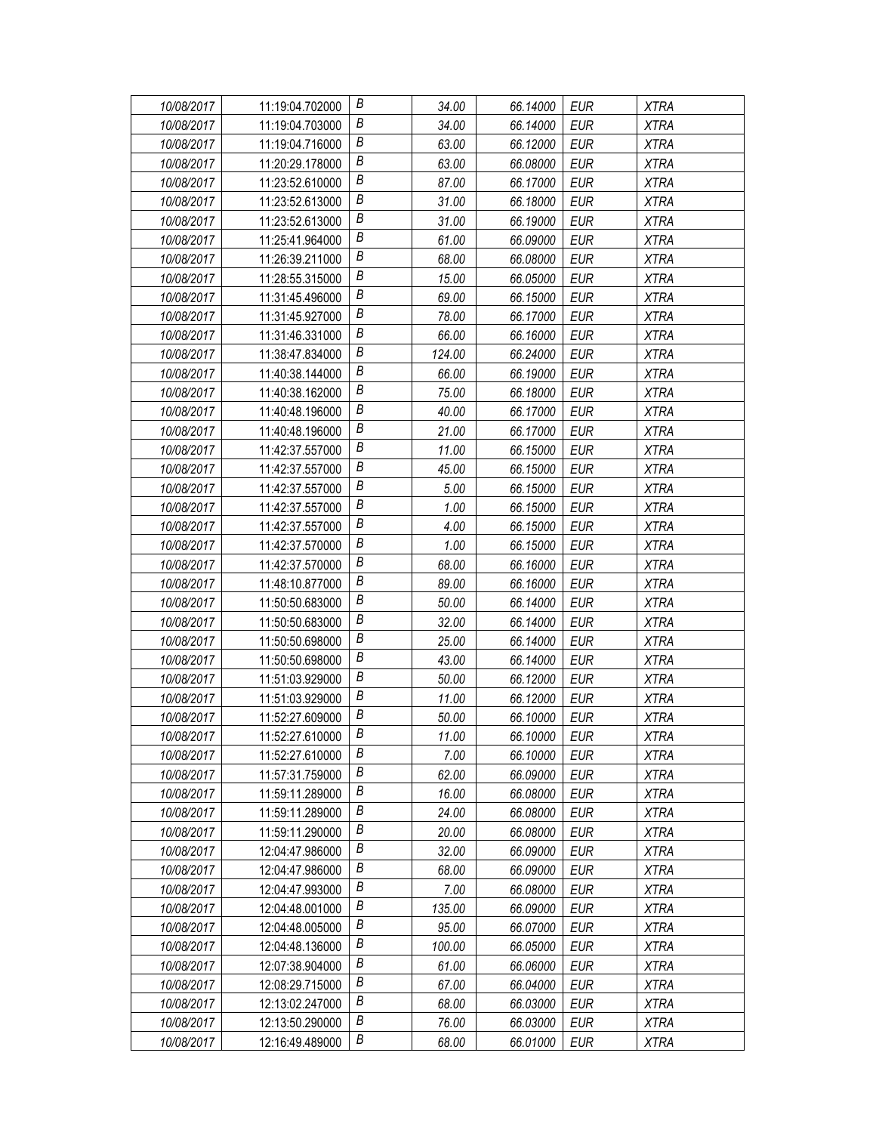| 10/08/2017 | 11:19:04.702000 | В                | 34.00  | 66.14000 | <b>EUR</b> | <b>XTRA</b> |
|------------|-----------------|------------------|--------|----------|------------|-------------|
| 10/08/2017 | 11:19:04.703000 | В                | 34.00  | 66.14000 | EUR        | <b>XTRA</b> |
| 10/08/2017 | 11:19:04.716000 | Β                | 63.00  | 66.12000 | <b>EUR</b> | <b>XTRA</b> |
| 10/08/2017 | 11:20:29.178000 | $\boldsymbol{B}$ | 63.00  | 66.08000 | EUR        | <b>XTRA</b> |
| 10/08/2017 | 11:23:52.610000 | B                | 87.00  | 66.17000 | <b>EUR</b> | <b>XTRA</b> |
| 10/08/2017 | 11:23:52.613000 | B                | 31.00  | 66.18000 | <b>EUR</b> | <b>XTRA</b> |
| 10/08/2017 | 11:23:52.613000 | B                | 31.00  | 66.19000 | <b>EUR</b> | <b>XTRA</b> |
| 10/08/2017 | 11:25:41.964000 | $\boldsymbol{B}$ | 61.00  | 66.09000 | <b>EUR</b> | <b>XTRA</b> |
| 10/08/2017 | 11:26:39.211000 | $\boldsymbol{B}$ | 68.00  | 66.08000 | <b>EUR</b> | <b>XTRA</b> |
| 10/08/2017 | 11:28:55.315000 | B                | 15.00  | 66.05000 | <b>EUR</b> | <b>XTRA</b> |
| 10/08/2017 | 11:31:45.496000 | B                | 69.00  | 66.15000 | <b>EUR</b> | <b>XTRA</b> |
| 10/08/2017 | 11:31:45.927000 | В                | 78.00  | 66.17000 | <b>EUR</b> | <b>XTRA</b> |
| 10/08/2017 | 11:31:46.331000 | $\boldsymbol{B}$ | 66.00  | 66.16000 | <b>EUR</b> | <b>XTRA</b> |
| 10/08/2017 | 11:38:47.834000 | B                | 124.00 | 66.24000 | <b>EUR</b> | <b>XTRA</b> |
| 10/08/2017 | 11:40:38.144000 | B                | 66.00  | 66.19000 | <b>EUR</b> | <b>XTRA</b> |
| 10/08/2017 | 11:40:38.162000 | B                | 75.00  | 66.18000 | <b>EUR</b> | <b>XTRA</b> |
| 10/08/2017 | 11:40:48.196000 | $\boldsymbol{B}$ | 40.00  | 66.17000 | <b>EUR</b> | <b>XTRA</b> |
| 10/08/2017 | 11:40:48.196000 | $\boldsymbol{B}$ | 21.00  | 66.17000 | <b>EUR</b> | <b>XTRA</b> |
| 10/08/2017 | 11:42:37.557000 | B                | 11.00  | 66.15000 | <b>EUR</b> | <b>XTRA</b> |
| 10/08/2017 | 11:42:37.557000 | B                | 45.00  | 66.15000 | EUR        | <b>XTRA</b> |
| 10/08/2017 | 11:42:37.557000 | В                | 5.00   | 66.15000 | <b>EUR</b> | <b>XTRA</b> |
| 10/08/2017 | 11:42:37.557000 | $\boldsymbol{B}$ | 1.00   | 66.15000 | <b>EUR</b> | <b>XTRA</b> |
| 10/08/2017 | 11:42:37.557000 | B                | 4.00   | 66.15000 | <b>EUR</b> | <b>XTRA</b> |
| 10/08/2017 | 11:42:37.570000 | B                | 1.00   | 66.15000 | EUR        | <b>XTRA</b> |
| 10/08/2017 | 11:42:37.570000 | Β                | 68.00  | 66.16000 | <b>EUR</b> | <b>XTRA</b> |
| 10/08/2017 | 11:48:10.877000 | В                | 89.00  | 66.16000 | <b>EUR</b> | <b>XTRA</b> |
| 10/08/2017 | 11:50:50.683000 | $\boldsymbol{B}$ | 50.00  | 66.14000 | <b>EUR</b> | <b>XTRA</b> |
| 10/08/2017 | 11:50:50.683000 | B                | 32.00  | 66.14000 | EUR        | <b>XTRA</b> |
| 10/08/2017 | 11:50:50.698000 | B                | 25.00  | 66.14000 | <b>EUR</b> | <b>XTRA</b> |
| 10/08/2017 | 11:50:50.698000 | В                | 43.00  | 66.14000 | <b>EUR</b> | <b>XTRA</b> |
| 10/08/2017 | 11:51:03.929000 | B                | 50.00  | 66.12000 | <b>EUR</b> | <b>XTRA</b> |
| 10/08/2017 | 11:51:03.929000 | B                | 11.00  | 66.12000 | EUR        | <b>XTRA</b> |
| 10/08/2017 | 11:52:27.609000 | $\boldsymbol{B}$ | 50.00  | 66.10000 | EUR        | <b>XTRA</b> |
| 10/08/2017 | 11:52:27.610000 | B                | 11.00  | 66.10000 | <b>EUR</b> | <b>XTRA</b> |
| 10/08/2017 | 11:52:27.610000 | B                | 7.00   | 66.10000 | EUR        | XTRA        |
| 10/08/2017 | 11:57:31.759000 | B                | 62.00  | 66.09000 | <b>EUR</b> | <b>XTRA</b> |
| 10/08/2017 | 11:59:11.289000 | Β                | 16.00  | 66.08000 | EUR        | <b>XTRA</b> |
| 10/08/2017 | 11:59:11.289000 | B                | 24.00  | 66.08000 | EUR        | <b>XTRA</b> |
| 10/08/2017 | 11:59:11.290000 | B                | 20.00  | 66.08000 | <b>EUR</b> | <b>XTRA</b> |
| 10/08/2017 | 12:04:47.986000 | B                | 32.00  | 66.09000 | EUR        | XTRA        |
| 10/08/2017 | 12:04:47.986000 | B                | 68.00  | 66.09000 | <b>EUR</b> | XTRA        |
| 10/08/2017 | 12:04:47.993000 | B                | 7.00   | 66.08000 | <b>EUR</b> | <b>XTRA</b> |
| 10/08/2017 | 12:04:48.001000 | Β                | 135.00 | 66.09000 | <b>EUR</b> | <b>XTRA</b> |
| 10/08/2017 | 12:04:48.005000 | B                | 95.00  | 66.07000 | <b>EUR</b> | <b>XTRA</b> |
| 10/08/2017 | 12:04:48.136000 | B                | 100.00 | 66.05000 | <b>EUR</b> | <b>XTRA</b> |
| 10/08/2017 | 12:07:38.904000 | Β                | 61.00  | 66.06000 | EUR        | XTRA        |
| 10/08/2017 | 12:08:29.715000 | B                | 67.00  | 66.04000 | EUR        | <b>XTRA</b> |
| 10/08/2017 | 12:13:02.247000 | B                | 68.00  | 66.03000 | <b>EUR</b> | <b>XTRA</b> |
| 10/08/2017 | 12:13:50.290000 | B                | 76.00  | 66.03000 | EUR        | XTRA        |
| 10/08/2017 | 12:16:49.489000 | В                | 68.00  | 66.01000 | EUR        | XTRA        |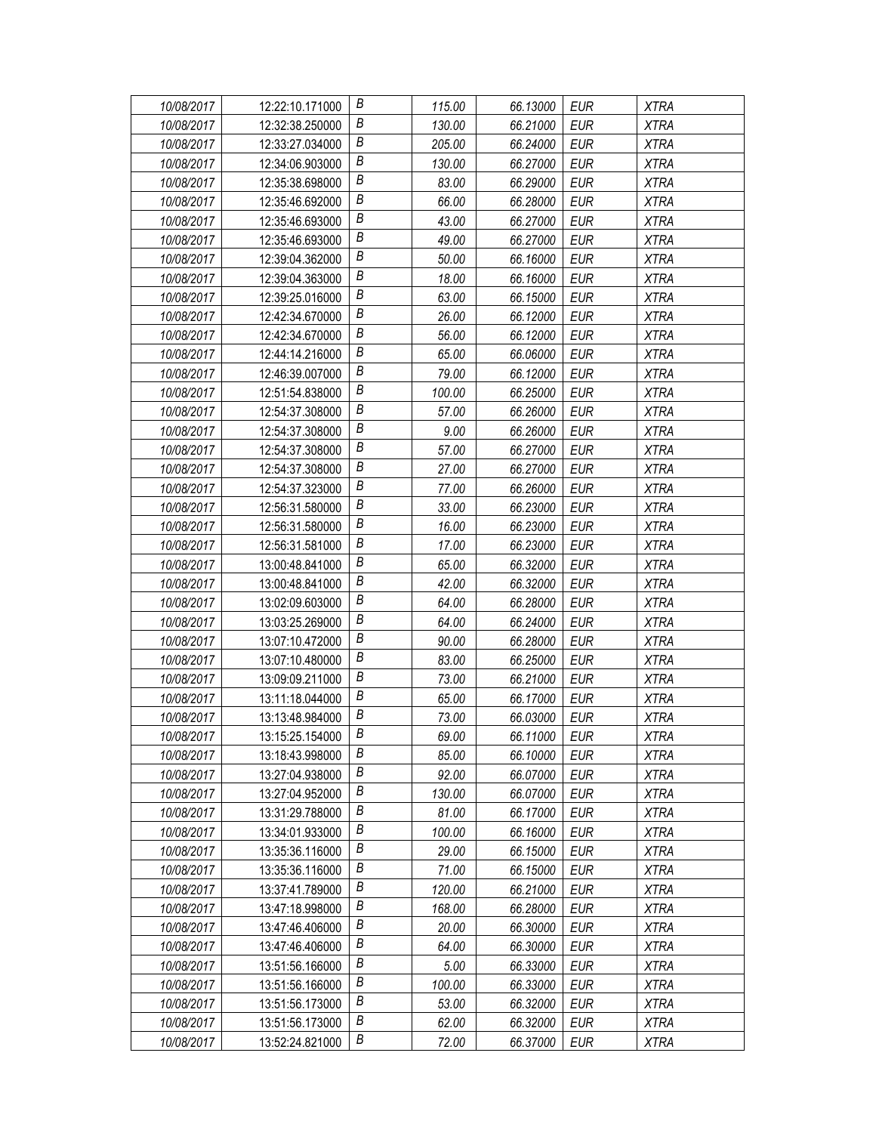| 10/08/2017 | 12:22:10.171000 | В                | 115.00 | 66.13000 | EUR        | <b>XTRA</b> |
|------------|-----------------|------------------|--------|----------|------------|-------------|
| 10/08/2017 | 12:32:38.250000 | Β                | 130.00 | 66.21000 | EUR        | <b>XTRA</b> |
| 10/08/2017 | 12:33:27.034000 | Β                | 205.00 | 66.24000 | <b>EUR</b> | <b>XTRA</b> |
| 10/08/2017 | 12:34:06.903000 | B                | 130.00 | 66.27000 | <b>EUR</b> | <b>XTRA</b> |
| 10/08/2017 | 12:35:38.698000 | В                | 83.00  | 66.29000 | <b>EUR</b> | <b>XTRA</b> |
| 10/08/2017 | 12:35:46.692000 | Β                | 66.00  | 66.28000 | <b>EUR</b> | <b>XTRA</b> |
| 10/08/2017 | 12:35:46.693000 | В                | 43.00  | 66.27000 | <b>EUR</b> | <b>XTRA</b> |
| 10/08/2017 | 12:35:46.693000 | Β                | 49.00  | 66.27000 | <b>EUR</b> | <b>XTRA</b> |
| 10/08/2017 | 12:39:04.362000 | В                | 50.00  | 66.16000 | <b>EUR</b> | <b>XTRA</b> |
| 10/08/2017 | 12:39:04.363000 | В                | 18.00  | 66.16000 | <b>EUR</b> | <b>XTRA</b> |
| 10/08/2017 | 12:39:25.016000 | В                | 63.00  | 66.15000 | <b>EUR</b> | <b>XTRA</b> |
| 10/08/2017 | 12:42:34.670000 | Β                | 26.00  | 66.12000 | <b>EUR</b> | <b>XTRA</b> |
| 10/08/2017 | 12:42:34.670000 | B                | 56.00  | 66.12000 | <b>EUR</b> | <b>XTRA</b> |
| 10/08/2017 | 12:44:14.216000 | В                | 65.00  | 66.06000 | <b>EUR</b> | <b>XTRA</b> |
| 10/08/2017 | 12:46:39.007000 | Β                | 79.00  | 66.12000 | <b>EUR</b> | <b>XTRA</b> |
| 10/08/2017 | 12:51:54.838000 | В                | 100.00 | 66.25000 | <b>EUR</b> | <b>XTRA</b> |
| 10/08/2017 | 12:54:37.308000 | Β                | 57.00  | 66.26000 | <b>EUR</b> | <b>XTRA</b> |
| 10/08/2017 | 12:54:37.308000 | В                | 9.00   | 66.26000 | <b>EUR</b> | <b>XTRA</b> |
| 10/08/2017 | 12:54:37.308000 | В                | 57.00  | 66.27000 | <b>EUR</b> | <b>XTRA</b> |
| 10/08/2017 | 12:54:37.308000 | В                | 27.00  | 66.27000 | EUR        | <b>XTRA</b> |
| 10/08/2017 | 12:54:37.323000 | Β                | 77.00  | 66.26000 | <b>EUR</b> | <b>XTRA</b> |
| 10/08/2017 | 12:56:31.580000 | B                | 33.00  | 66.23000 | <b>EUR</b> | <b>XTRA</b> |
| 10/08/2017 | 12:56:31.580000 | В                | 16.00  | 66.23000 | <b>EUR</b> | <b>XTRA</b> |
| 10/08/2017 | 12:56:31.581000 | Β                | 17.00  | 66.23000 | <b>EUR</b> | <b>XTRA</b> |
| 10/08/2017 | 13:00:48.841000 | Β                | 65.00  | 66.32000 | <b>EUR</b> | <b>XTRA</b> |
| 10/08/2017 | 13:00:48.841000 | В                | 42.00  | 66.32000 | <b>EUR</b> | <b>XTRA</b> |
| 10/08/2017 | 13:02:09.603000 | B                | 64.00  | 66.28000 | <b>EUR</b> | <b>XTRA</b> |
| 10/08/2017 | 13:03:25.269000 | В                | 64.00  | 66.24000 | EUR        | <b>XTRA</b> |
| 10/08/2017 | 13:07:10.472000 | B                | 90.00  | 66.28000 | <b>EUR</b> | <b>XTRA</b> |
| 10/08/2017 | 13:07:10.480000 | Β                | 83.00  | 66.25000 | <b>EUR</b> | <b>XTRA</b> |
| 10/08/2017 | 13:09:09.211000 | B                | 73.00  | 66.21000 | <b>EUR</b> | <b>XTRA</b> |
| 10/08/2017 | 13:11:18.044000 | $\boldsymbol{B}$ | 65.00  | 66.17000 | EUR        | <b>XTRA</b> |
| 10/08/2017 | 13:13:48.984000 | В                | 73.00  | 66.03000 | <b>EUR</b> | <b>XTRA</b> |
| 10/08/2017 | 13:15:25.154000 | B                | 69.00  | 66.11000 | <b>EUR</b> | <b>XTRA</b> |
| 10/08/2017 | 13:18:43.998000 | В                | 85.00  | 66.10000 | EUR        | <b>XTRA</b> |
| 10/08/2017 | 13:27:04.938000 | Β                | 92.00  | 66.07000 | <b>EUR</b> | <b>XTRA</b> |
| 10/08/2017 | 13:27:04.952000 | Β                | 130.00 | 66.07000 | EUR        | XTRA        |
| 10/08/2017 | 13:31:29.788000 | В                | 81.00  | 66.17000 | EUR        | <b>XTRA</b> |
| 10/08/2017 | 13:34:01.933000 | В                | 100.00 | 66.16000 | <b>EUR</b> | <b>XTRA</b> |
| 10/08/2017 | 13:35:36.116000 | Β                | 29.00  | 66.15000 | EUR        | <b>XTRA</b> |
| 10/08/2017 | 13:35:36.116000 | B                | 71.00  | 66.15000 | <b>EUR</b> | XTRA        |
| 10/08/2017 | 13:37:41.789000 | В                | 120.00 | 66.21000 | <b>EUR</b> | <b>XTRA</b> |
| 10/08/2017 | 13:47:18.998000 | Β                | 168.00 | 66.28000 | <b>EUR</b> | <b>XTRA</b> |
| 10/08/2017 | 13:47:46.406000 | B                | 20.00  | 66.30000 | <b>EUR</b> | <b>XTRA</b> |
| 10/08/2017 | 13:47:46.406000 | B                | 64.00  | 66.30000 | <b>EUR</b> | <b>XTRA</b> |
| 10/08/2017 | 13:51:56.166000 | Β                | 5.00   | 66.33000 | EUR        | <b>XTRA</b> |
| 10/08/2017 | 13:51:56.166000 | Β                | 100.00 | 66.33000 | EUR        | <b>XTRA</b> |
| 10/08/2017 | 13:51:56.173000 | В                | 53.00  | 66.32000 | <b>EUR</b> | <b>XTRA</b> |
| 10/08/2017 | 13:51:56.173000 | B                | 62.00  | 66.32000 | <b>EUR</b> | <b>XTRA</b> |
| 10/08/2017 | 13:52:24.821000 | В                | 72.00  | 66.37000 | <b>EUR</b> | <b>XTRA</b> |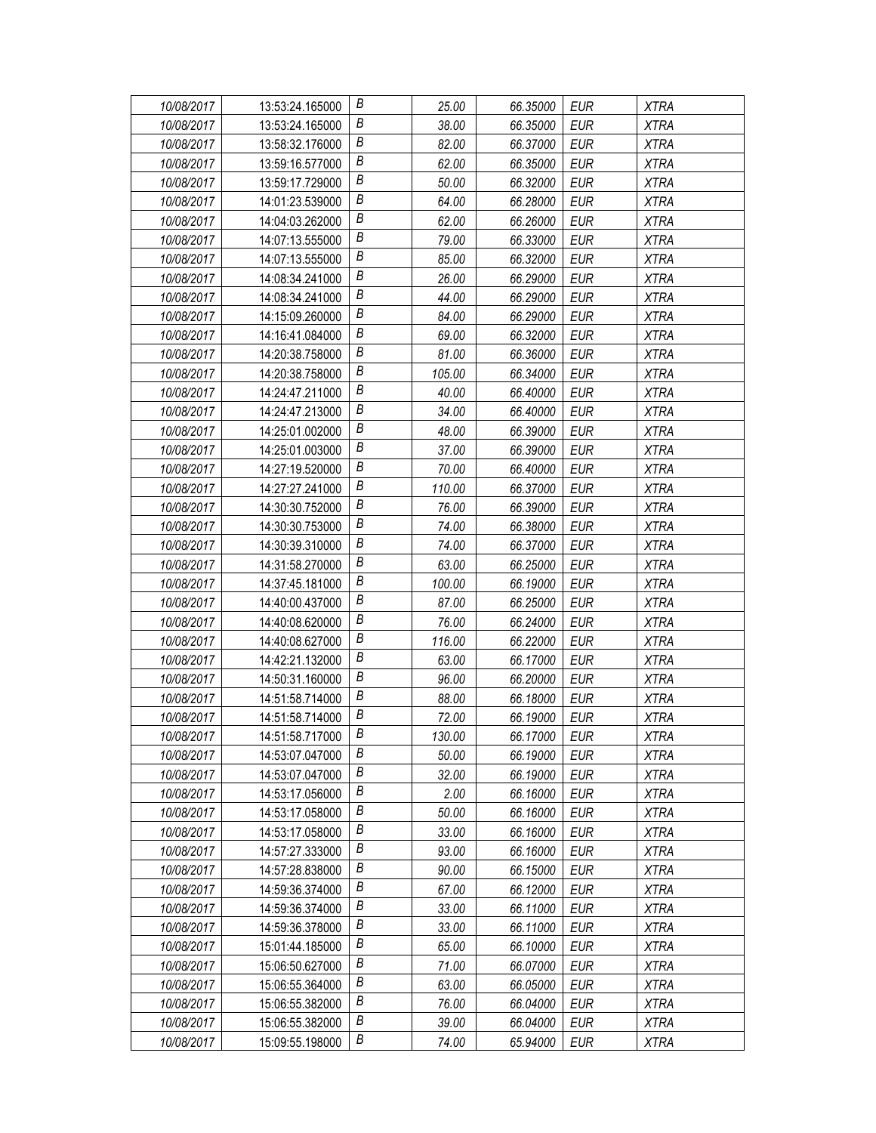| 10/08/2017 | 13:53:24.165000 | В                | 25.00  | 66.35000 | EUR        | <b>XTRA</b> |
|------------|-----------------|------------------|--------|----------|------------|-------------|
| 10/08/2017 | 13:53:24.165000 | В                | 38.00  | 66.35000 | EUR        | <b>XTRA</b> |
| 10/08/2017 | 13:58:32.176000 | Β                | 82.00  | 66.37000 | <b>EUR</b> | <b>XTRA</b> |
| 10/08/2017 | 13:59:16.577000 | $\boldsymbol{B}$ | 62.00  | 66.35000 | <b>EUR</b> | <b>XTRA</b> |
| 10/08/2017 | 13:59:17.729000 | В                | 50.00  | 66.32000 | <b>EUR</b> | <b>XTRA</b> |
| 10/08/2017 | 14:01:23.539000 | Β                | 64.00  | 66.28000 | <b>EUR</b> | <b>XTRA</b> |
| 10/08/2017 | 14:04:03.262000 | В                | 62.00  | 66.26000 | <b>EUR</b> | <b>XTRA</b> |
| 10/08/2017 | 14:07:13.555000 | В                | 79.00  | 66.33000 | <b>EUR</b> | <b>XTRA</b> |
| 10/08/2017 | 14:07:13.555000 | $\boldsymbol{B}$ | 85.00  | 66.32000 | <b>EUR</b> | <b>XTRA</b> |
| 10/08/2017 | 14:08:34.241000 | В                | 26.00  | 66.29000 | <b>EUR</b> | <b>XTRA</b> |
| 10/08/2017 | 14:08:34.241000 | В                | 44.00  | 66.29000 | <b>EUR</b> | <b>XTRA</b> |
| 10/08/2017 | 14:15:09.260000 | В                | 84.00  | 66.29000 | <b>EUR</b> | <b>XTRA</b> |
| 10/08/2017 | 14:16:41.084000 | $\boldsymbol{B}$ | 69.00  | 66.32000 | <b>EUR</b> | <b>XTRA</b> |
| 10/08/2017 | 14:20:38.758000 | В                | 81.00  | 66.36000 | <b>EUR</b> | <b>XTRA</b> |
| 10/08/2017 | 14:20:38.758000 | В                | 105.00 | 66.34000 | <b>EUR</b> | <b>XTRA</b> |
| 10/08/2017 | 14:24:47.211000 | В                | 40.00  | 66.40000 | <b>EUR</b> | <b>XTRA</b> |
| 10/08/2017 | 14:24:47.213000 | В                | 34.00  | 66.40000 | <b>EUR</b> | <b>XTRA</b> |
| 10/08/2017 | 14:25:01.002000 | $\boldsymbol{B}$ | 48.00  | 66.39000 | <b>EUR</b> | <b>XTRA</b> |
| 10/08/2017 | 14:25:01.003000 | B                | 37.00  | 66.39000 | <b>EUR</b> | <b>XTRA</b> |
| 10/08/2017 | 14:27:19.520000 | В                | 70.00  | 66.40000 | EUR        | <b>XTRA</b> |
| 10/08/2017 | 14:27:27.241000 | Β                | 110.00 | 66.37000 | <b>EUR</b> | <b>XTRA</b> |
| 10/08/2017 | 14:30:30.752000 | B                | 76.00  | 66.39000 | <b>EUR</b> | <b>XTRA</b> |
| 10/08/2017 | 14:30:30.753000 | В                | 74.00  | 66.38000 | <b>EUR</b> | <b>XTRA</b> |
| 10/08/2017 | 14:30:39.310000 | В                | 74.00  | 66.37000 | <b>EUR</b> | <b>XTRA</b> |
| 10/08/2017 | 14:31:58.270000 | Β                | 63.00  | 66.25000 | <b>EUR</b> | <b>XTRA</b> |
| 10/08/2017 | 14:37:45.181000 | В                | 100.00 | 66.19000 | <b>EUR</b> | <b>XTRA</b> |
| 10/08/2017 | 14:40:00.437000 | B                | 87.00  | 66.25000 | <b>EUR</b> | <b>XTRA</b> |
| 10/08/2017 | 14:40:08.620000 | В                | 76.00  | 66.24000 | EUR        | <b>XTRA</b> |
| 10/08/2017 | 14:40:08.627000 | B                | 116.00 | 66.22000 | <b>EUR</b> | <b>XTRA</b> |
| 10/08/2017 | 14:42:21.132000 | Β                | 63.00  | 66.17000 | <b>EUR</b> | <b>XTRA</b> |
| 10/08/2017 | 14:50:31.160000 | B                | 96.00  | 66.20000 | <b>EUR</b> | <b>XTRA</b> |
| 10/08/2017 | 14:51:58.714000 | $\boldsymbol{B}$ | 88.00  | 66.18000 | <b>EUR</b> | <b>XTRA</b> |
| 10/08/2017 | 14:51:58.714000 | В                | 72.00  | 66.19000 | <b>EUR</b> | <b>XTRA</b> |
| 10/08/2017 | 14:51:58.717000 | B                | 130.00 | 66.17000 | <b>EUR</b> | <b>XTRA</b> |
| 10/08/2017 | 14:53:07.047000 | В                | 50.00  | 66.19000 | EUR        | <b>XTRA</b> |
| 10/08/2017 | 14:53:07.047000 | Β                | 32.00  | 66.19000 | <b>EUR</b> | <b>XTRA</b> |
| 10/08/2017 | 14:53:17.056000 | Β                | 2.00   | 66.16000 | EUR        | XTRA        |
| 10/08/2017 | 14:53:17.058000 | В                | 50.00  | 66.16000 | EUR        | <b>XTRA</b> |
| 10/08/2017 | 14:53:17.058000 | Β                | 33.00  | 66.16000 | <b>EUR</b> | <b>XTRA</b> |
| 10/08/2017 | 14:57:27.333000 | Β                | 93.00  | 66.16000 | EUR        | <b>XTRA</b> |
| 10/08/2017 | 14:57:28.838000 | B                | 90.00  | 66.15000 | <b>EUR</b> | XTRA        |
| 10/08/2017 | 14:59:36.374000 | В                | 67.00  | 66.12000 | <b>EUR</b> | <b>XTRA</b> |
| 10/08/2017 | 14:59:36.374000 | Β                | 33.00  | 66.11000 | <b>EUR</b> | <b>XTRA</b> |
| 10/08/2017 | 14:59:36.378000 | В                | 33.00  | 66.11000 | <b>EUR</b> | <b>XTRA</b> |
| 10/08/2017 | 15:01:44.185000 | B                | 65.00  | 66.10000 | <b>EUR</b> | <b>XTRA</b> |
| 10/08/2017 | 15:06:50.627000 | Β                | 71.00  | 66.07000 | EUR        | <b>XTRA</b> |
| 10/08/2017 | 15:06:55.364000 | Β                | 63.00  | 66.05000 | EUR        | <b>XTRA</b> |
| 10/08/2017 | 15:06:55.382000 | Β                | 76.00  | 66.04000 | <b>EUR</b> | <b>XTRA</b> |
| 10/08/2017 | 15:06:55.382000 | B                | 39.00  | 66.04000 | EUR        | <b>XTRA</b> |
| 10/08/2017 | 15:09:55.198000 | В                | 74.00  | 65.94000 | <b>EUR</b> | <b>XTRA</b> |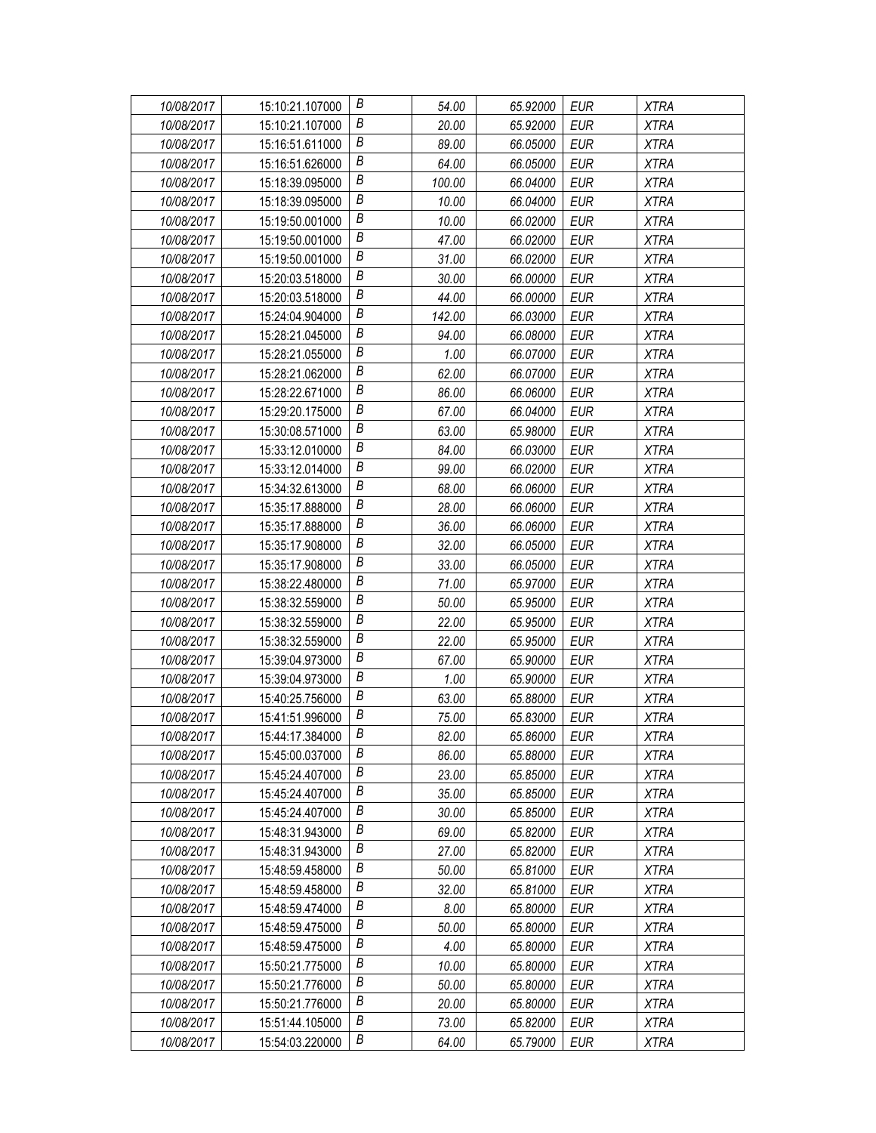| 10/08/2017 | 15:10:21.107000 | В                | 54.00  | 65.92000 | EUR        | <b>XTRA</b> |
|------------|-----------------|------------------|--------|----------|------------|-------------|
| 10/08/2017 | 15:10:21.107000 | В                | 20.00  | 65.92000 | EUR        | <b>XTRA</b> |
| 10/08/2017 | 15:16:51.611000 | Β                | 89.00  | 66.05000 | <b>EUR</b> | <b>XTRA</b> |
| 10/08/2017 | 15:16:51.626000 | $\boldsymbol{B}$ | 64.00  | 66.05000 | <b>EUR</b> | <b>XTRA</b> |
| 10/08/2017 | 15:18:39.095000 | B                | 100.00 | 66.04000 | <b>EUR</b> | <b>XTRA</b> |
| 10/08/2017 | 15:18:39.095000 | Β                | 10.00  | 66.04000 | <b>EUR</b> | <b>XTRA</b> |
| 10/08/2017 | 15:19:50.001000 | В                | 10.00  | 66.02000 | <b>EUR</b> | <b>XTRA</b> |
| 10/08/2017 | 15:19:50.001000 | В                | 47.00  | 66.02000 | <b>EUR</b> | <b>XTRA</b> |
| 10/08/2017 | 15:19:50.001000 | $\boldsymbol{B}$ | 31.00  | 66.02000 | <b>EUR</b> | <b>XTRA</b> |
| 10/08/2017 | 15:20:03.518000 | B                | 30.00  | 66.00000 | <b>EUR</b> | <b>XTRA</b> |
| 10/08/2017 | 15:20:03.518000 | В                | 44.00  | 66.00000 | <b>EUR</b> | <b>XTRA</b> |
| 10/08/2017 | 15:24:04.904000 | В                | 142.00 | 66.03000 | <b>EUR</b> | <b>XTRA</b> |
| 10/08/2017 | 15:28:21.045000 | $\boldsymbol{B}$ | 94.00  | 66.08000 | <b>EUR</b> | <b>XTRA</b> |
| 10/08/2017 | 15:28:21.055000 | В                | 1.00   | 66.07000 | <b>EUR</b> | <b>XTRA</b> |
| 10/08/2017 | 15:28:21.062000 | Β                | 62.00  | 66.07000 | <b>EUR</b> | <b>XTRA</b> |
| 10/08/2017 | 15:28:22.671000 | В                | 86.00  | 66.06000 | <b>EUR</b> | <b>XTRA</b> |
| 10/08/2017 | 15:29:20.175000 | В                | 67.00  | 66.04000 | <b>EUR</b> | <b>XTRA</b> |
| 10/08/2017 | 15:30:08.571000 | $\boldsymbol{B}$ | 63.00  | 65.98000 | <b>EUR</b> | <b>XTRA</b> |
| 10/08/2017 | 15:33:12.010000 | B                | 84.00  | 66.03000 | <b>EUR</b> | <b>XTRA</b> |
| 10/08/2017 | 15:33:12.014000 | Β                | 99.00  | 66.02000 | EUR        | <b>XTRA</b> |
| 10/08/2017 | 15:34:32.613000 | Β                | 68.00  | 66.06000 | <b>EUR</b> | <b>XTRA</b> |
| 10/08/2017 | 15:35:17.888000 | B                | 28.00  | 66.06000 | <b>EUR</b> | <b>XTRA</b> |
| 10/08/2017 | 15:35:17.888000 | В                | 36.00  | 66.06000 | <b>EUR</b> | <b>XTRA</b> |
| 10/08/2017 | 15:35:17.908000 | В                | 32.00  | 66.05000 | <b>EUR</b> | <b>XTRA</b> |
| 10/08/2017 | 15:35:17.908000 | Β                | 33.00  | 66.05000 | <b>EUR</b> | <b>XTRA</b> |
| 10/08/2017 | 15:38:22.480000 | В                | 71.00  | 65.97000 | <b>EUR</b> | <b>XTRA</b> |
| 10/08/2017 | 15:38:32.559000 | B                | 50.00  | 65.95000 | <b>EUR</b> | <b>XTRA</b> |
| 10/08/2017 | 15:38:32.559000 | B                | 22.00  | 65.95000 | EUR        | <b>XTRA</b> |
| 10/08/2017 | 15:38:32.559000 | B                | 22.00  | 65.95000 | <b>EUR</b> | <b>XTRA</b> |
| 10/08/2017 | 15:39:04.973000 | В                | 67.00  | 65.90000 | <b>EUR</b> | <b>XTRA</b> |
| 10/08/2017 | 15:39:04.973000 | B                | 1.00   | 65.90000 | <b>EUR</b> | <b>XTRA</b> |
| 10/08/2017 | 15:40:25.756000 | B                | 63.00  | 65.88000 | <b>EUR</b> | <b>XTRA</b> |
| 10/08/2017 | 15:41:51.996000 | В                | 75.00  | 65.83000 | <b>EUR</b> | <b>XTRA</b> |
| 10/08/2017 | 15:44:17.384000 | B                | 82.00  | 65.86000 | <b>EUR</b> | <b>XTRA</b> |
| 10/08/2017 | 15:45:00.037000 | В                | 86.00  | 65.88000 | EUR        | <b>XTRA</b> |
| 10/08/2017 | 15:45:24.407000 | Β                | 23.00  | 65.85000 | <b>EUR</b> | <b>XTRA</b> |
| 10/08/2017 | 15:45:24.407000 | Β                | 35.00  | 65.85000 | EUR        | XTRA        |
| 10/08/2017 | 15:45:24.407000 | В                | 30.00  | 65.85000 | EUR        | <b>XTRA</b> |
| 10/08/2017 | 15:48:31.943000 | Β                | 69.00  | 65.82000 | <b>EUR</b> | <b>XTRA</b> |
| 10/08/2017 | 15:48:31.943000 | Β                | 27.00  | 65.82000 | EUR        | <b>XTRA</b> |
| 10/08/2017 | 15:48:59.458000 | B                | 50.00  | 65.81000 | <b>EUR</b> | XTRA        |
| 10/08/2017 | 15:48:59.458000 | В                | 32.00  | 65.81000 | <b>EUR</b> | <b>XTRA</b> |
| 10/08/2017 | 15:48:59.474000 | Β                | 8.00   | 65.80000 | <b>EUR</b> | <b>XTRA</b> |
| 10/08/2017 | 15:48:59.475000 | Β                | 50.00  | 65.80000 | <b>EUR</b> | XTRA        |
| 10/08/2017 | 15:48:59.475000 | B                | 4.00   | 65.80000 | <b>EUR</b> | <b>XTRA</b> |
| 10/08/2017 | 15:50:21.775000 | Β                | 10.00  | 65.80000 | EUR        | <b>XTRA</b> |
| 10/08/2017 | 15:50:21.776000 | Β                | 50.00  | 65.80000 | EUR        | <b>XTRA</b> |
| 10/08/2017 | 15:50:21.776000 | В                | 20.00  | 65.80000 | <b>EUR</b> | <b>XTRA</b> |
| 10/08/2017 | 15:51:44.105000 | B                | 73.00  | 65.82000 | <b>EUR</b> | <b>XTRA</b> |
| 10/08/2017 | 15:54:03.220000 | В                | 64.00  | 65.79000 | <b>EUR</b> | <b>XTRA</b> |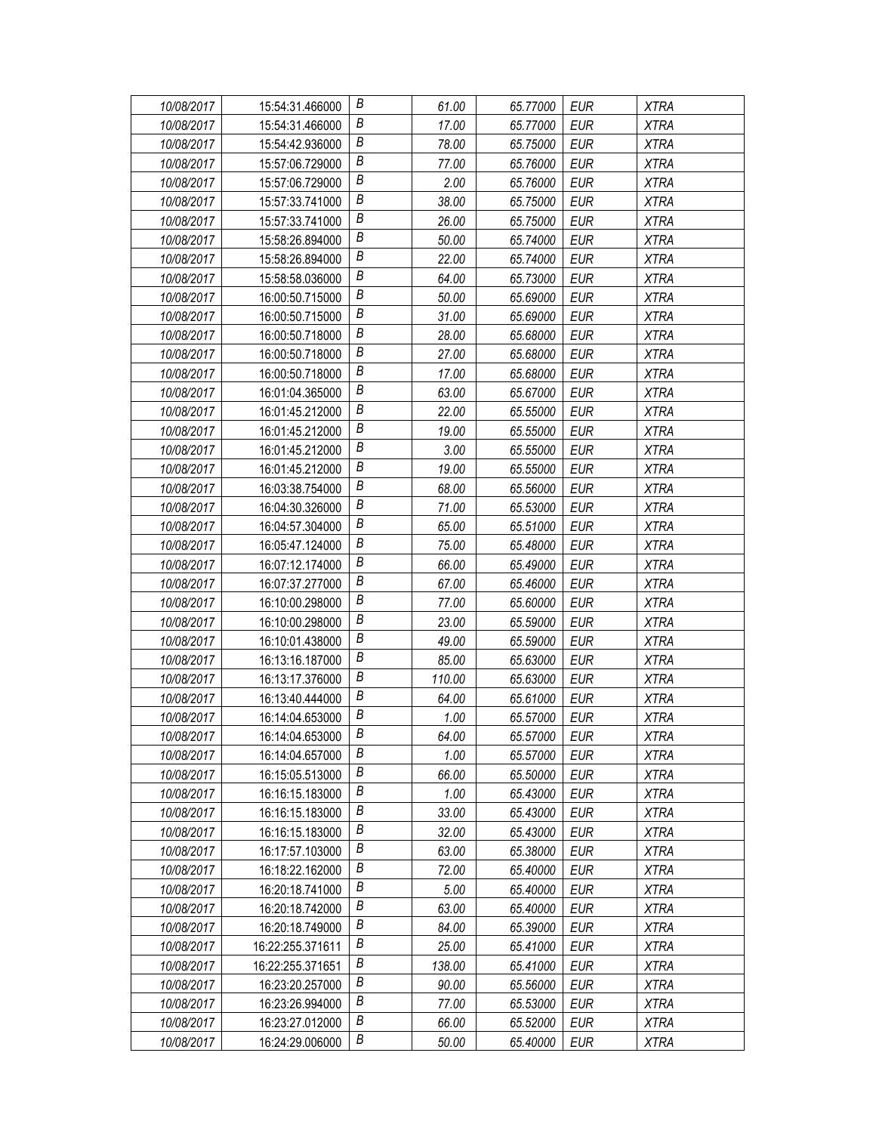| 10/08/2017 | 15:54:31.466000  | В                | 61.00  | 65.77000 | EUR        | <b>XTRA</b> |
|------------|------------------|------------------|--------|----------|------------|-------------|
| 10/08/2017 | 15:54:31.466000  | В                | 17.00  | 65.77000 | EUR        | <b>XTRA</b> |
| 10/08/2017 | 15:54:42.936000  | Β                | 78.00  | 65.75000 | <b>EUR</b> | <b>XTRA</b> |
| 10/08/2017 | 15:57:06.729000  | $\boldsymbol{B}$ | 77.00  | 65.76000 | EUR        | <b>XTRA</b> |
| 10/08/2017 | 15:57:06.729000  | B                | 2.00   | 65.76000 | <b>EUR</b> | <b>XTRA</b> |
| 10/08/2017 | 15:57:33.741000  | B                | 38.00  | 65.75000 | <b>EUR</b> | <b>XTRA</b> |
| 10/08/2017 | 15:57:33.741000  | B                | 26.00  | 65.75000 | <b>EUR</b> | <b>XTRA</b> |
| 10/08/2017 | 15:58:26.894000  | $\boldsymbol{B}$ | 50.00  | 65.74000 | <b>EUR</b> | <b>XTRA</b> |
| 10/08/2017 | 15:58:26.894000  | $\boldsymbol{B}$ | 22.00  | 65.74000 | <b>EUR</b> | <b>XTRA</b> |
| 10/08/2017 | 15:58:58.036000  | B                | 64.00  | 65.73000 | <b>EUR</b> | <b>XTRA</b> |
| 10/08/2017 | 16:00:50.715000  | B                | 50.00  | 65.69000 | <b>EUR</b> | <b>XTRA</b> |
| 10/08/2017 | 16:00:50.715000  | В                | 31.00  | 65.69000 | <b>EUR</b> | <b>XTRA</b> |
| 10/08/2017 | 16:00:50.718000  | $\boldsymbol{B}$ | 28.00  | 65.68000 | <b>EUR</b> | <b>XTRA</b> |
| 10/08/2017 | 16:00:50.718000  | B                | 27.00  | 65.68000 | <b>EUR</b> | <b>XTRA</b> |
| 10/08/2017 | 16:00:50.718000  | B                | 17.00  | 65.68000 | <b>EUR</b> | <b>XTRA</b> |
| 10/08/2017 | 16:01:04.365000  | B                | 63.00  | 65.67000 | <b>EUR</b> | <b>XTRA</b> |
| 10/08/2017 | 16:01:45.212000  | $\boldsymbol{B}$ | 22.00  | 65.55000 | <b>EUR</b> | <b>XTRA</b> |
| 10/08/2017 | 16:01:45.212000  | $\boldsymbol{B}$ | 19.00  | 65.55000 | <b>EUR</b> | <b>XTRA</b> |
| 10/08/2017 | 16:01:45.212000  | B                | 3.00   | 65.55000 | <b>EUR</b> | <b>XTRA</b> |
| 10/08/2017 | 16:01:45.212000  | B                | 19.00  | 65.55000 | EUR        | <b>XTRA</b> |
| 10/08/2017 | 16:03:38.754000  | В                | 68.00  | 65.56000 | <b>EUR</b> | <b>XTRA</b> |
| 10/08/2017 | 16:04:30.326000  | $\boldsymbol{B}$ | 71.00  | 65.53000 | <b>EUR</b> | <b>XTRA</b> |
| 10/08/2017 | 16:04:57.304000  | B                | 65.00  | 65.51000 | <b>EUR</b> | <b>XTRA</b> |
| 10/08/2017 | 16:05:47.124000  | B                | 75.00  | 65.48000 | EUR        | <b>XTRA</b> |
| 10/08/2017 | 16:07:12.174000  | Β                | 66.00  | 65.49000 | <b>EUR</b> | <b>XTRA</b> |
| 10/08/2017 | 16:07:37.277000  | В                | 67.00  | 65.46000 | <b>EUR</b> | <b>XTRA</b> |
| 10/08/2017 | 16:10:00.298000  | $\boldsymbol{B}$ | 77.00  | 65.60000 | <b>EUR</b> | <b>XTRA</b> |
| 10/08/2017 | 16:10:00.298000  | B                | 23.00  | 65.59000 | EUR        | <b>XTRA</b> |
| 10/08/2017 | 16:10:01.438000  | B                | 49.00  | 65.59000 | <b>EUR</b> | <b>XTRA</b> |
| 10/08/2017 | 16:13:16.187000  | В                | 85.00  | 65.63000 | <b>EUR</b> | <b>XTRA</b> |
| 10/08/2017 | 16:13:17.376000  | B                | 110.00 | 65.63000 | <b>EUR</b> | <b>XTRA</b> |
| 10/08/2017 | 16:13:40.444000  | B                | 64.00  | 65.61000 | EUR        | <b>XTRA</b> |
| 10/08/2017 | 16:14:04.653000  | $\boldsymbol{B}$ | 1.00   | 65.57000 | EUR        | <b>XTRA</b> |
| 10/08/2017 | 16:14:04.653000  | B                | 64.00  | 65.57000 | <b>EUR</b> | <b>XTRA</b> |
| 10/08/2017 | 16:14:04.657000  | B                | 1.00   | 65.57000 | EUR        | <b>XTRA</b> |
| 10/08/2017 | 16:15:05.513000  | B                | 66.00  | 65.50000 | <b>EUR</b> | XTRA        |
| 10/08/2017 | 16:16:15.183000  | В                | 1.00   | 65.43000 | EUR        | <b>XTRA</b> |
| 10/08/2017 | 16:16:15.183000  | B                | 33.00  | 65.43000 | EUR        | <b>XTRA</b> |
| 10/08/2017 | 16:16:15.183000  | В                | 32.00  | 65.43000 | <b>EUR</b> | <b>XTRA</b> |
| 10/08/2017 | 16:17:57.103000  | В                | 63.00  | 65.38000 | EUR        | XTRA        |
| 10/08/2017 | 16:18:22.162000  | B                | 72.00  | 65.40000 | <b>EUR</b> | XTRA        |
| 10/08/2017 | 16:20:18.741000  | B                | 5.00   | 65.40000 | <b>EUR</b> | <b>XTRA</b> |
| 10/08/2017 | 16:20:18.742000  | В                | 63.00  | 65.40000 | <b>EUR</b> | <b>XTRA</b> |
| 10/08/2017 | 16:20:18.749000  | B                | 84.00  | 65.39000 | <b>EUR</b> | XTRA        |
| 10/08/2017 | 16:22:255.371611 | B                | 25.00  | 65.41000 | <b>EUR</b> | <b>XTRA</b> |
| 10/08/2017 | 16:22:255.371651 | В                | 138.00 | 65.41000 | EUR        | XTRA        |
| 10/08/2017 | 16:23:20.257000  | B                | 90.00  | 65.56000 | EUR        | <b>XTRA</b> |
| 10/08/2017 | 16:23:26.994000  | В                | 77.00  | 65.53000 | <b>EUR</b> | <b>XTRA</b> |
| 10/08/2017 | 16:23:27.012000  | B                | 66.00  | 65.52000 | EUR        | <b>XTRA</b> |
| 10/08/2017 | 16:24:29.006000  | В                | 50.00  | 65.40000 | EUR        | XTRA        |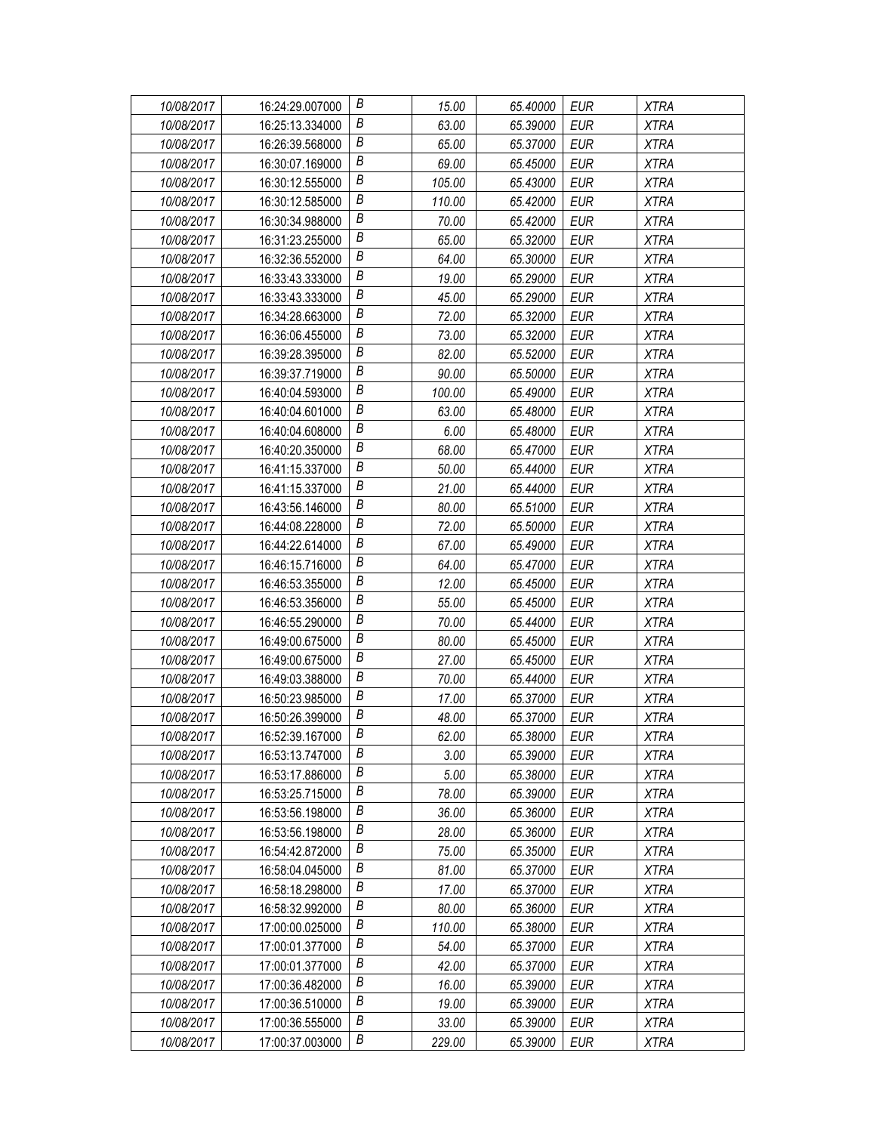| 10/08/2017 | 16:24:29.007000 | В                | 15.00  | 65.40000 | EUR        | <b>XTRA</b> |
|------------|-----------------|------------------|--------|----------|------------|-------------|
| 10/08/2017 | 16:25:13.334000 | В                | 63.00  | 65.39000 | EUR        | <b>XTRA</b> |
| 10/08/2017 | 16:26:39.568000 | Β                | 65.00  | 65.37000 | <b>EUR</b> | <b>XTRA</b> |
| 10/08/2017 | 16:30:07.169000 | $\boldsymbol{B}$ | 69.00  | 65.45000 | EUR        | <b>XTRA</b> |
| 10/08/2017 | 16:30:12.555000 | B                | 105.00 | 65.43000 | <b>EUR</b> | <b>XTRA</b> |
| 10/08/2017 | 16:30:12.585000 | B                | 110.00 | 65.42000 | <b>EUR</b> | <b>XTRA</b> |
| 10/08/2017 | 16:30:34.988000 | B                | 70.00  | 65.42000 | <b>EUR</b> | <b>XTRA</b> |
| 10/08/2017 | 16:31:23.255000 | $\boldsymbol{B}$ | 65.00  | 65.32000 | <b>EUR</b> | <b>XTRA</b> |
| 10/08/2017 | 16:32:36.552000 | $\boldsymbol{B}$ | 64.00  | 65.30000 | <b>EUR</b> | <b>XTRA</b> |
| 10/08/2017 | 16:33:43.333000 | B                | 19.00  | 65.29000 | <b>EUR</b> | <b>XTRA</b> |
| 10/08/2017 | 16:33:43.333000 | B                | 45.00  | 65.29000 | <b>EUR</b> | <b>XTRA</b> |
| 10/08/2017 | 16:34:28.663000 | В                | 72.00  | 65.32000 | <b>EUR</b> | <b>XTRA</b> |
| 10/08/2017 | 16:36:06.455000 | B                | 73.00  | 65.32000 | <b>EUR</b> | <b>XTRA</b> |
| 10/08/2017 | 16:39:28.395000 | B                | 82.00  | 65.52000 | <b>EUR</b> | <b>XTRA</b> |
| 10/08/2017 | 16:39:37.719000 | B                | 90.00  | 65.50000 | <b>EUR</b> | <b>XTRA</b> |
| 10/08/2017 | 16:40:04.593000 | B                | 100.00 | 65.49000 | <b>EUR</b> | <b>XTRA</b> |
| 10/08/2017 | 16:40:04.601000 | $\boldsymbol{B}$ | 63.00  | 65.48000 | <b>EUR</b> | <b>XTRA</b> |
| 10/08/2017 | 16:40:04.608000 | $\boldsymbol{B}$ | 6.00   | 65.48000 | <b>EUR</b> | <b>XTRA</b> |
| 10/08/2017 | 16:40:20.350000 | B                | 68.00  | 65.47000 | EUR        | <b>XTRA</b> |
| 10/08/2017 | 16:41:15.337000 | B                | 50.00  | 65.44000 | EUR        | <b>XTRA</b> |
| 10/08/2017 | 16:41:15.337000 | В                | 21.00  | 65.44000 | <b>EUR</b> | <b>XTRA</b> |
| 10/08/2017 | 16:43:56.146000 | $\boldsymbol{B}$ | 80.00  | 65.51000 | <b>EUR</b> | <b>XTRA</b> |
| 10/08/2017 | 16:44:08.228000 | B                | 72.00  | 65.50000 | <b>EUR</b> | <b>XTRA</b> |
| 10/08/2017 | 16:44:22.614000 | B                | 67.00  | 65.49000 | EUR        | <b>XTRA</b> |
| 10/08/2017 | 16:46:15.716000 | Β                | 64.00  | 65.47000 | <b>EUR</b> | <b>XTRA</b> |
| 10/08/2017 | 16:46:53.355000 | В                | 12.00  | 65.45000 | <b>EUR</b> | <b>XTRA</b> |
| 10/08/2017 | 16:46:53.356000 | $\boldsymbol{B}$ | 55.00  | 65.45000 | <b>EUR</b> | <b>XTRA</b> |
| 10/08/2017 | 16:46:55.290000 | B                | 70.00  | 65.44000 | EUR        | <b>XTRA</b> |
| 10/08/2017 | 16:49:00.675000 | B                | 80.00  | 65.45000 | EUR        | <b>XTRA</b> |
| 10/08/2017 | 16:49:00.675000 | В                | 27.00  | 65.45000 | <b>EUR</b> | <b>XTRA</b> |
| 10/08/2017 | 16:49:03.388000 | B                | 70.00  | 65.44000 | <b>EUR</b> | <b>XTRA</b> |
| 10/08/2017 | 16:50:23.985000 | B                | 17.00  | 65.37000 | EUR        | <b>XTRA</b> |
| 10/08/2017 | 16:50:26.399000 | $\boldsymbol{B}$ | 48.00  | 65.37000 | EUR        | <b>XTRA</b> |
| 10/08/2017 | 16:52:39.167000 | B                | 62.00  | 65.38000 | <b>EUR</b> | <b>XTRA</b> |
| 10/08/2017 | 16:53:13.747000 | B                | 3.00   | 65.39000 | EUR        | XTRA        |
| 10/08/2017 | 16:53:17.886000 | B                | 5.00   | 65.38000 | <b>EUR</b> | <b>XTRA</b> |
| 10/08/2017 | 16:53:25.715000 | В                | 78.00  | 65.39000 | EUR        | <b>XTRA</b> |
| 10/08/2017 | 16:53:56.198000 | В                | 36.00  | 65.36000 | EUR        | <b>XTRA</b> |
| 10/08/2017 | 16:53:56.198000 | B                | 28.00  | 65.36000 | <b>EUR</b> | <b>XTRA</b> |
| 10/08/2017 | 16:54:42.872000 | B                | 75.00  | 65.35000 | EUR        | XTRA        |
| 10/08/2017 | 16:58:04.045000 | B                | 81.00  | 65.37000 | <b>EUR</b> | XTRA        |
| 10/08/2017 | 16:58:18.298000 | B                | 17.00  | 65.37000 | <b>EUR</b> | <b>XTRA</b> |
| 10/08/2017 | 16:58:32.992000 | В                | 80.00  | 65.36000 | <b>EUR</b> | <b>XTRA</b> |
| 10/08/2017 | 17:00:00.025000 | B                | 110.00 | 65.38000 | <b>EUR</b> | XTRA        |
| 10/08/2017 | 17:00:01.377000 | B                | 54.00  | 65.37000 | <b>EUR</b> | <b>XTRA</b> |
| 10/08/2017 | 17:00:01.377000 | В                | 42.00  | 65.37000 | EUR        | XTRA        |
| 10/08/2017 | 17:00:36.482000 | B                | 16.00  | 65.39000 | EUR        | <b>XTRA</b> |
| 10/08/2017 | 17:00:36.510000 | B                | 19.00  | 65.39000 | <b>EUR</b> | <b>XTRA</b> |
| 10/08/2017 | 17:00:36.555000 | B                | 33.00  | 65.39000 | EUR        | <b>XTRA</b> |
| 10/08/2017 | 17:00:37.003000 | В                | 229.00 | 65.39000 | EUR        | XTRA        |